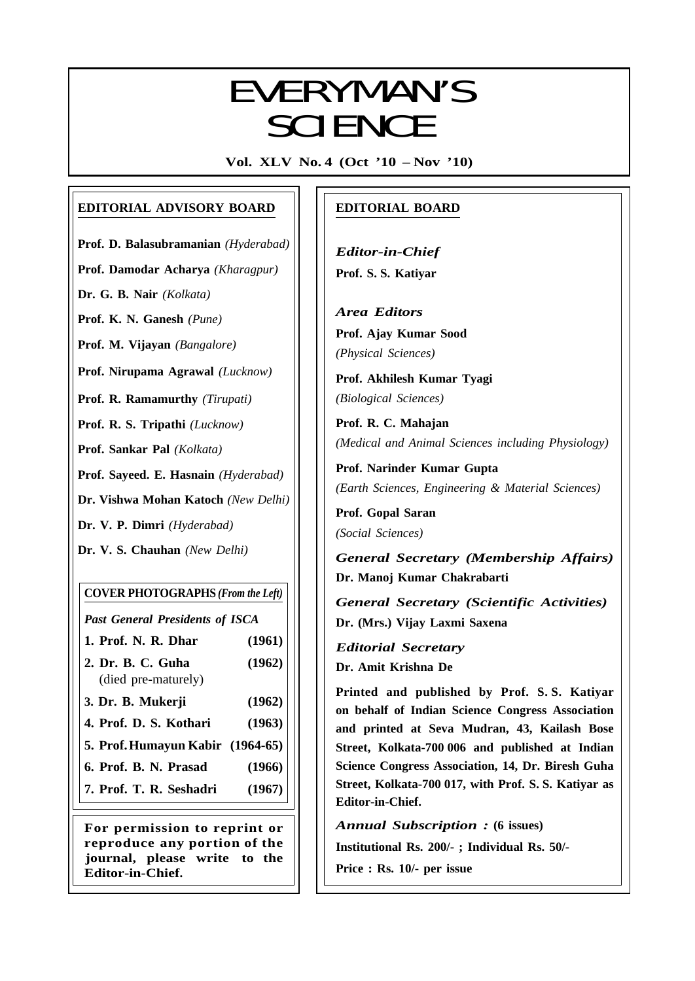# EVEDVAANI/C EVERYMAN'S SCIENCE

**Vol. XLV No. 4 (Oct '10 – Nov '10)**

## **EDITORIAL ADVISORY BOARD**

**Prof. D. Balasubramanian** *(Hyderabad)*

**Prof. Damodar Acharya** *(Kharagpur)*

**Dr. G. B. Nair** *(Kolkata)*

**Prof. K. N. Ganesh** *(Pune)*

**Prof. M. Vijayan** *(Bangalore)*

**Prof. Nirupama Agrawal** *(Lucknow)*

**Prof. R. Ramamurthy** *(Tirupati)*

**Prof. R. S. Tripathi** *(Lucknow)*

**Prof. Sankar Pal** *(Kolkata)*

**Prof. Sayeed. E. Hasnain** *(Hyderabad)*

**Dr. Vishwa Mohan Katoch** *(New Delhi)*

**Dr. V. P. Dimri** *(Hyderabad)*

**Dr. V. S. Chauhan** *(New Delhi)*

## **COVER PHOTOGRAPHS** *(From the Left)*

*Past General Presidents of ISCA*

- **1. Prof. N. R. Dhar (1961)**
- **2. Dr. B. C. Guha (1962)** (died pre-maturely)
- **3. Dr. B. Mukerji (1962)**
- **4. Prof. D. S. Kothari (1963)**
- **5. Prof.Humayun Kabir (1964-65)**
- **6. Prof. B. N. Prasad (1966)**
- **7. Prof. T. R. Seshadri (1967)**

**For permission to reprint or reproduce any portion of the journal, please write to the Editor-in-Chief.**

## **EDITORIAL BOARD**

*Editor-in-Chief* **Prof. S. S. Katiyar**

*Area Editors* **Prof. Ajay Kumar Sood** *(Physical Sciences)*

**Prof. Akhilesh Kumar Tyagi** *(Biological Sciences)*

**Prof. R. C. Mahajan** *(Medical and Animal Sciences including Physiology)*

**Prof. Narinder Kumar Gupta** *(Earth Sciences, Engineering & Material Sciences)*

**Prof. Gopal Saran** *(Social Sciences)*

*General Secretary (Membership Affairs)* **Dr. Manoj Kumar Chakrabarti**

*General Secretary (Scientific Activities)* **Dr. (Mrs.) Vijay Laxmi Saxena**

*Editorial Secretary* **Dr. Amit Krishna De**

**Printed and published by Prof. S. S. Katiyar on behalf of Indian Science Congress Association and printed at Seva Mudran, 43, Kailash Bose Street, Kolkata-700 006 and published at Indian Science Congress Association, 14, Dr. Biresh Guha Street, Kolkata-700 017, with Prof. S. S. Katiyar as Editor-in-Chief.**

*Annual Subscription :* **(6 issues)**

**Institutional Rs. 200/- ; Individual Rs. 50/-**

**Price : Rs. 10/- per issue**

201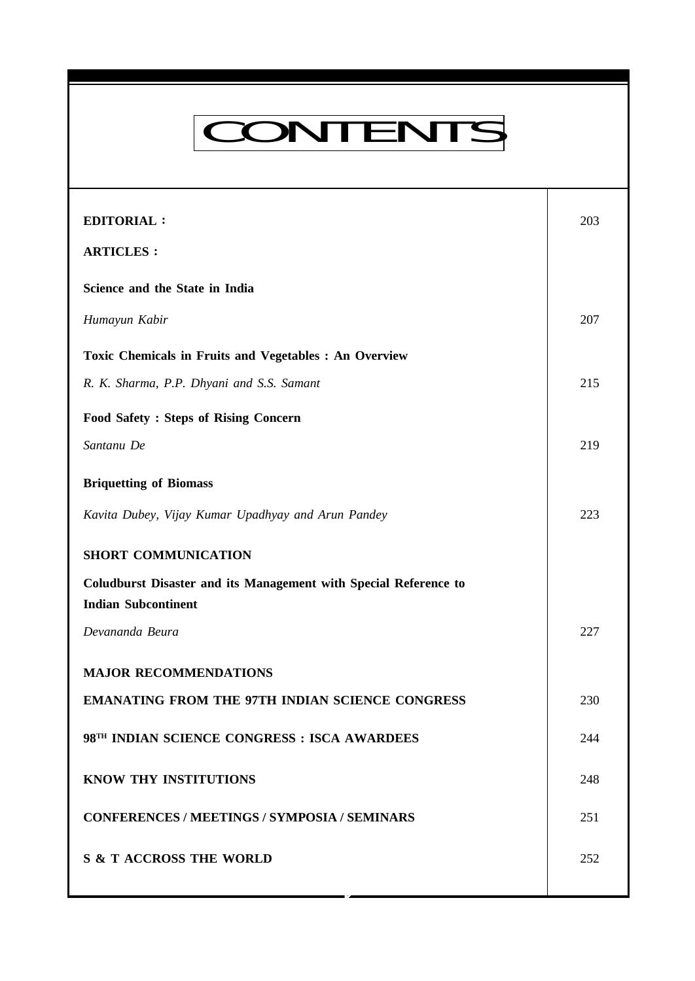# CONTENTS

**Everyman's Science VOL. XLV NO. 4, Oct '10 — Nov '10**

| <b>EDITORIAL:</b>                                                                                     | 203 |
|-------------------------------------------------------------------------------------------------------|-----|
| <b>ARTICLES:</b>                                                                                      |     |
| Science and the State in India                                                                        |     |
| Humayun Kabir                                                                                         | 207 |
| Toxic Chemicals in Fruits and Vegetables : An Overview                                                |     |
| R. K. Sharma, P.P. Dhyani and S.S. Samant                                                             | 215 |
| <b>Food Safety: Steps of Rising Concern</b>                                                           |     |
| Santanu De                                                                                            | 219 |
| <b>Briquetting of Biomass</b>                                                                         |     |
| Kavita Dubey, Vijay Kumar Upadhyay and Arun Pandey                                                    | 223 |
| <b>SHORT COMMUNICATION</b>                                                                            |     |
| <b>Coludburst Disaster and its Management with Special Reference to</b><br><b>Indian Subcontinent</b> |     |
| Devananda Beura                                                                                       | 227 |
| <b>MAJOR RECOMMENDATIONS</b>                                                                          |     |
| <b>EMANATING FROM THE 97TH INDIAN SCIENCE CONGRESS</b>                                                | 230 |
| 98TH INDIAN SCIENCE CONGRESS : ISCA AWARDEES                                                          | 244 |
| KNOW THY INSTITUTIONS                                                                                 | 248 |
| <b>CONFERENCES / MEETINGS / SYMPOSIA / SEMINARS</b>                                                   | 251 |
| <b>S &amp; T ACCROSS THE WORLD</b>                                                                    | 252 |

**K**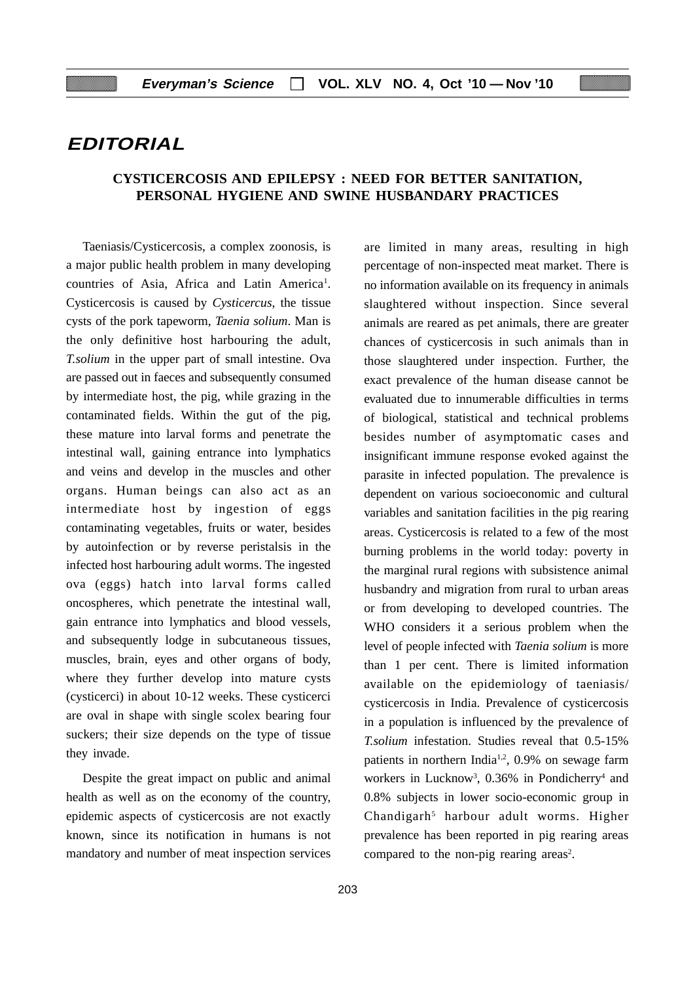## **EDITORIAL**

## **CYSTICERCOSIS AND EPILEPSY : NEED FOR BETTER SANITATION, PERSONAL HYGIENE AND SWINE HUSBANDARY PRACTICES**

Taeniasis/Cysticercosis, a complex zoonosis, is a major public health problem in many developing countries of Asia, Africa and Latin America<sup>1</sup>. Cysticercosis is caused by *Cysticercus*, the tissue cysts of the pork tapeworm, *Taenia solium*. Man is the only definitive host harbouring the adult, *T.solium* in the upper part of small intestine. Ova are passed out in faeces and subsequently consumed by intermediate host, the pig, while grazing in the contaminated fields. Within the gut of the pig, these mature into larval forms and penetrate the intestinal wall, gaining entrance into lymphatics and veins and develop in the muscles and other organs. Human beings can also act as an intermediate host by ingestion of eggs contaminating vegetables, fruits or water, besides by autoinfection or by reverse peristalsis in the infected host harbouring adult worms. The ingested ova (eggs) hatch into larval forms called oncospheres, which penetrate the intestinal wall, gain entrance into lymphatics and blood vessels, and subsequently lodge in subcutaneous tissues, muscles, brain, eyes and other organs of body, where they further develop into mature cysts (cysticerci) in about 10-12 weeks. These cysticerci are oval in shape with single scolex bearing four suckers; their size depends on the type of tissue they invade.

Despite the great impact on public and animal health as well as on the economy of the country, epidemic aspects of cysticercosis are not exactly known, since its notification in humans is not mandatory and number of meat inspection services

are limited in many areas, resulting in high percentage of non-inspected meat market. There is no information available on its frequency in animals slaughtered without inspection. Since several animals are reared as pet animals, there are greater chances of cysticercosis in such animals than in those slaughtered under inspection. Further, the exact prevalence of the human disease cannot be evaluated due to innumerable difficulties in terms of biological, statistical and technical problems besides number of asymptomatic cases and insignificant immune response evoked against the parasite in infected population. The prevalence is dependent on various socioeconomic and cultural variables and sanitation facilities in the pig rearing areas. Cysticercosis is related to a few of the most burning problems in the world today: poverty in the marginal rural regions with subsistence animal husbandry and migration from rural to urban areas or from developing to developed countries. The WHO considers it a serious problem when the level of people infected with *Taenia solium* is more than 1 per cent. There is limited information available on the epidemiology of taeniasis/ cysticercosis in India. Prevalence of cysticercosis in a population is influenced by the prevalence of *T.solium* infestation. Studies reveal that 0.5-15% patients in northern India<sup>1,2</sup>, 0.9% on sewage farm workers in Lucknow<sup>3</sup>, 0.36% in Pondicherry<sup>4</sup> and 0.8% subjects in lower socio-economic group in Chandigarh<sup>5</sup> harbour adult worms. Higher prevalence has been reported in pig rearing areas compared to the non-pig rearing areas<sup>2</sup>.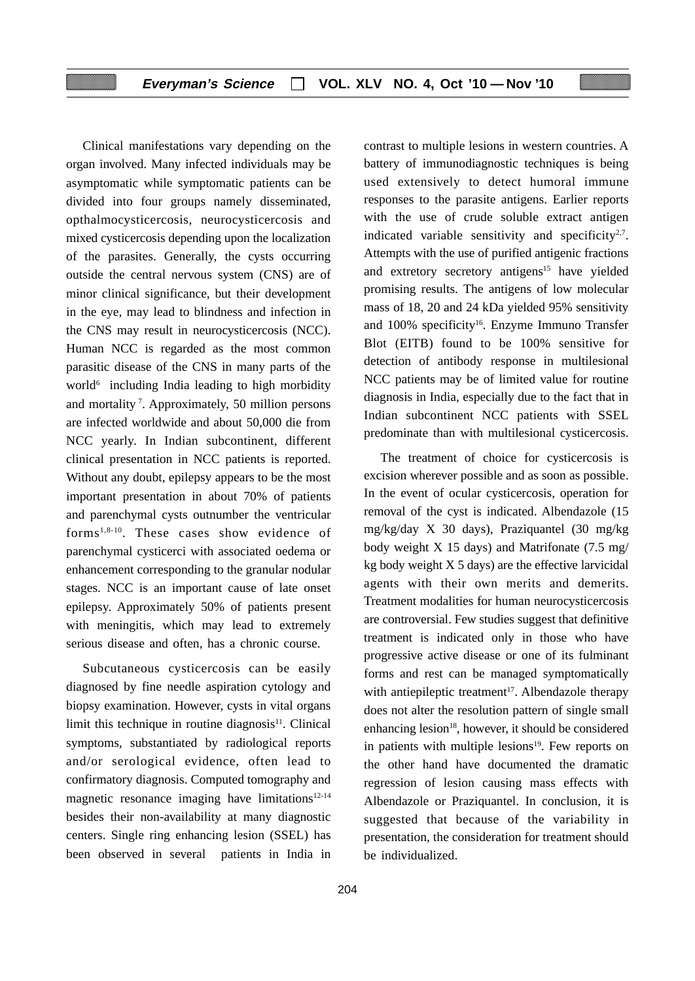Clinical manifestations vary depending on the organ involved. Many infected individuals may be asymptomatic while symptomatic patients can be divided into four groups namely disseminated, opthalmocysticercosis, neurocysticercosis and mixed cysticercosis depending upon the localization of the parasites. Generally, the cysts occurring outside the central nervous system (CNS) are of minor clinical significance, but their development in the eye, may lead to blindness and infection in the CNS may result in neurocysticercosis (NCC). Human NCC is regarded as the most common parasitic disease of the CNS in many parts of the world<sup>6</sup> including India leading to high morbidity and mortality 7. Approximately, 50 million persons are infected worldwide and about 50,000 die from NCC yearly. In Indian subcontinent, different clinical presentation in NCC patients is reported. Without any doubt, epilepsy appears to be the most important presentation in about 70% of patients and parenchymal cysts outnumber the ventricular forms1,8-10. These cases show evidence of parenchymal cysticerci with associated oedema or enhancement corresponding to the granular nodular stages. NCC is an important cause of late onset epilepsy. Approximately 50% of patients present with meningitis, which may lead to extremely serious disease and often, has a chronic course.

Subcutaneous cysticercosis can be easily diagnosed by fine needle aspiration cytology and biopsy examination. However, cysts in vital organs limit this technique in routine diagnosis $11$ . Clinical symptoms, substantiated by radiological reports and/or serological evidence, often lead to confirmatory diagnosis. Computed tomography and magnetic resonance imaging have limitations<sup>12-14</sup> besides their non-availability at many diagnostic centers. Single ring enhancing lesion (SSEL) has been observed in several patients in India in contrast to multiple lesions in western countries. A battery of immunodiagnostic techniques is being used extensively to detect humoral immune responses to the parasite antigens. Earlier reports with the use of crude soluble extract antigen indicated variable sensitivity and specificity<sup>2,7</sup>. Attempts with the use of purified antigenic fractions and extretory secretory antigens<sup>15</sup> have yielded promising results. The antigens of low molecular mass of 18, 20 and 24 kDa yielded 95% sensitivity and 100% specificity<sup>16</sup>. Enzyme Immuno Transfer Blot (EITB) found to be 100% sensitive for detection of antibody response in multilesional NCC patients may be of limited value for routine diagnosis in India, especially due to the fact that in Indian subcontinent NCC patients with SSEL predominate than with multilesional cysticercosis.

The treatment of choice for cysticercosis is excision wherever possible and as soon as possible. In the event of ocular cysticercosis, operation for removal of the cyst is indicated. Albendazole (15 mg/kg/day X 30 days), Praziquantel (30 mg/kg body weight X 15 days) and Matrifonate (7.5 mg/ kg body weight  $X$  5 days) are the effective larvicidal agents with their own merits and demerits. Treatment modalities for human neurocysticercosis are controversial. Few studies suggest that definitive treatment is indicated only in those who have progressive active disease or one of its fulminant forms and rest can be managed symptomatically with antiepileptic treatment<sup>17</sup>. Albendazole therapy does not alter the resolution pattern of single small enhancing lesion $18$ , however, it should be considered in patients with multiple lesions $19$ . Few reports on the other hand have documented the dramatic regression of lesion causing mass effects with Albendazole or Praziquantel. In conclusion, it is suggested that because of the variability in presentation, the consideration for treatment should be individualized.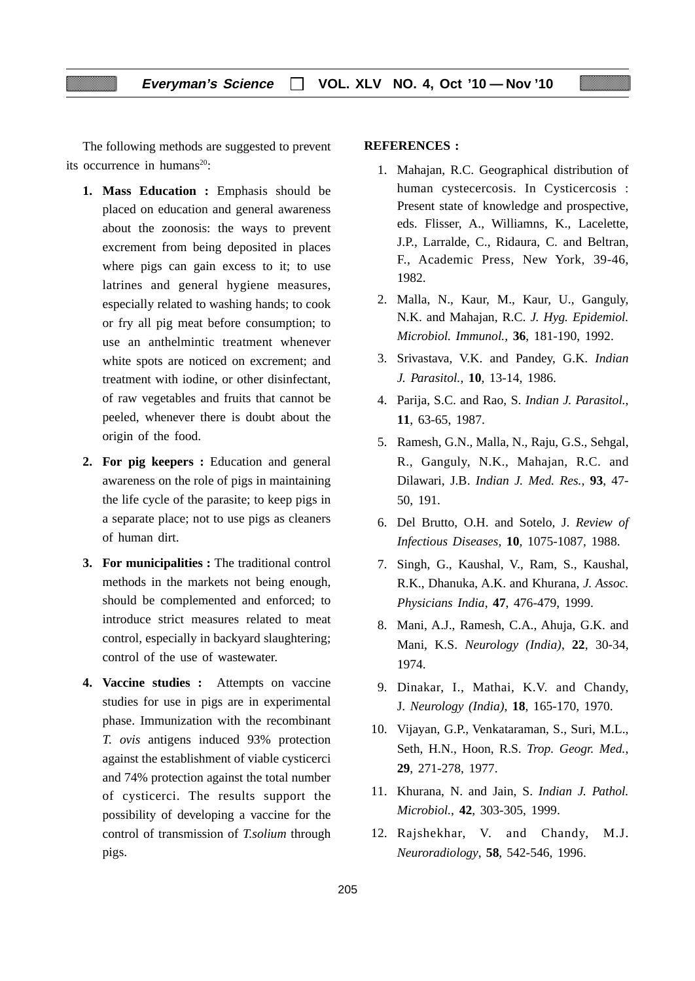The following methods are suggested to prevent its occurrence in humans<sup>20</sup>:

- **1. Mass Education :** Emphasis should be placed on education and general awareness about the zoonosis: the ways to prevent excrement from being deposited in places where pigs can gain excess to it; to use latrines and general hygiene measures, especially related to washing hands; to cook or fry all pig meat before consumption; to use an anthelmintic treatment whenever white spots are noticed on excrement; and treatment with iodine, or other disinfectant, of raw vegetables and fruits that cannot be peeled, whenever there is doubt about the origin of the food.
- **2. For pig keepers :** Education and general awareness on the role of pigs in maintaining the life cycle of the parasite; to keep pigs in a separate place; not to use pigs as cleaners of human dirt.
- **3. For municipalities :** The traditional control methods in the markets not being enough, should be complemented and enforced; to introduce strict measures related to meat control, especially in backyard slaughtering; control of the use of wastewater.
- **4. Vaccine studies :** Attempts on vaccine studies for use in pigs are in experimental phase. Immunization with the recombinant *T. ovis* antigens induced 93% protection against the establishment of viable cysticerci and 74% protection against the total number of cysticerci. The results support the possibility of developing a vaccine for the control of transmission of *T.solium* through pigs.

## **REFERENCES :**

- 1. Mahajan, R.C. Geographical distribution of human cystecercosis. In Cysticercosis : Present state of knowledge and prospective, eds. Flisser, A., Williamns, K., Lacelette, J.P., Larralde, C., Ridaura, C. and Beltran, F., Academic Press, New York, 39-46, 1982.
- 2. Malla, N., Kaur, M., Kaur, U., Ganguly, N.K. and Mahajan, R.C. *J. Hyg. Epidemiol. Microbiol. Immunol.*, **36**, 181-190, 1992.
- 3. Srivastava, V.K. and Pandey, G.K. *Indian J. Parasitol.*, **10**, 13-14, 1986.
- 4. Parija, S.C. and Rao, S. *Indian J. Parasitol.*, **11**, 63-65, 1987.
- 5. Ramesh, G.N., Malla, N., Raju, G.S., Sehgal, R., Ganguly, N.K., Mahajan, R.C. and Dilawari, J.B. *Indian J. Med. Res.*, **93**, 47- 50, 191.
- 6. Del Brutto, O.H. and Sotelo, J. *Review of Infectious Diseases*, **10**, 1075-1087, 1988.
- 7. Singh, G., Kaushal, V., Ram, S., Kaushal, R.K., Dhanuka, A.K. and Khurana, *J. Assoc. Physicians India*, **47**, 476-479, 1999.
- 8. Mani, A.J., Ramesh, C.A., Ahuja, G.K. and Mani, K.S. *Neurology (India)*, **22**, 30-34, 1974.
- 9. Dinakar, I., Mathai, K.V. and Chandy, J. *Neurology (India)*, **18**, 165-170, 1970.
- 10. Vijayan, G.P., Venkataraman, S., Suri, M.L., Seth, H.N., Hoon, R.S. *Trop. Geogr. Med.*, **29**, 271-278, 1977.
- 11. Khurana, N. and Jain, S. *Indian J. Pathol. Microbiol.*, **42**, 303-305, 1999.
- 12. Rajshekhar, V. and Chandy, M.J. *Neuroradiology*, **58**, 542-546, 1996.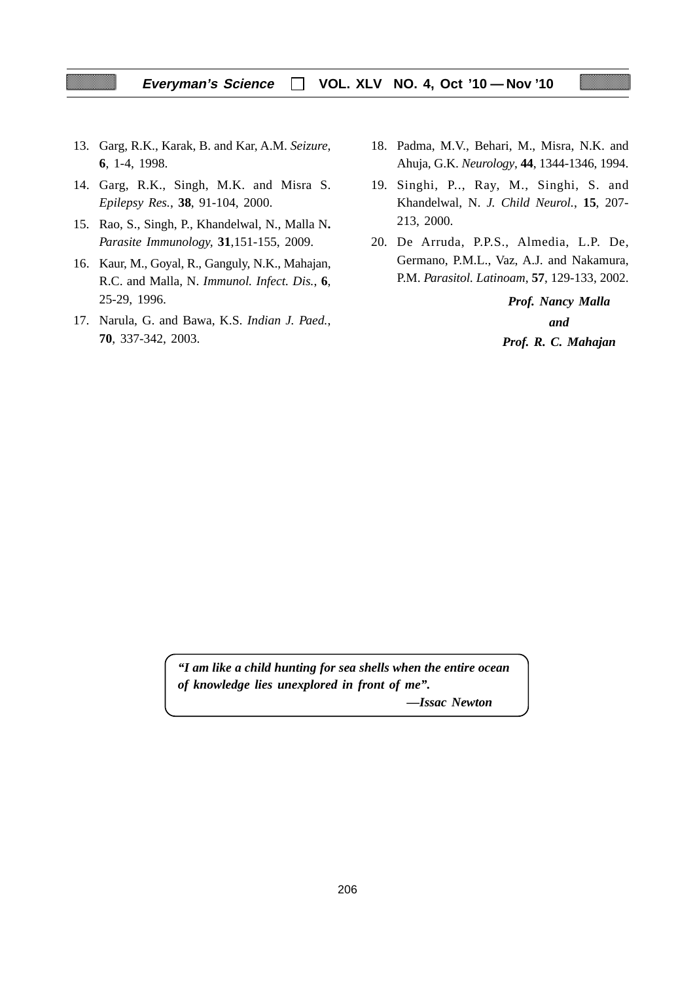- 13. Garg, R.K., Karak, B. and Kar, A.M. *Seizure*, **6**, 1-4, 1998.
- 14. Garg, R.K., Singh, M.K. and Misra S. *Epilepsy Res.*, **38**, 91-104, 2000.
- 15. Rao, S., Singh, P., Khandelwal, N., Malla N**.** *Parasite Immunology,* **31**,151-155, 2009.
- 16. Kaur, M., Goyal, R., Ganguly, N.K., Mahajan, R.C. and Malla, N. *Immunol. Infect. Dis.*, **6**, 25-29, 1996.
- 17. Narula, G. and Bawa, K.S. *Indian J. Paed.*, **70**, 337-342, 2003.
- 18. Padma, M.V., Behari, M., Misra, N.K. and Ahuja, G.K. *Neurology*, **44**, 1344-1346, 1994.
- 19. Singhi, P.., Ray, M., Singhi, S. and Khandelwal, N. *J. Child Neurol.*, **15**, 207- 213, 2000.
- 20. De Arruda, P.P.S., Almedia, L.P. De, Germano, P.M.L., Vaz, A.J. and Nakamura, P.M. *Parasitol. Latinoam*, **57**, 129-133, 2002.

*Prof. Nancy Malla and Prof. R. C. Mahajan*

*"I am like a child hunting for sea shells when the entire ocean of knowledge lies unexplored in front of me".*

*—Issac Newton*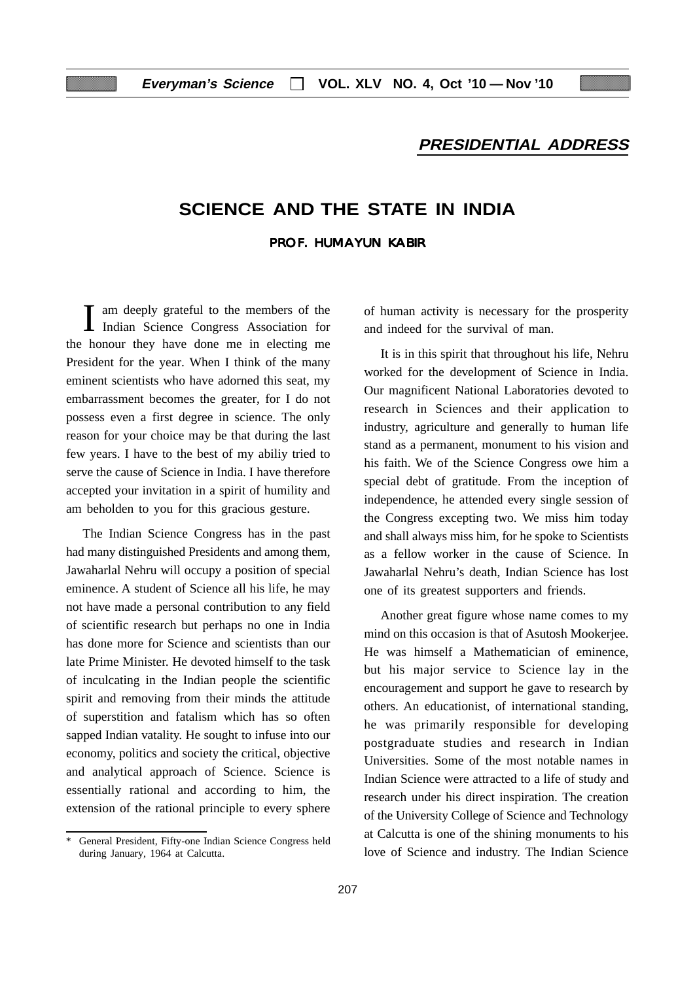## **PRESIDENTIAL ADDRESS**

## **SCIENCE AND THE STATE IN INDIA**

## PROF. HUMAYUN KABIR

I am deeply grateful to the members of the Indian Science Congress Association for the honour they have done me in electing me President for the year. When I think of the many eminent scientists who have adorned this seat, my embarrassment becomes the greater, for I do not possess even a first degree in science. The only reason for your choice may be that during the last few years. I have to the best of my abiliy tried to serve the cause of Science in India. I have therefore accepted your invitation in a spirit of humility and am beholden to you for this gracious gesture.

The Indian Science Congress has in the past had many distinguished Presidents and among them, Jawaharlal Nehru will occupy a position of special eminence. A student of Science all his life, he may not have made a personal contribution to any field of scientific research but perhaps no one in India has done more for Science and scientists than our late Prime Minister. He devoted himself to the task of inculcating in the Indian people the scientific spirit and removing from their minds the attitude of superstition and fatalism which has so often sapped Indian vatality. He sought to infuse into our economy, politics and society the critical, objective and analytical approach of Science. Science is essentially rational and according to him, the extension of the rational principle to every sphere of human activity is necessary for the prosperity and indeed for the survival of man.

It is in this spirit that throughout his life, Nehru worked for the development of Science in India. Our magnificent National Laboratories devoted to research in Sciences and their application to industry, agriculture and generally to human life stand as a permanent, monument to his vision and his faith. We of the Science Congress owe him a special debt of gratitude. From the inception of independence, he attended every single session of the Congress excepting two. We miss him today and shall always miss him, for he spoke to Scientists as a fellow worker in the cause of Science. In Jawaharlal Nehru's death, Indian Science has lost one of its greatest supporters and friends.

Another great figure whose name comes to my mind on this occasion is that of Asutosh Mookerjee. He was himself a Mathematician of eminence, but his major service to Science lay in the encouragement and support he gave to research by others. An educationist, of international standing, he was primarily responsible for developing postgraduate studies and research in Indian Universities. Some of the most notable names in Indian Science were attracted to a life of study and research under his direct inspiration. The creation of the University College of Science and Technology at Calcutta is one of the shining monuments to his love of Science and industry. The Indian Science

<sup>\*</sup> General President, Fifty-one Indian Science Congress held during January, 1964 at Calcutta.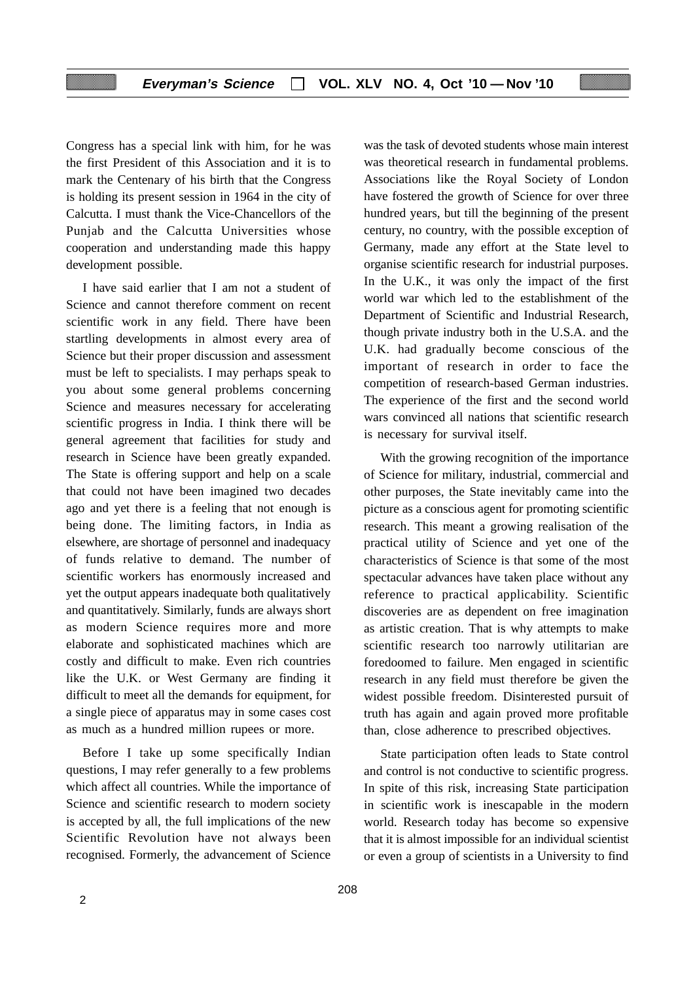Congress has a special link with him, for he was the first President of this Association and it is to mark the Centenary of his birth that the Congress is holding its present session in 1964 in the city of Calcutta. I must thank the Vice-Chancellors of the Punjab and the Calcutta Universities whose cooperation and understanding made this happy development possible.

I have said earlier that I am not a student of Science and cannot therefore comment on recent scientific work in any field. There have been startling developments in almost every area of Science but their proper discussion and assessment must be left to specialists. I may perhaps speak to you about some general problems concerning Science and measures necessary for accelerating scientific progress in India. I think there will be general agreement that facilities for study and research in Science have been greatly expanded. The State is offering support and help on a scale that could not have been imagined two decades ago and yet there is a feeling that not enough is being done. The limiting factors, in India as elsewhere, are shortage of personnel and inadequacy of funds relative to demand. The number of scientific workers has enormously increased and yet the output appears inadequate both qualitatively and quantitatively. Similarly, funds are always short as modern Science requires more and more elaborate and sophisticated machines which are costly and difficult to make. Even rich countries like the U.K. or West Germany are finding it difficult to meet all the demands for equipment, for a single piece of apparatus may in some cases cost as much as a hundred million rupees or more.

Before I take up some specifically Indian questions, I may refer generally to a few problems which affect all countries. While the importance of Science and scientific research to modern society is accepted by all, the full implications of the new Scientific Revolution have not always been recognised. Formerly, the advancement of Science

was the task of devoted students whose main interest was theoretical research in fundamental problems. Associations like the Royal Society of London have fostered the growth of Science for over three hundred years, but till the beginning of the present century, no country, with the possible exception of Germany, made any effort at the State level to organise scientific research for industrial purposes. In the U.K., it was only the impact of the first world war which led to the establishment of the Department of Scientific and Industrial Research, though private industry both in the U.S.A. and the U.K. had gradually become conscious of the important of research in order to face the competition of research-based German industries. The experience of the first and the second world wars convinced all nations that scientific research is necessary for survival itself.

With the growing recognition of the importance of Science for military, industrial, commercial and other purposes, the State inevitably came into the picture as a conscious agent for promoting scientific research. This meant a growing realisation of the practical utility of Science and yet one of the characteristics of Science is that some of the most spectacular advances have taken place without any reference to practical applicability. Scientific discoveries are as dependent on free imagination as artistic creation. That is why attempts to make scientific research too narrowly utilitarian are foredoomed to failure. Men engaged in scientific research in any field must therefore be given the widest possible freedom. Disinterested pursuit of truth has again and again proved more profitable than, close adherence to prescribed objectives.

State participation often leads to State control and control is not conductive to scientific progress. In spite of this risk, increasing State participation in scientific work is inescapable in the modern world. Research today has become so expensive that it is almost impossible for an individual scientist or even a group of scientists in a University to find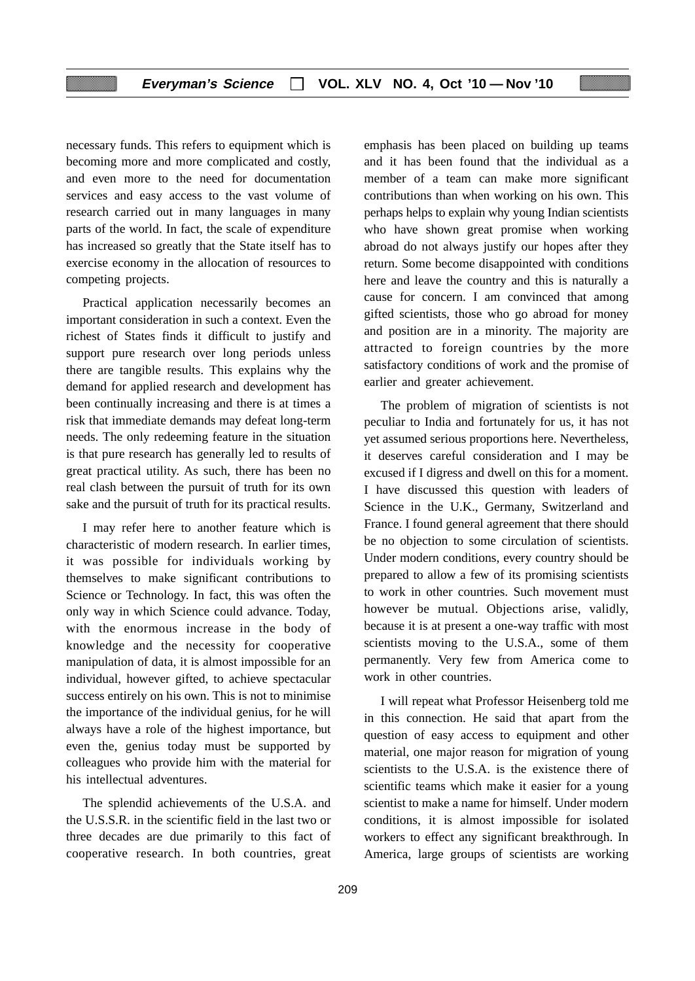necessary funds. This refers to equipment which is becoming more and more complicated and costly, and even more to the need for documentation services and easy access to the vast volume of research carried out in many languages in many parts of the world. In fact, the scale of expenditure has increased so greatly that the State itself has to exercise economy in the allocation of resources to competing projects.

Practical application necessarily becomes an important consideration in such a context. Even the richest of States finds it difficult to justify and support pure research over long periods unless there are tangible results. This explains why the demand for applied research and development has been continually increasing and there is at times a risk that immediate demands may defeat long-term needs. The only redeeming feature in the situation is that pure research has generally led to results of great practical utility. As such, there has been no real clash between the pursuit of truth for its own sake and the pursuit of truth for its practical results.

I may refer here to another feature which is characteristic of modern research. In earlier times, it was possible for individuals working by themselves to make significant contributions to Science or Technology. In fact, this was often the only way in which Science could advance. Today, with the enormous increase in the body of knowledge and the necessity for cooperative manipulation of data, it is almost impossible for an individual, however gifted, to achieve spectacular success entirely on his own. This is not to minimise the importance of the individual genius, for he will always have a role of the highest importance, but even the, genius today must be supported by colleagues who provide him with the material for his intellectual adventures.

The splendid achievements of the U.S.A. and the U.S.S.R. in the scientific field in the last two or three decades are due primarily to this fact of cooperative research. In both countries, great

emphasis has been placed on building up teams and it has been found that the individual as a member of a team can make more significant contributions than when working on his own. This perhaps helps to explain why young Indian scientists who have shown great promise when working abroad do not always justify our hopes after they return. Some become disappointed with conditions here and leave the country and this is naturally a cause for concern. I am convinced that among gifted scientists, those who go abroad for money and position are in a minority. The majority are attracted to foreign countries by the more satisfactory conditions of work and the promise of earlier and greater achievement.

The problem of migration of scientists is not peculiar to India and fortunately for us, it has not yet assumed serious proportions here. Nevertheless, it deserves careful consideration and I may be excused if I digress and dwell on this for a moment. I have discussed this question with leaders of Science in the U.K., Germany, Switzerland and France. I found general agreement that there should be no objection to some circulation of scientists. Under modern conditions, every country should be prepared to allow a few of its promising scientists to work in other countries. Such movement must however be mutual. Objections arise, validly, because it is at present a one-way traffic with most scientists moving to the U.S.A., some of them permanently. Very few from America come to work in other countries.

I will repeat what Professor Heisenberg told me in this connection. He said that apart from the question of easy access to equipment and other material, one major reason for migration of young scientists to the U.S.A. is the existence there of scientific teams which make it easier for a young scientist to make a name for himself. Under modern conditions, it is almost impossible for isolated workers to effect any significant breakthrough. In America, large groups of scientists are working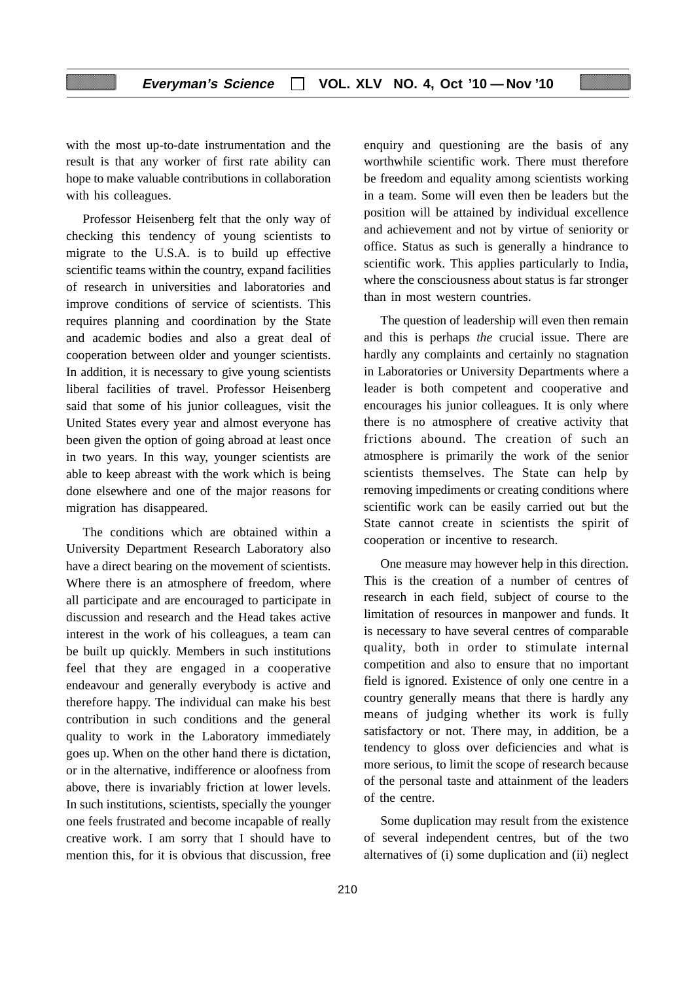with the most up-to-date instrumentation and the result is that any worker of first rate ability can hope to make valuable contributions in collaboration with his colleagues.

Professor Heisenberg felt that the only way of checking this tendency of young scientists to migrate to the U.S.A. is to build up effective scientific teams within the country, expand facilities of research in universities and laboratories and improve conditions of service of scientists. This requires planning and coordination by the State and academic bodies and also a great deal of cooperation between older and younger scientists. In addition, it is necessary to give young scientists liberal facilities of travel. Professor Heisenberg said that some of his junior colleagues, visit the United States every year and almost everyone has been given the option of going abroad at least once in two years. In this way, younger scientists are able to keep abreast with the work which is being done elsewhere and one of the major reasons for migration has disappeared.

The conditions which are obtained within a University Department Research Laboratory also have a direct bearing on the movement of scientists. Where there is an atmosphere of freedom, where all participate and are encouraged to participate in discussion and research and the Head takes active interest in the work of his colleagues, a team can be built up quickly. Members in such institutions feel that they are engaged in a cooperative endeavour and generally everybody is active and therefore happy. The individual can make his best contribution in such conditions and the general quality to work in the Laboratory immediately goes up. When on the other hand there is dictation, or in the alternative, indifference or aloofness from above, there is invariably friction at lower levels. In such institutions, scientists, specially the younger one feels frustrated and become incapable of really creative work. I am sorry that I should have to mention this, for it is obvious that discussion, free enquiry and questioning are the basis of any worthwhile scientific work. There must therefore be freedom and equality among scientists working in a team. Some will even then be leaders but the position will be attained by individual excellence and achievement and not by virtue of seniority or office. Status as such is generally a hindrance to scientific work. This applies particularly to India, where the consciousness about status is far stronger than in most western countries.

The question of leadership will even then remain and this is perhaps *the* crucial issue. There are hardly any complaints and certainly no stagnation in Laboratories or University Departments where a leader is both competent and cooperative and encourages his junior colleagues. It is only where there is no atmosphere of creative activity that frictions abound. The creation of such an atmosphere is primarily the work of the senior scientists themselves. The State can help by removing impediments or creating conditions where scientific work can be easily carried out but the State cannot create in scientists the spirit of cooperation or incentive to research.

One measure may however help in this direction. This is the creation of a number of centres of research in each field, subject of course to the limitation of resources in manpower and funds. It is necessary to have several centres of comparable quality, both in order to stimulate internal competition and also to ensure that no important field is ignored. Existence of only one centre in a country generally means that there is hardly any means of judging whether its work is fully satisfactory or not. There may, in addition, be a tendency to gloss over deficiencies and what is more serious, to limit the scope of research because of the personal taste and attainment of the leaders of the centre.

Some duplication may result from the existence of several independent centres, but of the two alternatives of (i) some duplication and (ii) neglect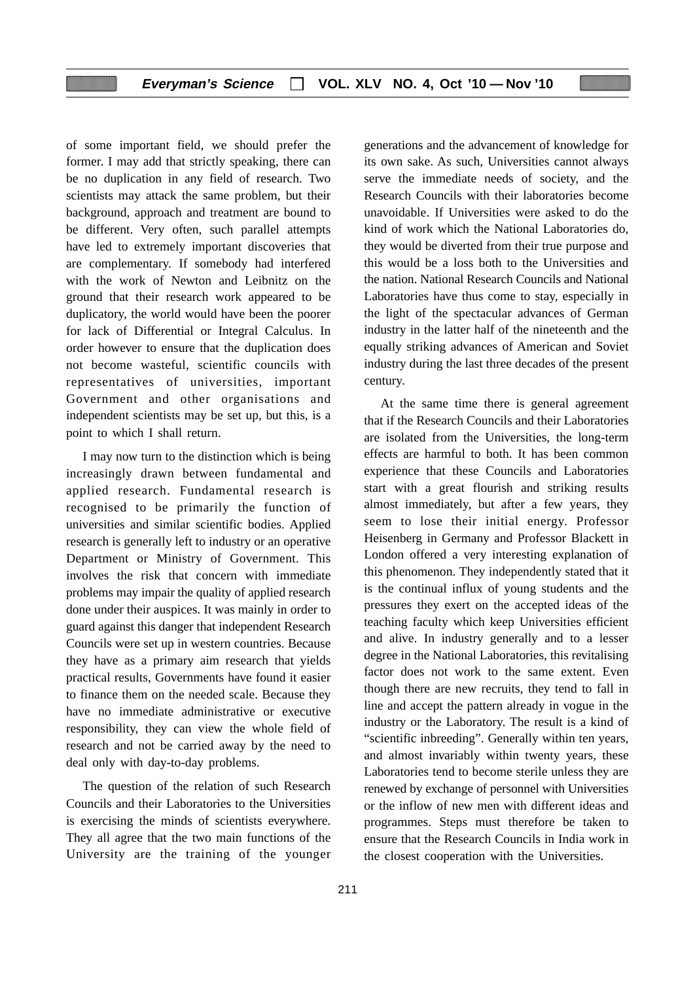of some important field, we should prefer the former. I may add that strictly speaking, there can be no duplication in any field of research. Two scientists may attack the same problem, but their background, approach and treatment are bound to be different. Very often, such parallel attempts have led to extremely important discoveries that are complementary. If somebody had interfered with the work of Newton and Leibnitz on the ground that their research work appeared to be duplicatory, the world would have been the poorer for lack of Differential or Integral Calculus. In order however to ensure that the duplication does not become wasteful, scientific councils with representatives of universities, important Government and other organisations and independent scientists may be set up, but this, is a point to which I shall return.

I may now turn to the distinction which is being increasingly drawn between fundamental and applied research. Fundamental research is recognised to be primarily the function of universities and similar scientific bodies. Applied research is generally left to industry or an operative Department or Ministry of Government. This involves the risk that concern with immediate problems may impair the quality of applied research done under their auspices. It was mainly in order to guard against this danger that independent Research Councils were set up in western countries. Because they have as a primary aim research that yields practical results, Governments have found it easier to finance them on the needed scale. Because they have no immediate administrative or executive responsibility, they can view the whole field of research and not be carried away by the need to deal only with day-to-day problems.

The question of the relation of such Research Councils and their Laboratories to the Universities is exercising the minds of scientists everywhere. They all agree that the two main functions of the University are the training of the younger generations and the advancement of knowledge for its own sake. As such, Universities cannot always serve the immediate needs of society, and the Research Councils with their laboratories become unavoidable. If Universities were asked to do the kind of work which the National Laboratories do, they would be diverted from their true purpose and this would be a loss both to the Universities and the nation. National Research Councils and National Laboratories have thus come to stay, especially in the light of the spectacular advances of German industry in the latter half of the nineteenth and the equally striking advances of American and Soviet industry during the last three decades of the present century.

At the same time there is general agreement that if the Research Councils and their Laboratories are isolated from the Universities, the long-term effects are harmful to both. It has been common experience that these Councils and Laboratories start with a great flourish and striking results almost immediately, but after a few years, they seem to lose their initial energy. Professor Heisenberg in Germany and Professor Blackett in London offered a very interesting explanation of this phenomenon. They independently stated that it is the continual influx of young students and the pressures they exert on the accepted ideas of the teaching faculty which keep Universities efficient and alive. In industry generally and to a lesser degree in the National Laboratories, this revitalising factor does not work to the same extent. Even though there are new recruits, they tend to fall in line and accept the pattern already in vogue in the industry or the Laboratory. The result is a kind of "scientific inbreeding". Generally within ten years, and almost invariably within twenty years, these Laboratories tend to become sterile unless they are renewed by exchange of personnel with Universities or the inflow of new men with different ideas and programmes. Steps must therefore be taken to ensure that the Research Councils in India work in the closest cooperation with the Universities.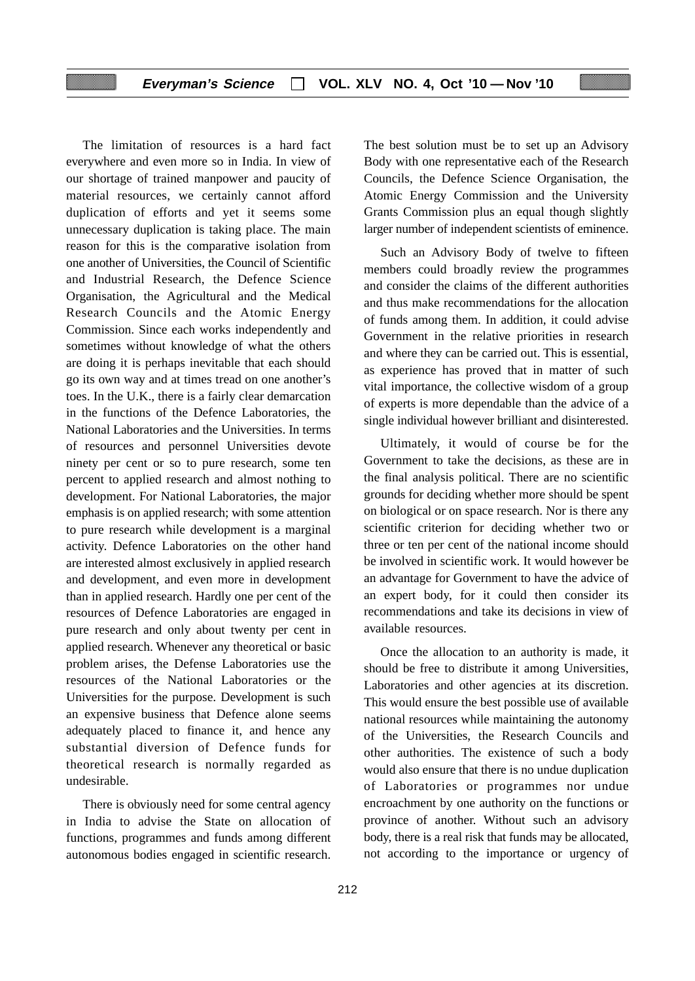The limitation of resources is a hard fact everywhere and even more so in India. In view of our shortage of trained manpower and paucity of material resources, we certainly cannot afford duplication of efforts and yet it seems some unnecessary duplication is taking place. The main reason for this is the comparative isolation from one another of Universities, the Council of Scientific and Industrial Research, the Defence Science Organisation, the Agricultural and the Medical Research Councils and the Atomic Energy Commission. Since each works independently and sometimes without knowledge of what the others are doing it is perhaps inevitable that each should go its own way and at times tread on one another's toes. In the U.K., there is a fairly clear demarcation in the functions of the Defence Laboratories, the National Laboratories and the Universities. In terms of resources and personnel Universities devote ninety per cent or so to pure research, some ten percent to applied research and almost nothing to development. For National Laboratories, the major emphasis is on applied research; with some attention to pure research while development is a marginal activity. Defence Laboratories on the other hand are interested almost exclusively in applied research and development, and even more in development than in applied research. Hardly one per cent of the resources of Defence Laboratories are engaged in pure research and only about twenty per cent in applied research. Whenever any theoretical or basic problem arises, the Defense Laboratories use the resources of the National Laboratories or the Universities for the purpose. Development is such an expensive business that Defence alone seems adequately placed to finance it, and hence any substantial diversion of Defence funds for theoretical research is normally regarded as undesirable.

There is obviously need for some central agency in India to advise the State on allocation of functions, programmes and funds among different autonomous bodies engaged in scientific research. The best solution must be to set up an Advisory Body with one representative each of the Research Councils, the Defence Science Organisation, the Atomic Energy Commission and the University Grants Commission plus an equal though slightly larger number of independent scientists of eminence.

Such an Advisory Body of twelve to fifteen members could broadly review the programmes and consider the claims of the different authorities and thus make recommendations for the allocation of funds among them. In addition, it could advise Government in the relative priorities in research and where they can be carried out. This is essential, as experience has proved that in matter of such vital importance, the collective wisdom of a group of experts is more dependable than the advice of a single individual however brilliant and disinterested.

Ultimately, it would of course be for the Government to take the decisions, as these are in the final analysis political. There are no scientific grounds for deciding whether more should be spent on biological or on space research. Nor is there any scientific criterion for deciding whether two or three or ten per cent of the national income should be involved in scientific work. It would however be an advantage for Government to have the advice of an expert body, for it could then consider its recommendations and take its decisions in view of available resources.

Once the allocation to an authority is made, it should be free to distribute it among Universities, Laboratories and other agencies at its discretion. This would ensure the best possible use of available national resources while maintaining the autonomy of the Universities, the Research Councils and other authorities. The existence of such a body would also ensure that there is no undue duplication of Laboratories or programmes nor undue encroachment by one authority on the functions or province of another. Without such an advisory body, there is a real risk that funds may be allocated, not according to the importance or urgency of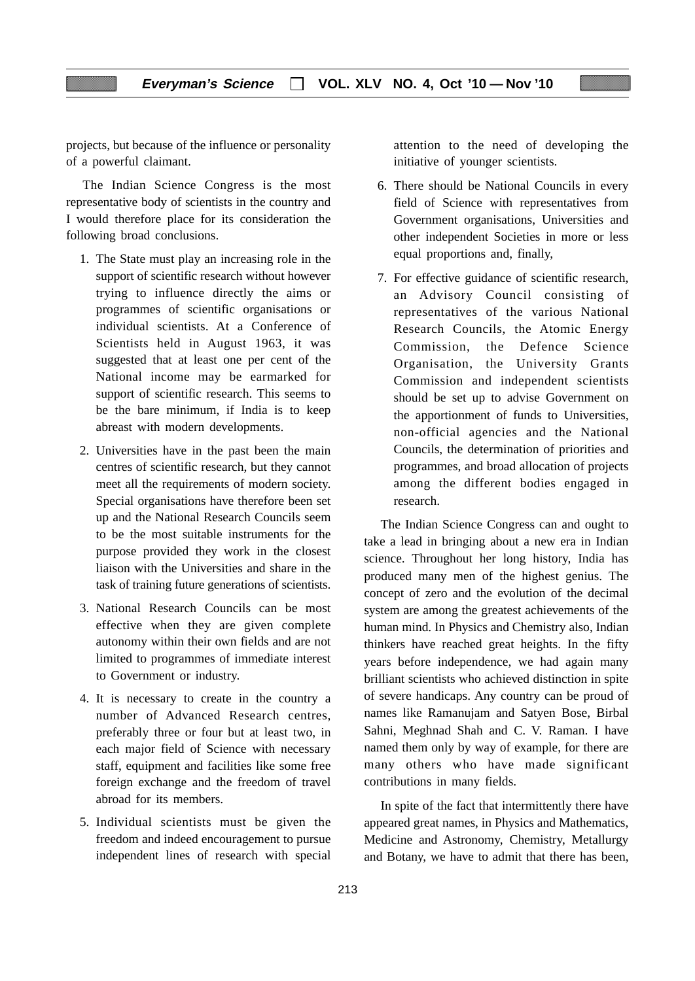projects, but because of the influence or personality of a powerful claimant.

The Indian Science Congress is the most representative body of scientists in the country and I would therefore place for its consideration the following broad conclusions.

- 1. The State must play an increasing role in the support of scientific research without however trying to influence directly the aims or programmes of scientific organisations or individual scientists. At a Conference of Scientists held in August 1963, it was suggested that at least one per cent of the National income may be earmarked for support of scientific research. This seems to be the bare minimum, if India is to keep abreast with modern developments.
- 2. Universities have in the past been the main centres of scientific research, but they cannot meet all the requirements of modern society. Special organisations have therefore been set up and the National Research Councils seem to be the most suitable instruments for the purpose provided they work in the closest liaison with the Universities and share in the task of training future generations of scientists.
- 3. National Research Councils can be most effective when they are given complete autonomy within their own fields and are not limited to programmes of immediate interest to Government or industry.
- 4. It is necessary to create in the country a number of Advanced Research centres, preferably three or four but at least two, in each major field of Science with necessary staff, equipment and facilities like some free foreign exchange and the freedom of travel abroad for its members.
- 5. Individual scientists must be given the freedom and indeed encouragement to pursue independent lines of research with special

attention to the need of developing the initiative of younger scientists.

- 6. There should be National Councils in every field of Science with representatives from Government organisations, Universities and other independent Societies in more or less equal proportions and, finally,
- 7. For effective guidance of scientific research, an Advisory Council consisting of representatives of the various National Research Councils, the Atomic Energy Commission, the Defence Science Organisation, the University Grants Commission and independent scientists should be set up to advise Government on the apportionment of funds to Universities, non-official agencies and the National Councils, the determination of priorities and programmes, and broad allocation of projects among the different bodies engaged in research.

The Indian Science Congress can and ought to take a lead in bringing about a new era in Indian science. Throughout her long history, India has produced many men of the highest genius. The concept of zero and the evolution of the decimal system are among the greatest achievements of the human mind. In Physics and Chemistry also, Indian thinkers have reached great heights. In the fifty years before independence, we had again many brilliant scientists who achieved distinction in spite of severe handicaps. Any country can be proud of names like Ramanujam and Satyen Bose, Birbal Sahni, Meghnad Shah and C. V. Raman. I have named them only by way of example, for there are many others who have made significant contributions in many fields.

In spite of the fact that intermittently there have appeared great names, in Physics and Mathematics, Medicine and Astronomy, Chemistry, Metallurgy and Botany, we have to admit that there has been,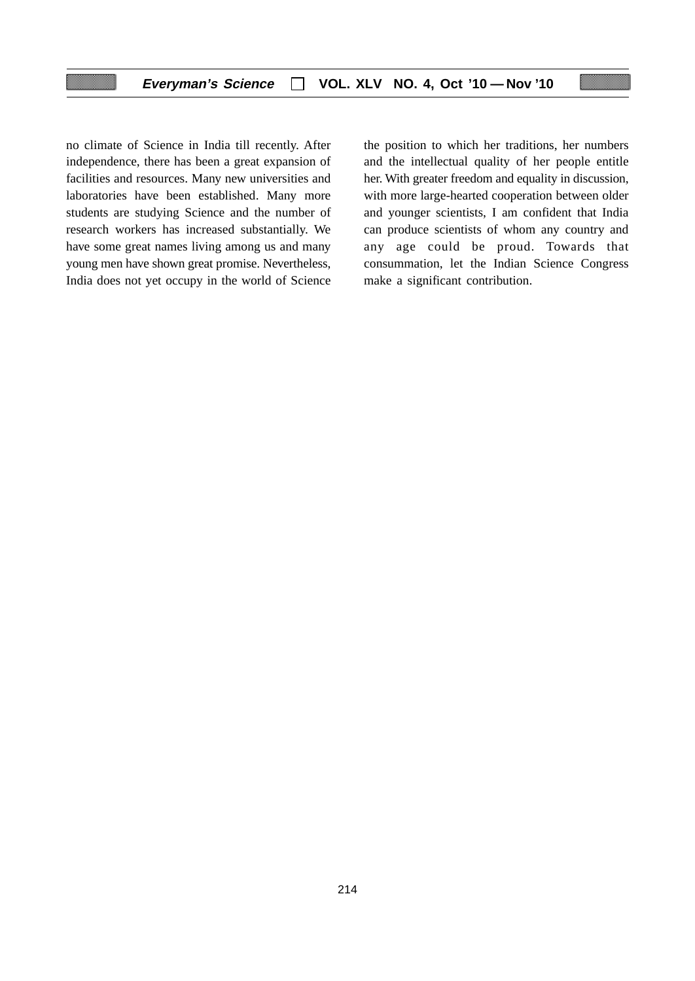no climate of Science in India till recently. After independence, there has been a great expansion of facilities and resources. Many new universities and laboratories have been established. Many more students are studying Science and the number of research workers has increased substantially. We have some great names living among us and many young men have shown great promise. Nevertheless, India does not yet occupy in the world of Science the position to which her traditions, her numbers and the intellectual quality of her people entitle her. With greater freedom and equality in discussion, with more large-hearted cooperation between older and younger scientists, I am confident that India can produce scientists of whom any country and any age could be proud. Towards that consummation, let the Indian Science Congress make a significant contribution.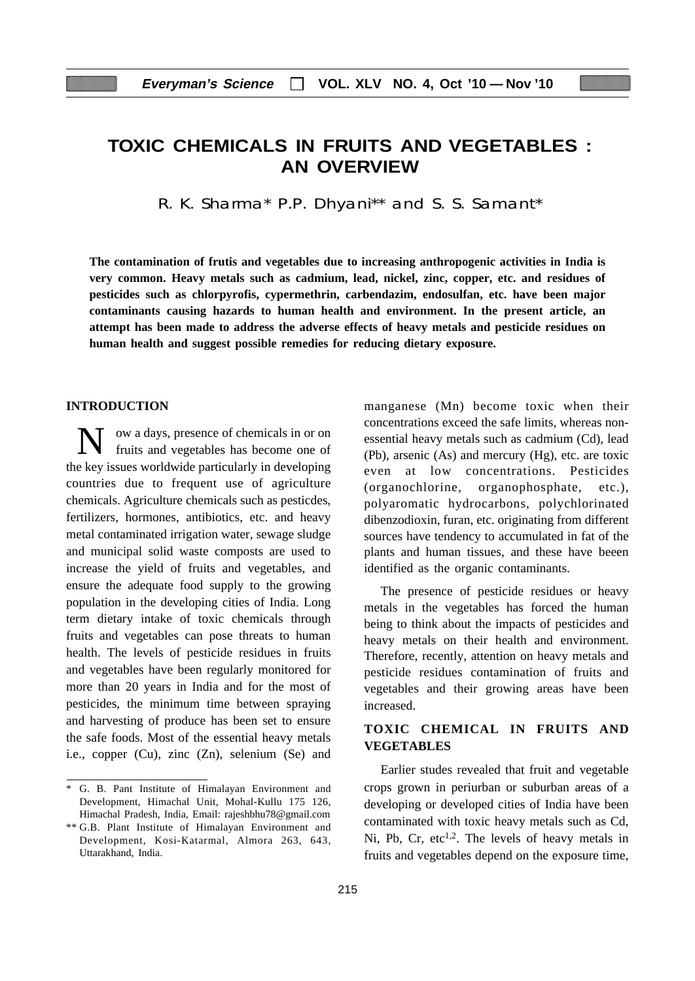## **TOXIC CHEMICALS IN FRUITS AND VEGETABLES : AN OVERVIEW**

R. K. Sharma\* P.P. Dhyani\*\* and S. S. Samant\*

**The contamination of frutis and vegetables due to increasing anthropogenic activities in India is very common. Heavy metals such as cadmium, lead, nickel, zinc, copper, etc. and residues of pesticides such as chlorpyrofis, cypermethrin, carbendazim, endosulfan, etc. have been major contaminants causing hazards to human health and environment. In the present article, an attempt has been made to address the adverse effects of heavy metals and pesticide residues on human health and suggest possible remedies for reducing dietary exposure.**

#### **INTRODUCTION**

ow a days, presence of chemicals in or on fruits and vegetables has become one of the key issues worldwide particularly in developing countries due to frequent use of agriculture chemicals. Agriculture chemicals such as pesticdes, fertilizers, hormones, antibiotics, etc. and heavy metal contaminated irrigation water, sewage sludge and municipal solid waste composts are used to increase the yield of fruits and vegetables, and ensure the adequate food supply to the growing population in the developing cities of India. Long term dietary intake of toxic chemicals through fruits and vegetables can pose threats to human health. The levels of pesticide residues in fruits and vegetables have been regularly monitored for more than 20 years in India and for the most of pesticides, the minimum time between spraying and harvesting of produce has been set to ensure the safe foods. Most of the essential heavy metals i.e., copper (Cu), zinc (Zn), selenium (Se) and manganese (Mn) become toxic when their concentrations exceed the safe limits, whereas nonessential heavy metals such as cadmium (Cd), lead (Pb), arsenic (As) and mercury (Hg), etc. are toxic even at low concentrations. Pesticides (organochlorine, organophosphate, etc.), polyaromatic hydrocarbons, polychlorinated dibenzodioxin, furan, etc. originating from different sources have tendency to accumulated in fat of the plants and human tissues, and these have beeen identified as the organic contaminants.

The presence of pesticide residues or heavy metals in the vegetables has forced the human being to think about the impacts of pesticides and heavy metals on their health and environment. Therefore, recently, attention on heavy metals and pesticide residues contamination of fruits and vegetables and their growing areas have been increased.

## **TOXIC CHEMICAL IN FRUITS AND VEGETABLES**

Earlier studes revealed that fruit and vegetable crops grown in periurban or suburban areas of a developing or developed cities of India have been contaminated with toxic heavy metals such as Cd, Ni, Pb, Cr,  $etc^{1,2}$ . The levels of heavy metals in fruits and vegetables depend on the exposure time,

<sup>\*</sup> G. B. Pant Institute of Himalayan Environment and Development, Himachal Unit, Mohal-Kullu 175 126, Himachal Pradesh, India, Email: rajeshbhu78@gmail.com

<sup>\*\*</sup> G.B. Plant Institute of Himalayan Environment and Development, Kosi-Katarmal, Almora 263, 643, Uttarakhand, India.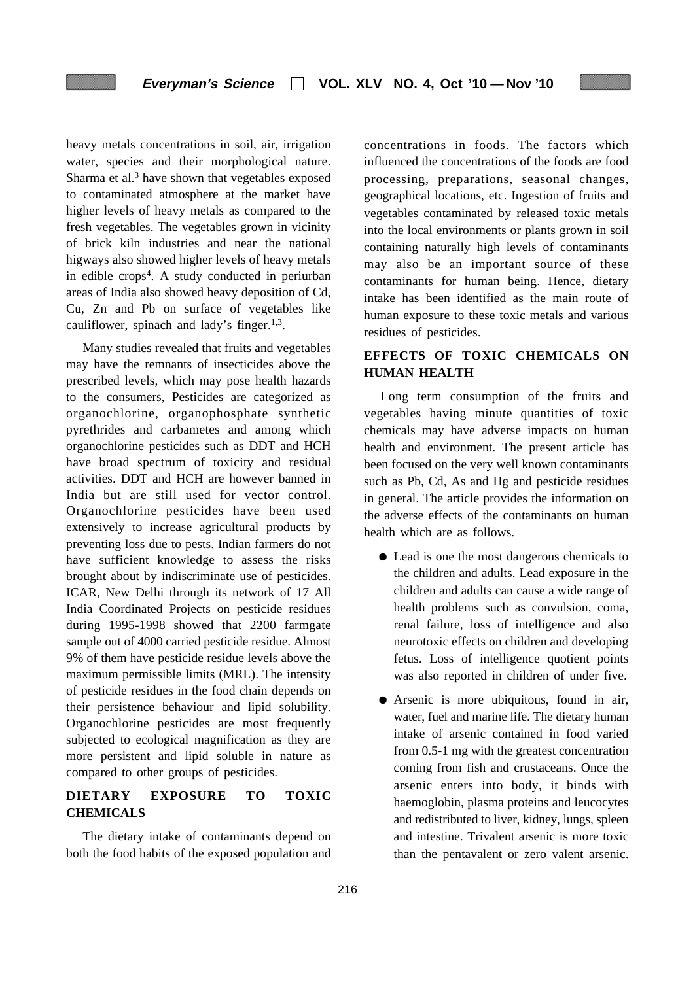heavy metals concentrations in soil, air, irrigation water, species and their morphological nature. Sharma et al.<sup>3</sup> have shown that vegetables exposed to contaminated atmosphere at the market have higher levels of heavy metals as compared to the fresh vegetables. The vegetables grown in vicinity of brick kiln industries and near the national higways also showed higher levels of heavy metals in edible  $\cos^4$ . A study conducted in periurban areas of India also showed heavy deposition of Cd, Cu, Zn and Pb on surface of vegetables like cauliflower, spinach and lady's finger. $1,3$ .

Many studies revealed that fruits and vegetables may have the remnants of insecticides above the prescribed levels, which may pose health hazards to the consumers, Pesticides are categorized as organochlorine, organophosphate synthetic pyrethrides and carbametes and among which organochlorine pesticides such as DDT and HCH have broad spectrum of toxicity and residual activities. DDT and HCH are however banned in India but are still used for vector control. Organochlorine pesticides have been used extensively to increase agricultural products by preventing loss due to pests. Indian farmers do not have sufficient knowledge to assess the risks brought about by indiscriminate use of pesticides. ICAR, New Delhi through its network of 17 All India Coordinated Projects on pesticide residues during 1995-1998 showed that 2200 farmgate sample out of 4000 carried pesticide residue. Almost 9% of them have pesticide residue levels above the maximum permissible limits (MRL). The intensity of pesticide residues in the food chain depends on their persistence behaviour and lipid solubility. Organochlorine pesticides are most frequently subjected to ecological magnification as they are more persistent and lipid soluble in nature as compared to other groups of pesticides.

## **DIETARY EXPOSURE TO TOXIC CHEMICALS**

The dietary intake of contaminants depend on both the food habits of the exposed population and concentrations in foods. The factors which influenced the concentrations of the foods are food processing, preparations, seasonal changes, geographical locations, etc. Ingestion of fruits and vegetables contaminated by released toxic metals into the local environments or plants grown in soil containing naturally high levels of contaminants may also be an important source of these contaminants for human being. Hence, dietary intake has been identified as the main route of human exposure to these toxic metals and various residues of pesticides.

## **EFFECTS OF TOXIC CHEMICALS ON HUMAN HEALTH**

Long term consumption of the fruits and vegetables having minute quantities of toxic chemicals may have adverse impacts on human health and environment. The present article has been focused on the very well known contaminants such as Pb, Cd, As and Hg and pesticide residues in general. The article provides the information on the adverse effects of the contaminants on human health which are as follows.

- Lead is one the most dangerous chemicals to the children and adults. Lead exposure in the children and adults can cause a wide range of health problems such as convulsion, coma, renal failure, loss of intelligence and also neurotoxic effects on children and developing fetus. Loss of intelligence quotient points was also reported in children of under five.
- Arsenic is more ubiquitous, found in air, water, fuel and marine life. The dietary human intake of arsenic contained in food varied from 0.5-1 mg with the greatest concentration coming from fish and crustaceans. Once the arsenic enters into body, it binds with haemoglobin, plasma proteins and leucocytes and redistributed to liver, kidney, lungs, spleen and intestine. Trivalent arsenic is more toxic than the pentavalent or zero valent arsenic.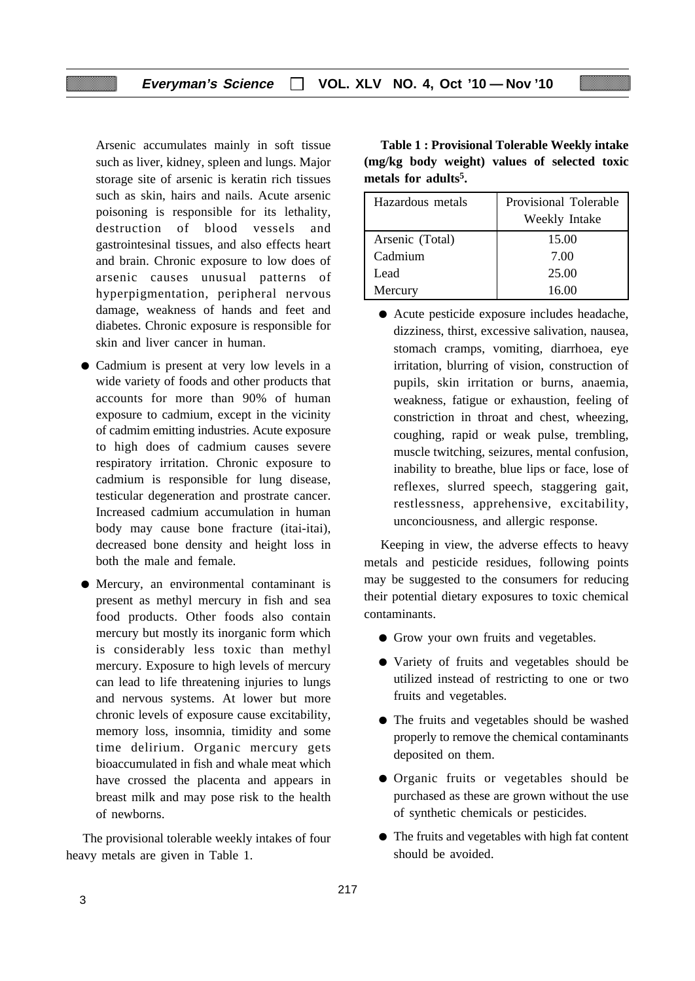Arsenic accumulates mainly in soft tissue such as liver, kidney, spleen and lungs. Major storage site of arsenic is keratin rich tissues such as skin, hairs and nails. Acute arsenic poisoning is responsible for its lethality, destruction of blood vessels and gastrointesinal tissues, and also effects heart and brain. Chronic exposure to low does of arsenic causes unusual patterns of hyperpigmentation, peripheral nervous damage, weakness of hands and feet and diabetes. Chronic exposure is responsible for skin and liver cancer in human.

- Cadmium is present at very low levels in a wide variety of foods and other products that accounts for more than 90% of human exposure to cadmium, except in the vicinity of cadmim emitting industries. Acute exposure to high does of cadmium causes severe respiratory irritation. Chronic exposure to cadmium is responsible for lung disease, testicular degeneration and prostrate cancer. Increased cadmium accumulation in human body may cause bone fracture (itai-itai), decreased bone density and height loss in both the male and female.
- Mercury, an environmental contaminant is present as methyl mercury in fish and sea food products. Other foods also contain mercury but mostly its inorganic form which is considerably less toxic than methyl mercury. Exposure to high levels of mercury can lead to life threatening injuries to lungs and nervous systems. At lower but more chronic levels of exposure cause excitability, memory loss, insomnia, timidity and some time delirium. Organic mercury gets bioaccumulated in fish and whale meat which have crossed the placenta and appears in breast milk and may pose risk to the health of newborns.

The provisional tolerable weekly intakes of four heavy metals are given in Table 1.

**Table 1 : Provisional Tolerable Weekly intake (mg/kg body weight) values of selected toxic metals for adults5.**

| Hazardous metals | Provisional Tolerable |  |  |  |
|------------------|-----------------------|--|--|--|
|                  | Weekly Intake         |  |  |  |
| Arsenic (Total)  | 15.00                 |  |  |  |
| Cadmium          | 7.00                  |  |  |  |
| Lead             | 25.00                 |  |  |  |
| Mercury          | 16.00                 |  |  |  |

● Acute pesticide exposure includes headache, dizziness, thirst, excessive salivation, nausea, stomach cramps, vomiting, diarrhoea, eye irritation, blurring of vision, construction of pupils, skin irritation or burns, anaemia, weakness, fatigue or exhaustion, feeling of constriction in throat and chest, wheezing, coughing, rapid or weak pulse, trembling, muscle twitching, seizures, mental confusion, inability to breathe, blue lips or face, lose of reflexes, slurred speech, staggering gait, restlessness, apprehensive, excitability, unconciousness, and allergic response.

Keeping in view, the adverse effects to heavy metals and pesticide residues, following points may be suggested to the consumers for reducing their potential dietary exposures to toxic chemical contaminants.

- Grow your own fruits and vegetables.
- Variety of fruits and vegetables should be utilized instead of restricting to one or two fruits and vegetables.
- The fruits and vegetables should be washed properly to remove the chemical contaminants deposited on them.
- Organic fruits or vegetables should be purchased as these are grown without the use of synthetic chemicals or pesticides.
- The fruits and vegetables with high fat content should be avoided.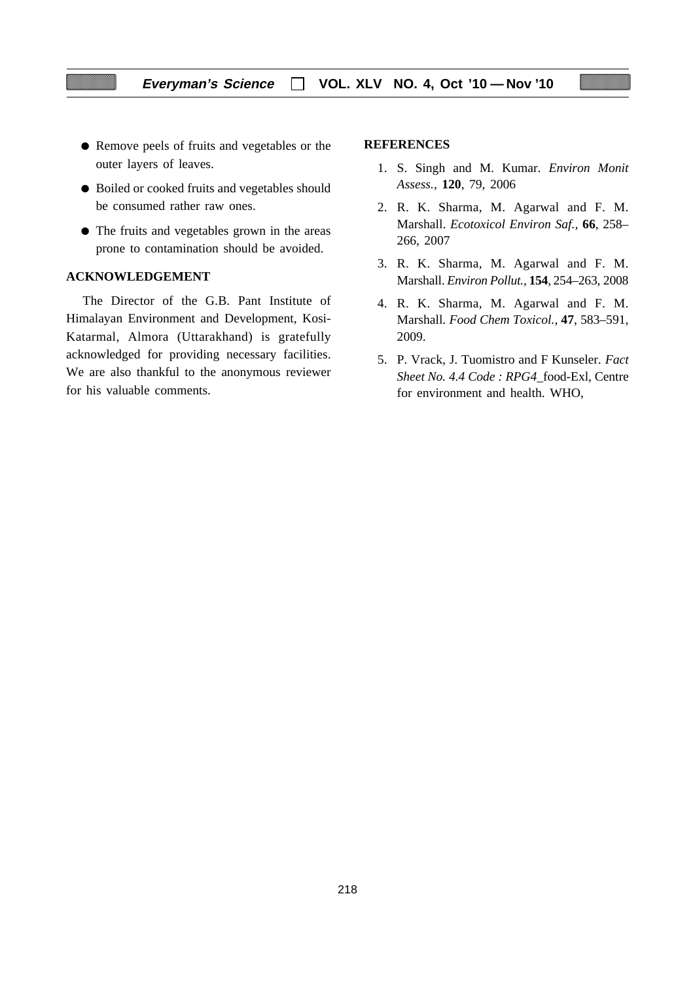- Remove peels of fruits and vegetables or the outer layers of leaves.
- Boiled or cooked fruits and vegetables should be consumed rather raw ones.
- The fruits and vegetables grown in the areas prone to contamination should be avoided.

## **ACKNOWLEDGEMENT**

The Director of the G.B. Pant Institute of Himalayan Environment and Development, Kosi-Katarmal, Almora (Uttarakhand) is gratefully acknowledged for providing necessary facilities. We are also thankful to the anonymous reviewer for his valuable comments.

#### **REFERENCES**

- 1. S. Singh and M. Kumar. *Environ Monit Assess.,* **120**, 79, 2006
- 2. R. K. Sharma, M. Agarwal and F. M. Marshall. *Ecotoxicol Environ Saf.,* **66**, 258– 266, 2007
- 3. R. K. Sharma, M. Agarwal and F. M. Marshall. *Environ Pollut.,* **154**, 254–263, 2008
- 4. R. K. Sharma, M. Agarwal and F. M. Marshall. *Food Chem Toxicol.,* **47**, 583–591, 2009.
- 5. P. Vrack, J. Tuomistro and F Kunseler. *Fact Sheet No. 4.4 Code : RPG4*\_food-Exl, Centre for environment and health. WHO,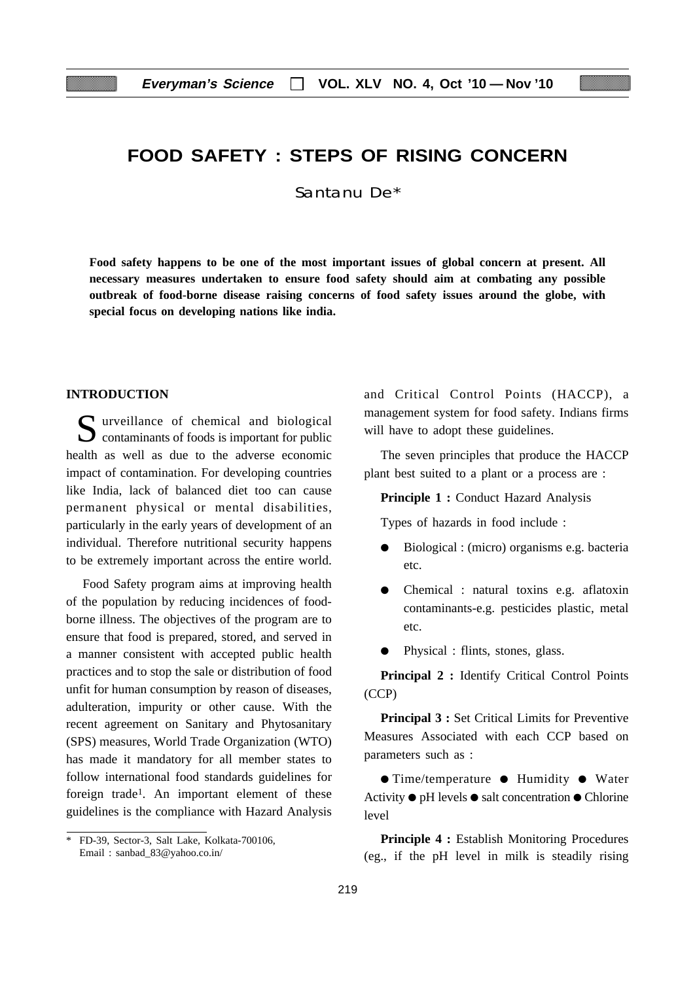## **FOOD SAFETY : STEPS OF RISING CONCERN**

Santanu De\*

**Food safety happens to be one of the most important issues of global concern at present. All necessary measures undertaken to ensure food safety should aim at combating any possible outbreak of food-borne disease raising concerns of food safety issues around the globe, with special focus on developing nations like india.**

#### **INTRODUCTION**

Surveillance of chemical and biological  $\sum$  contaminants of foods is important for public health as well as due to the adverse economic impact of contamination. For developing countries like India, lack of balanced diet too can cause permanent physical or mental disabilities, particularly in the early years of development of an individual. Therefore nutritional security happens to be extremely important across the entire world.

Food Safety program aims at improving health of the population by reducing incidences of foodborne illness. The objectives of the program are to ensure that food is prepared, stored, and served in a manner consistent with accepted public health practices and to stop the sale or distribution of food unfit for human consumption by reason of diseases, adulteration, impurity or other cause. With the recent agreement on Sanitary and Phytosanitary (SPS) measures, World Trade Organization (WTO) has made it mandatory for all member states to follow international food standards guidelines for foreign trade1. An important element of these guidelines is the compliance with Hazard Analysis and Critical Control Points (HACCP), a management system for food safety. Indians firms will have to adopt these guidelines.

The seven principles that produce the HACCP plant best suited to a plant or a process are :

**Principle 1 :** Conduct Hazard Analysis

Types of hazards in food include :

- Biological : (micro) organisms e.g. bacteria etc.
- Chemical : natural toxins e.g. aflatoxin contaminants-e.g. pesticides plastic, metal etc.
- Physical : flints, stones, glass.

**Principal 2 :** Identify Critical Control Points (CCP)

**Principal 3 :** Set Critical Limits for Preventive Measures Associated with each CCP based on parameters such as :

● Time/temperature ● Humidity ● Water Activity ● pH levels ● salt concentration ● Chlorine level

**Principle 4 :** Establish Monitoring Procedures (eg., if the pH level in milk is steadily rising

<sup>\*</sup> FD-39, Sector-3, Salt Lake, Kolkata-700106, Email : sanbad\_83@yahoo.co.in/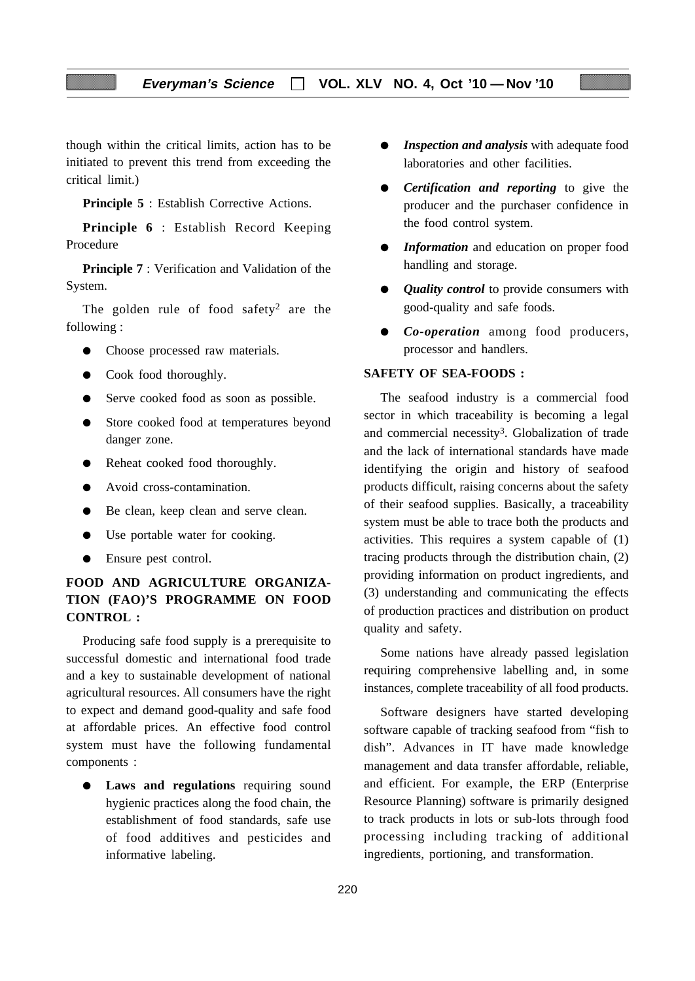though within the critical limits, action has to be initiated to prevent this trend from exceeding the critical limit.)

**Principle 5** : Establish Corrective Actions.

**Principle 6** : Establish Record Keeping Procedure

**Principle 7** : Verification and Validation of the System.

The golden rule of food safety<sup>2</sup> are the following :

- Choose processed raw materials.
- Cook food thoroughly.
- Serve cooked food as soon as possible.
- Store cooked food at temperatures beyond danger zone.
- Reheat cooked food thoroughly.
- Avoid cross-contamination.
- Be clean, keep clean and serve clean.
- Use portable water for cooking.
- Ensure pest control.

## **FOOD AND AGRICULTURE ORGANIZA-TION (FAO)'S PROGRAMME ON FOOD CONTROL :**

Producing safe food supply is a prerequisite to successful domestic and international food trade and a key to sustainable development of national agricultural resources. All consumers have the right to expect and demand good-quality and safe food at affordable prices. An effective food control system must have the following fundamental components :

● **Laws and regulations** requiring sound hygienic practices along the food chain, the establishment of food standards, safe use of food additives and pesticides and informative labeling.

- *Inspection and analysis* with adequate food laboratories and other facilities.
- *Certification and reporting* to give the producer and the purchaser confidence in the food control system.
- **•** *Information* and education on proper food handling and storage.
- *Quality control* to provide consumers with good-quality and safe foods.
- *Co-operation* among food producers, processor and handlers.

## **SAFETY OF SEA-FOODS :**

The seafood industry is a commercial food sector in which traceability is becoming a legal and commercial necessity3. Globalization of trade and the lack of international standards have made identifying the origin and history of seafood products difficult, raising concerns about the safety of their seafood supplies. Basically, a traceability system must be able to trace both the products and activities. This requires a system capable of (1) tracing products through the distribution chain, (2) providing information on product ingredients, and (3) understanding and communicating the effects of production practices and distribution on product quality and safety.

Some nations have already passed legislation requiring comprehensive labelling and, in some instances, complete traceability of all food products.

Software designers have started developing software capable of tracking seafood from "fish to dish". Advances in IT have made knowledge management and data transfer affordable, reliable, and efficient. For example, the ERP (Enterprise Resource Planning) software is primarily designed to track products in lots or sub-lots through food processing including tracking of additional ingredients, portioning, and transformation.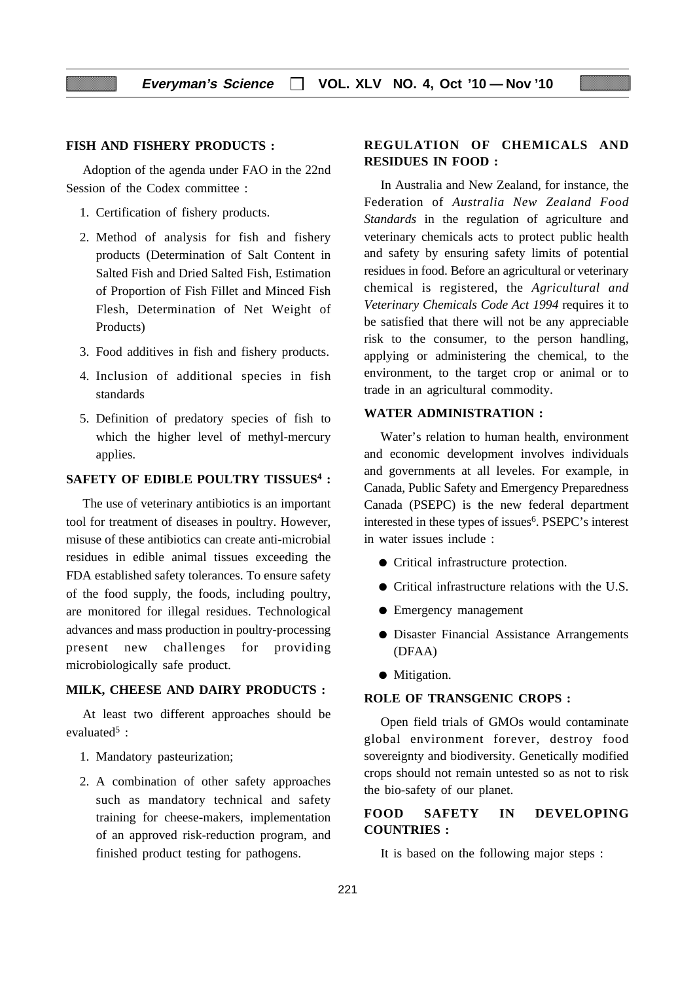#### **FISH AND FISHERY PRODUCTS :**

Adoption of the agenda under FAO in the 22nd Session of the Codex committee :

- 1. Certification of fishery products.
- 2. Method of analysis for fish and fishery products (Determination of Salt Content in Salted Fish and Dried Salted Fish, Estimation of Proportion of Fish Fillet and Minced Fish Flesh, Determination of Net Weight of Products)
- 3. Food additives in fish and fishery products.
- 4. Inclusion of additional species in fish standards
- 5. Definition of predatory species of fish to which the higher level of methyl-mercury applies.

#### **SAFETY OF EDIBLE POULTRY TISSUES4 :**

The use of veterinary antibiotics is an important tool for treatment of diseases in poultry. However, misuse of these antibiotics can create anti-microbial residues in edible animal tissues exceeding the FDA established safety tolerances. To ensure safety of the food supply, the foods, including poultry, are monitored for illegal residues. Technological advances and mass production in poultry-processing present new challenges for providing microbiologically safe product.

#### **MILK, CHEESE AND DAIRY PRODUCTS :**

At least two different approaches should be evaluated $5$ :

- 1. Mandatory pasteurization;
- 2. A combination of other safety approaches such as mandatory technical and safety training for cheese-makers, implementation of an approved risk-reduction program, and finished product testing for pathogens.

## **REGULATION OF CHEMICALS AND RESIDUES IN FOOD :**

In Australia and New Zealand, for instance, the Federation of *Australia New Zealand Food Standards* in the regulation of agriculture and veterinary chemicals acts to protect public health and safety by ensuring safety limits of potential residues in food. Before an agricultural or veterinary chemical is registered, the *Agricultural and Veterinary Chemicals Code Act 1994* requires it to be satisfied that there will not be any appreciable risk to the consumer, to the person handling, applying or administering the chemical, to the environment, to the target crop or animal or to trade in an agricultural commodity.

#### **WATER ADMINISTRATION :**

Water's relation to human health, environment and economic development involves individuals and governments at all leveles. For example, in Canada, Public Safety and Emergency Preparedness Canada (PSEPC) is the new federal department interested in these types of issues<sup>6</sup>. PSEPC's interest in water issues include :

- Critical infrastructure protection.
- Critical infrastructure relations with the U.S.
- Emergency management
- Disaster Financial Assistance Arrangements (DFAA)
- Mitigation.

#### **ROLE OF TRANSGENIC CROPS :**

Open field trials of GMOs would contaminate global environment forever, destroy food sovereignty and biodiversity. Genetically modified crops should not remain untested so as not to risk the bio-safety of our planet.

## **FOOD SAFETY IN DEVELOPING COUNTRIES :**

It is based on the following major steps :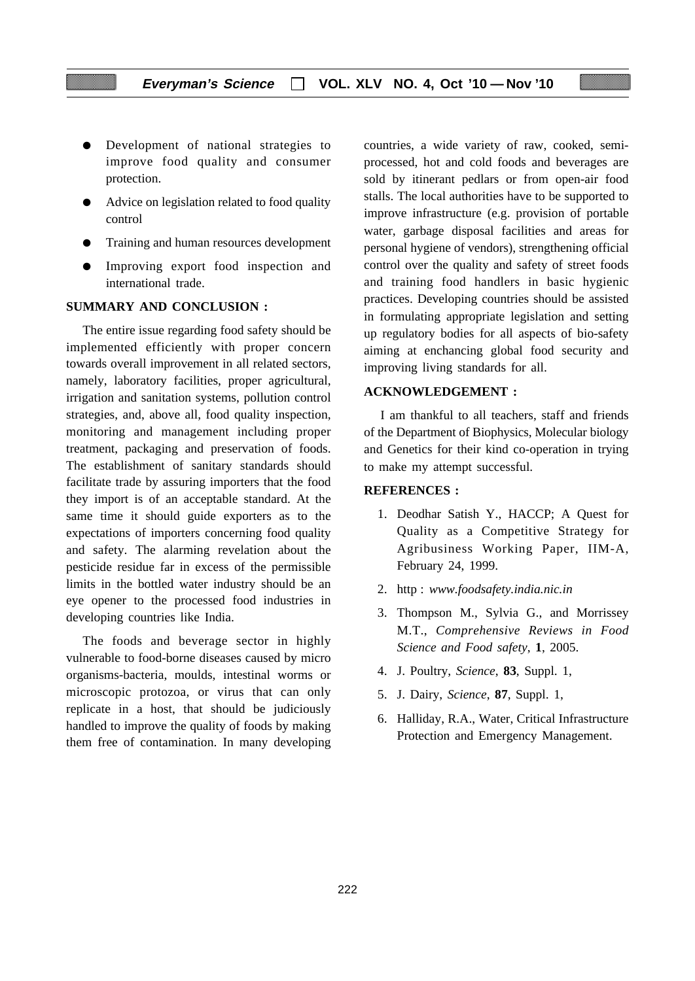- Development of national strategies to improve food quality and consumer protection.
- Advice on legislation related to food quality control
- Training and human resources development
- Improving export food inspection and international trade.

## **SUMMARY AND CONCLUSION :**

The entire issue regarding food safety should be implemented efficiently with proper concern towards overall improvement in all related sectors, namely, laboratory facilities, proper agricultural, irrigation and sanitation systems, pollution control strategies, and, above all, food quality inspection, monitoring and management including proper treatment, packaging and preservation of foods. The establishment of sanitary standards should facilitate trade by assuring importers that the food they import is of an acceptable standard. At the same time it should guide exporters as to the expectations of importers concerning food quality and safety. The alarming revelation about the pesticide residue far in excess of the permissible limits in the bottled water industry should be an eye opener to the processed food industries in developing countries like India.

The foods and beverage sector in highly vulnerable to food-borne diseases caused by micro organisms-bacteria, moulds, intestinal worms or microscopic protozoa, or virus that can only replicate in a host, that should be judiciously handled to improve the quality of foods by making them free of contamination. In many developing countries, a wide variety of raw, cooked, semiprocessed, hot and cold foods and beverages are sold by itinerant pedlars or from open-air food stalls. The local authorities have to be supported to improve infrastructure (e.g. provision of portable water, garbage disposal facilities and areas for personal hygiene of vendors), strengthening official control over the quality and safety of street foods and training food handlers in basic hygienic practices. Developing countries should be assisted in formulating appropriate legislation and setting up regulatory bodies for all aspects of bio-safety aiming at enchancing global food security and improving living standards for all.

#### **ACKNOWLEDGEMENT :**

I am thankful to all teachers, staff and friends of the Department of Biophysics, Molecular biology and Genetics for their kind co-operation in trying to make my attempt successful.

#### **REFERENCES :**

- 1. Deodhar Satish Y., HACCP; A Quest for Quality as a Competitive Strategy for Agribusiness Working Paper, IIM-A, February 24, 1999.
- 2. http : *www.foodsafety.india.nic.in*
- 3. Thompson M., Sylvia G., and Morrissey M.T., *Comprehensive Reviews in Food Science and Food safety*, **1**, 2005.
- 4. J. Poultry, *Science*, **83**, Suppl. 1,
- 5. J. Dairy, *Science*, **87**, Suppl. 1,
- 6. Halliday, R.A., Water, Critical Infrastructure Protection and Emergency Management.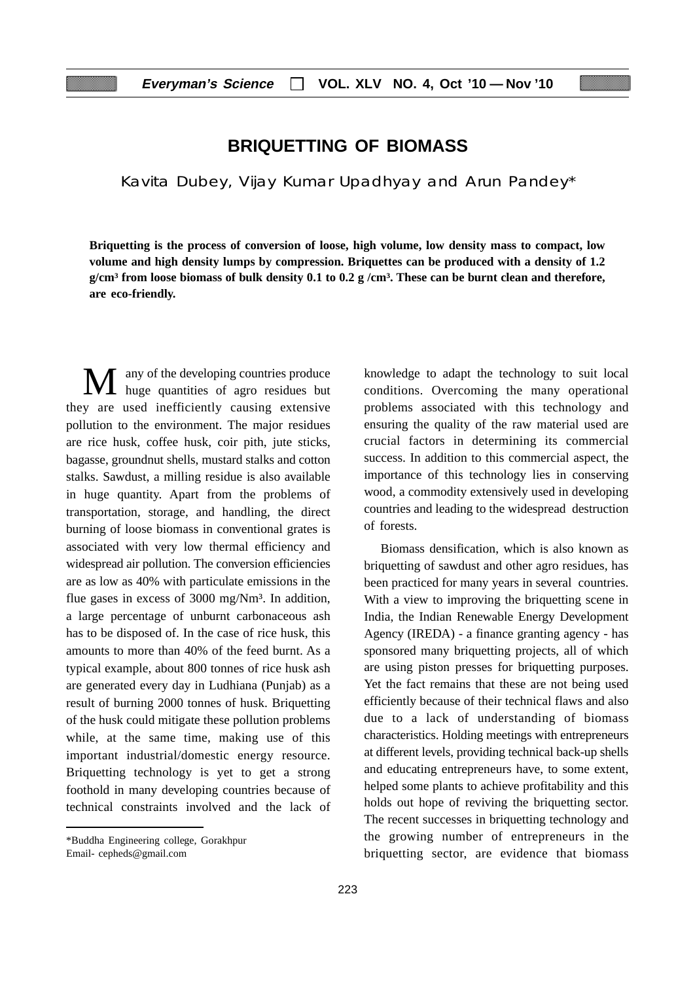## **BRIQUETTING OF BIOMASS**

Kavita Dubey, Vijay Kumar Upadhyay and Arun Pandey\*

**Briquetting is the process of conversion of loose, high volume, low density mass to compact, low volume and high density lumps by compression. Briquettes can be produced with a density of 1.2 g/cm³ from loose biomass of bulk density 0.1 to 0.2 g /cm³. These can be burnt clean and therefore, are eco-friendly.**

M any of the developing countries produce<br>huge quantities of agro residues but they are used inefficiently causing extensive pollution to the environment. The major residues are rice husk, coffee husk, coir pith, jute sticks, bagasse, groundnut shells, mustard stalks and cotton stalks. Sawdust, a milling residue is also available in huge quantity. Apart from the problems of transportation, storage, and handling, the direct burning of loose biomass in conventional grates is associated with very low thermal efficiency and widespread air pollution. The conversion efficiencies are as low as 40% with particulate emissions in the flue gases in excess of 3000 mg/Nm<sup>3</sup>. In addition, a large percentage of unburnt carbonaceous ash has to be disposed of. In the case of rice husk, this amounts to more than 40% of the feed burnt. As a typical example, about 800 tonnes of rice husk ash are generated every day in Ludhiana (Punjab) as a result of burning 2000 tonnes of husk. Briquetting of the husk could mitigate these pollution problems while, at the same time, making use of this important industrial/domestic energy resource. Briquetting technology is yet to get a strong foothold in many developing countries because of technical constraints involved and the lack of

knowledge to adapt the technology to suit local conditions. Overcoming the many operational problems associated with this technology and ensuring the quality of the raw material used are crucial factors in determining its commercial success. In addition to this commercial aspect, the importance of this technology lies in conserving wood, a commodity extensively used in developing countries and leading to the widespread destruction of forests.

Biomass densification, which is also known as briquetting of sawdust and other agro residues, has been practiced for many years in several countries. With a view to improving the briquetting scene in India, the Indian Renewable Energy Development Agency (IREDA) - a finance granting agency - has sponsored many briquetting projects, all of which are using piston presses for briquetting purposes. Yet the fact remains that these are not being used efficiently because of their technical flaws and also due to a lack of understanding of biomass characteristics. Holding meetings with entrepreneurs at different levels, providing technical back-up shells and educating entrepreneurs have, to some extent, helped some plants to achieve profitability and this holds out hope of reviving the briquetting sector. The recent successes in briquetting technology and the growing number of entrepreneurs in the briquetting sector, are evidence that biomass

<sup>\*</sup>Buddha Engineering college, Gorakhpur

Email- cepheds@gmail.com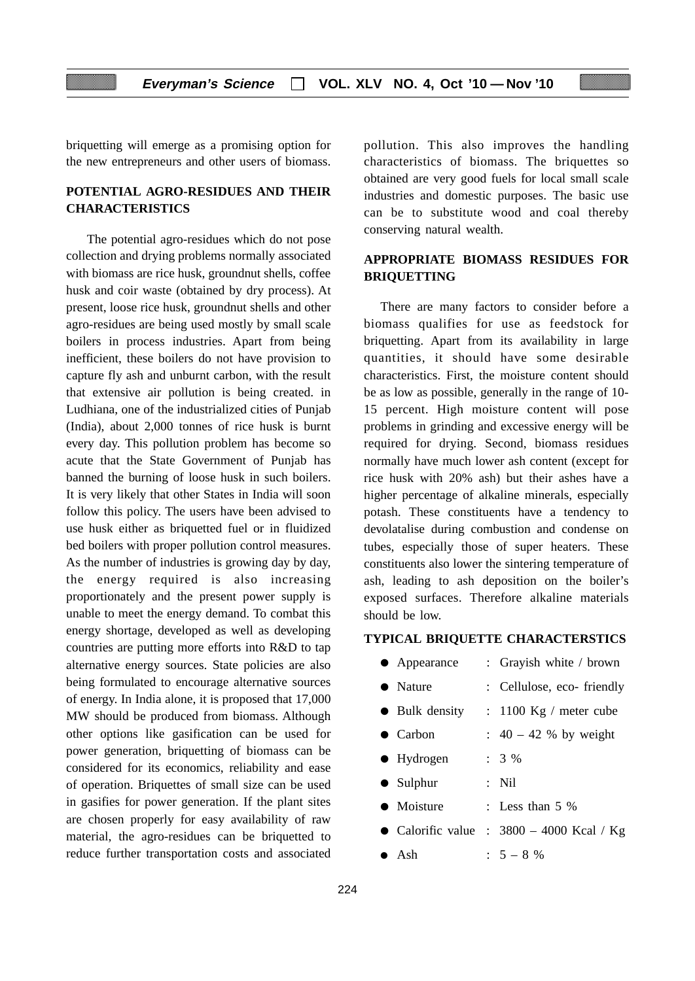briquetting will emerge as a promising option for the new entrepreneurs and other users of biomass.

## **POTENTIAL AGRO-RESIDUES AND THEIR CHARACTERISTICS**

The potential agro-residues which do not pose collection and drying problems normally associated with biomass are rice husk, groundnut shells, coffee husk and coir waste (obtained by dry process). At present, loose rice husk, groundnut shells and other agro-residues are being used mostly by small scale boilers in process industries. Apart from being inefficient, these boilers do not have provision to capture fly ash and unburnt carbon, with the result that extensive air pollution is being created. in Ludhiana, one of the industrialized cities of Punjab (India), about 2,000 tonnes of rice husk is burnt every day. This pollution problem has become so acute that the State Government of Punjab has banned the burning of loose husk in such boilers. It is very likely that other States in India will soon follow this policy. The users have been advised to use husk either as briquetted fuel or in fluidized bed boilers with proper pollution control measures. As the number of industries is growing day by day, the energy required is also increasing proportionately and the present power supply is unable to meet the energy demand. To combat this energy shortage, developed as well as developing countries are putting more efforts into R&D to tap alternative energy sources. State policies are also being formulated to encourage alternative sources of energy. In India alone, it is proposed that 17,000 MW should be produced from biomass. Although other options like gasification can be used for power generation, briquetting of biomass can be considered for its economics, reliability and ease of operation. Briquettes of small size can be used in gasifies for power generation. If the plant sites are chosen properly for easy availability of raw material, the agro-residues can be briquetted to reduce further transportation costs and associated

pollution. This also improves the handling characteristics of biomass. The briquettes so obtained are very good fuels for local small scale industries and domestic purposes. The basic use can be to substitute wood and coal thereby conserving natural wealth.

## **APPROPRIATE BIOMASS RESIDUES FOR BRIQUETTING**

There are many factors to consider before a biomass qualifies for use as feedstock for briquetting. Apart from its availability in large quantities, it should have some desirable characteristics. First, the moisture content should be as low as possible, generally in the range of 10- 15 percent. High moisture content will pose problems in grinding and excessive energy will be required for drying. Second, biomass residues normally have much lower ash content (except for rice husk with 20% ash) but their ashes have a higher percentage of alkaline minerals, especially potash. These constituents have a tendency to devolatalise during combustion and condense on tubes, especially those of super heaters. These constituents also lower the sintering temperature of ash, leading to ash deposition on the boiler's exposed surfaces. Therefore alkaline materials should be low.

## **TYPICAL BRIQUETTE CHARACTERSTICS**

| $\bullet$ Appearance   | : Grayish white / brown                     |
|------------------------|---------------------------------------------|
| $\bullet$ Nature       | : Cellulose, eco-friendly                   |
| $\bullet$ Bulk density | $: 1100$ Kg / meter cube                    |
| $\bullet$ Carbon       | : $40 - 42$ % by weight                     |
| $\bullet$ Hydrogen     | $: 3 \%$                                    |
| $\bullet$ Sulphur      | $:$ Nil                                     |
| $\bullet$ Moisture     | : Less than $5\%$                           |
|                        | • Calorific value : $3800 - 4000$ Kcal / Kg |
| $\bullet$ Ash          | $: 5 - 8 %$                                 |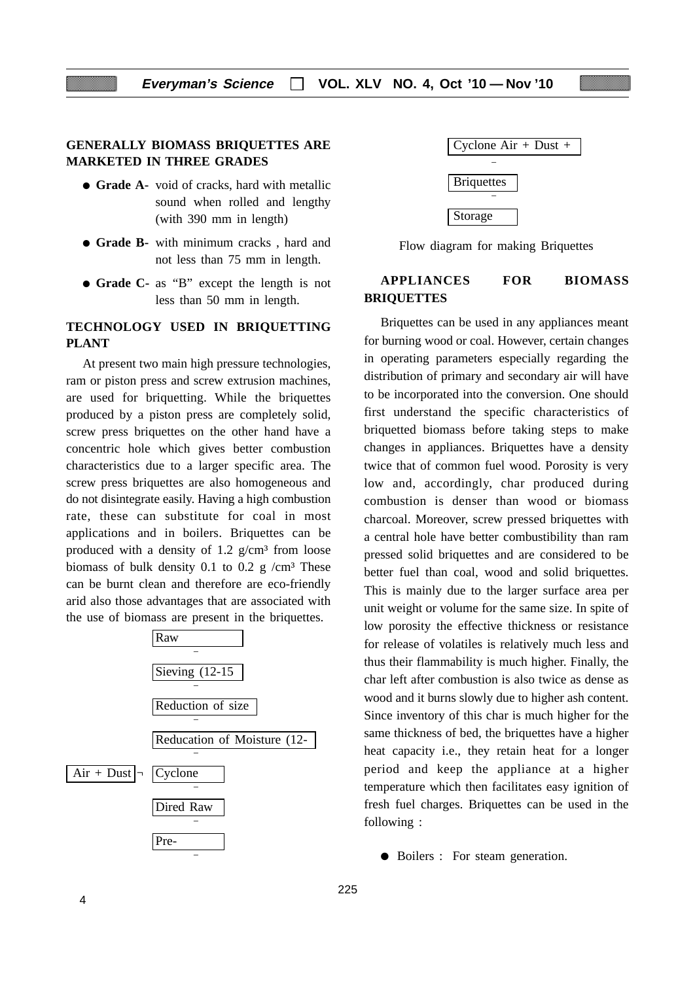## **GENERALLY BIOMASS BRIQUETTES ARE MARKETED IN THREE GRADES**

- **Grade A-** void of cracks, hard with metallic sound when rolled and lengthy (with 390 mm in length)
- **Grade B-** with minimum cracks , hard and not less than 75 mm in length.
- **Grade C-** as "B" except the length is not less than 50 mm in length.

## **TECHNOLOGY USED IN BRIQUETTING PLANT**

At present two main high pressure technologies, ram or piston press and screw extrusion machines, are used for briquetting. While the briquettes produced by a piston press are completely solid, screw press briquettes on the other hand have a concentric hole which gives better combustion characteristics due to a larger specific area. The screw press briquettes are also homogeneous and do not disintegrate easily. Having a high combustion rate, these can substitute for coal in most applications and in boilers. Briquettes can be produced with a density of  $1.2$  g/cm<sup>3</sup> from loose biomass of bulk density 0.1 to 0.2 g  $/cm<sup>3</sup>$  These can be burnt clean and therefore are eco-friendly arid also those advantages that are associated with the use of biomass are present in the briquettes.





Flow diagram for making Briquettes

## **APPLIANCES FOR BIOMASS BRIQUETTES**

Briquettes can be used in any appliances meant for burning wood or coal. However, certain changes in operating parameters especially regarding the distribution of primary and secondary air will have to be incorporated into the conversion. One should first understand the specific characteristics of briquetted biomass before taking steps to make changes in appliances. Briquettes have a density twice that of common fuel wood. Porosity is very low and, accordingly, char produced during combustion is denser than wood or biomass charcoal. Moreover, screw pressed briquettes with a central hole have better combustibility than ram pressed solid briquettes and are considered to be better fuel than coal, wood and solid briquettes. This is mainly due to the larger surface area per unit weight or volume for the same size. In spite of low porosity the effective thickness or resistance for release of volatiles is relatively much less and thus their flammability is much higher. Finally, the char left after combustion is also twice as dense as wood and it burns slowly due to higher ash content. Since inventory of this char is much higher for the same thickness of bed, the briquettes have a higher heat capacity i.e., they retain heat for a longer period and keep the appliance at a higher temperature which then facilitates easy ignition of fresh fuel charges. Briquettes can be used in the following :

● Boilers : For steam generation.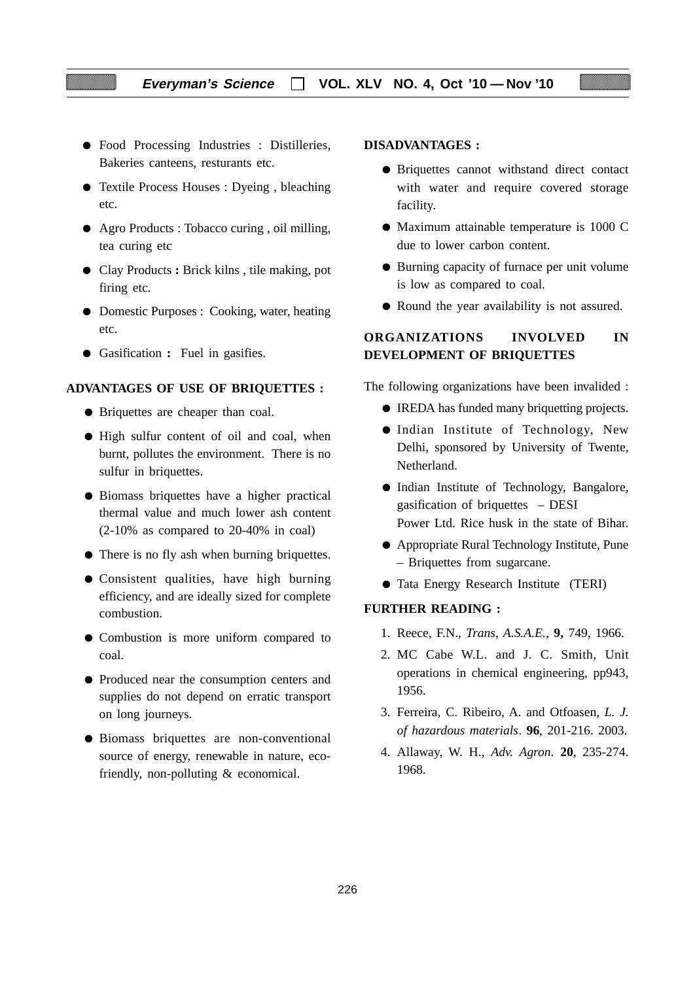- Food Processing Industries : Distilleries, Bakeries canteens, resturants etc.
- Textile Process Houses : Dyeing , bleaching etc.
- Agro Products : Tobacco curing , oil milling, tea curing etc
- Clay Products **:** Brick kilns , tile making, pot firing etc.
- Domestic Purposes : Cooking, water, heating etc.
- Gasification **:** Fuel in gasifies.

#### **ADVANTAGES OF USE OF BRIQUETTES :**

- Briquettes are cheaper than coal.
- High sulfur content of oil and coal, when burnt, pollutes the environment. There is no sulfur in briquettes.
- Biomass briquettes have a higher practical thermal value and much lower ash content (2-10% as compared to 20-40% in coal)
- There is no fly ash when burning briquettes.
- Consistent qualities, have high burning efficiency, and are ideally sized for complete combustion.
- Combustion is more uniform compared to coal.
- Produced near the consumption centers and supplies do not depend on erratic transport on long journeys.
- Biomass briquettes are non-conventional source of energy, renewable in nature, ecofriendly, non-polluting & economical.

#### **DISADVANTAGES :**

- Briquettes cannot withstand direct contact with water and require covered storage facility.
- Maximum attainable temperature is 1000 C due to lower carbon content.
- Burning capacity of furnace per unit volume is low as compared to coal.
- Round the year availability is not assured.

## **ORGANIZATIONS INVOLVED IN DEVELOPMENT OF BRIQUETTES**

The following organizations have been invalided :

- IREDA has funded many briquetting projects.
- Indian Institute of Technology, New Delhi, sponsored by University of Twente, Netherland.
- Indian Institute of Technology, Bangalore, gasification of briquettes – DESI Power Ltd. Rice husk in the state of Bihar.
- Appropriate Rural Technology Institute, Pune – Briquettes from sugarcane.
- Tata Energy Research Institute (TERI)

#### **FURTHER READING :**

- 1. Reece, F.N., *Trans, A.S.A.E.*, **9,** 749, 1966.
- 2. MC Cabe W.L. and J. C. Smith, Unit operations in chemical engineering, pp943, 1956.
- 3. Ferreira, C. Ribeiro, A. and Otfoasen, *L. J. of hazardous materials*. **96**, 201-216. 2003.
- 4. Allaway, W. H., *Adv. Agron.* **20**, 235-274. 1968.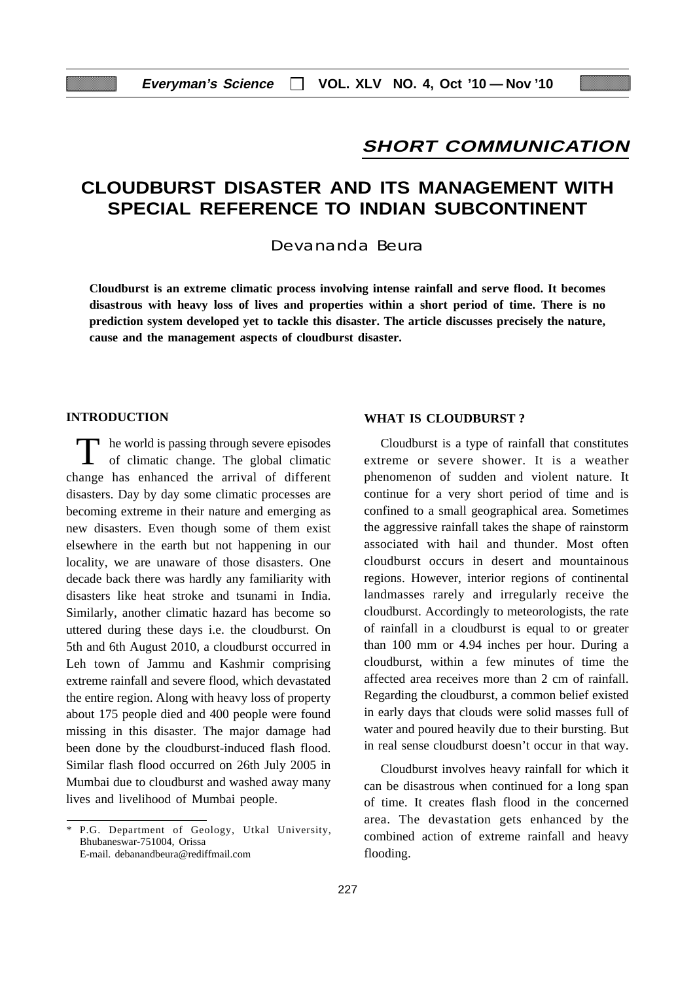## **SHORT COMMUNICATION**

## **CLOUDBURST DISASTER AND ITS MANAGEMENT WITH SPECIAL REFERENCE TO INDIAN SUBCONTINENT**

Devananda Beura

**Cloudburst is an extreme climatic process involving intense rainfall and serve flood. It becomes disastrous with heavy loss of lives and properties within a short period of time. There is no prediction system developed yet to tackle this disaster. The article discusses precisely the nature, cause and the management aspects of cloudburst disaster.**

## **INTRODUCTION**

T he world is passing through severe episodes<br>of climatic change. The global climatic change has enhanced the arrival of different disasters. Day by day some climatic processes are becoming extreme in their nature and emerging as new disasters. Even though some of them exist elsewhere in the earth but not happening in our locality, we are unaware of those disasters. One decade back there was hardly any familiarity with disasters like heat stroke and tsunami in India. Similarly, another climatic hazard has become so uttered during these days i.e. the cloudburst. On 5th and 6th August 2010, a cloudburst occurred in Leh town of Jammu and Kashmir comprising extreme rainfall and severe flood, which devastated the entire region. Along with heavy loss of property about 175 people died and 400 people were found missing in this disaster. The major damage had been done by the cloudburst-induced flash flood. Similar flash flood occurred on 26th July 2005 in Mumbai due to cloudburst and washed away many lives and livelihood of Mumbai people.

#### **WHAT IS CLOUDBURST ?**

Cloudburst is a type of rainfall that constitutes extreme or severe shower. It is a weather phenomenon of sudden and violent nature. It continue for a very short period of time and is confined to a small geographical area. Sometimes the aggressive rainfall takes the shape of rainstorm associated with hail and thunder. Most often cloudburst occurs in desert and mountainous regions. However, interior regions of continental landmasses rarely and irregularly receive the cloudburst. Accordingly to meteorologists, the rate of rainfall in a cloudburst is equal to or greater than 100 mm or 4.94 inches per hour. During a cloudburst, within a few minutes of time the affected area receives more than 2 cm of rainfall. Regarding the cloudburst, a common belief existed in early days that clouds were solid masses full of water and poured heavily due to their bursting. But in real sense cloudburst doesn't occur in that way.

Cloudburst involves heavy rainfall for which it can be disastrous when continued for a long span of time. It creates flash flood in the concerned area. The devastation gets enhanced by the combined action of extreme rainfall and heavy flooding.

<sup>\*</sup> P.G. Department of Geology, Utkal University, Bhubaneswar-751004, Orissa E-mail. debanandbeura@rediffmail.com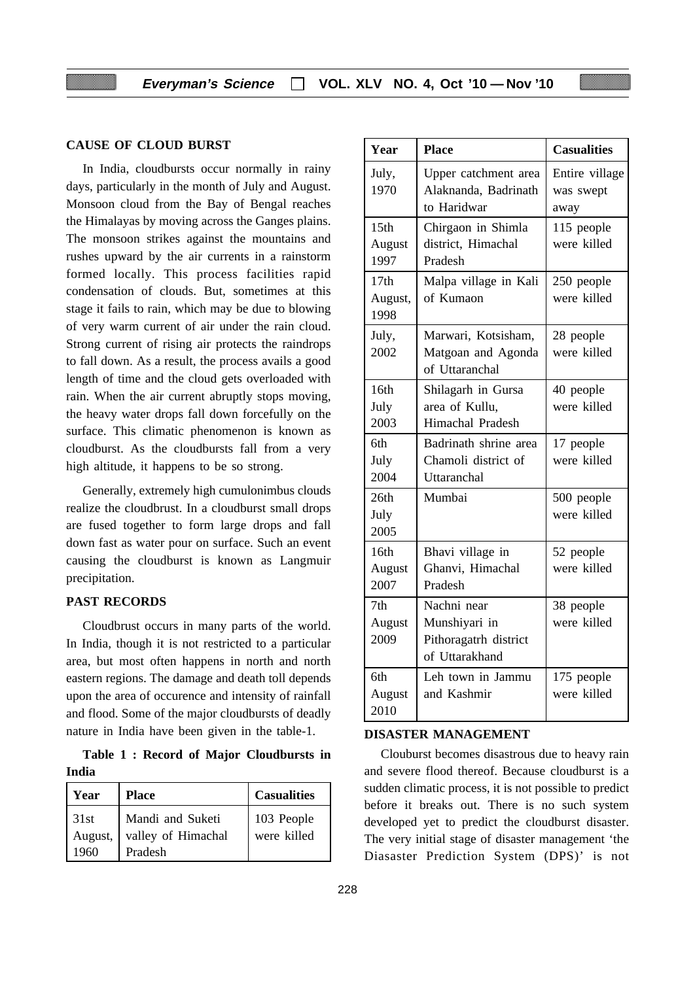## **CAUSE OF CLOUD BURST**

In India, cloudbursts occur normally in rainy days, particularly in the month of July and August. Monsoon cloud from the Bay of Bengal reaches the Himalayas by moving across the Ganges plains. The monsoon strikes against the mountains and rushes upward by the air currents in a rainstorm formed locally. This process facilities rapid condensation of clouds. But, sometimes at this stage it fails to rain, which may be due to blowing of very warm current of air under the rain cloud. Strong current of rising air protects the raindrops to fall down. As a result, the process avails a good length of time and the cloud gets overloaded with rain. When the air current abruptly stops moving, the heavy water drops fall down forcefully on the surface. This climatic phenomenon is known as cloudburst. As the cloudbursts fall from a very high altitude, it happens to be so strong.

Generally, extremely high cumulonimbus clouds realize the cloudbrust. In a cloudburst small drops are fused together to form large drops and fall down fast as water pour on surface. Such an event causing the cloudburst is known as Langmuir precipitation.

#### **PAST RECORDS**

Cloudbrust occurs in many parts of the world. In India, though it is not restricted to a particular area, but most often happens in north and north eastern regions. The damage and death toll depends upon the area of occurence and intensity of rainfall and flood. Some of the major cloudbursts of deadly nature in India have been given in the table-1.

**Table 1 : Record of Major Cloudbursts in India**

| Year                    | <b>Place</b>                                      | <b>Casualities</b>        |
|-------------------------|---------------------------------------------------|---------------------------|
| 31st<br>August,<br>1960 | Mandi and Suketi<br>valley of Himachal<br>Pradesh | 103 People<br>were killed |

| Year                               | <b>Place</b>                                                            | <b>Casualities</b>                  |
|------------------------------------|-------------------------------------------------------------------------|-------------------------------------|
| July,<br>1970                      | Upper catchment area<br>Alaknanda, Badrinath<br>to Haridwar             | Entire village<br>was swept<br>away |
| 15 <sub>th</sub><br>August<br>1997 | Chirgaon in Shimla<br>district, Himachal<br>Pradesh                     | 115 people<br>were killed           |
| 17th<br>August,<br>1998            | Malpa village in Kali<br>of Kumaon                                      | 250 people<br>were killed           |
| July,<br>2002                      | Marwari, Kotsisham,<br>Matgoan and Agonda<br>of Uttaranchal             | 28 people<br>were killed            |
| 16th<br>July<br>2003               | Shilagarh in Gursa<br>area of Kullu,<br>Himachal Pradesh                | 40 people<br>were killed            |
| 6th<br>July<br>2004                | Badrinath shrine area<br>Chamoli district of<br>Uttaranchal             | 17 people<br>were killed            |
| 26th<br>July<br>2005               | Mumbai                                                                  | 500 people<br>were killed           |
| 16th<br>August<br>2007             | Bhavi village in<br>Ghanvi, Himachal<br>Pradesh                         | 52 people<br>were killed            |
| 7 <sub>th</sub><br>August<br>2009  | Nachni near<br>Munshiyari in<br>Pithoragatrh district<br>of Uttarakhand | 38 people<br>were killed            |
| 6th<br>August<br>2010              | Leh town in Jammu<br>and Kashmir                                        | 175 people<br>were killed           |

#### **DISASTER MANAGEMENT**

Clouburst becomes disastrous due to heavy rain and severe flood thereof. Because cloudburst is a sudden climatic process, it is not possible to predict before it breaks out. There is no such system developed yet to predict the cloudburst disaster. The very initial stage of disaster management 'the Diasaster Prediction System (DPS)' is not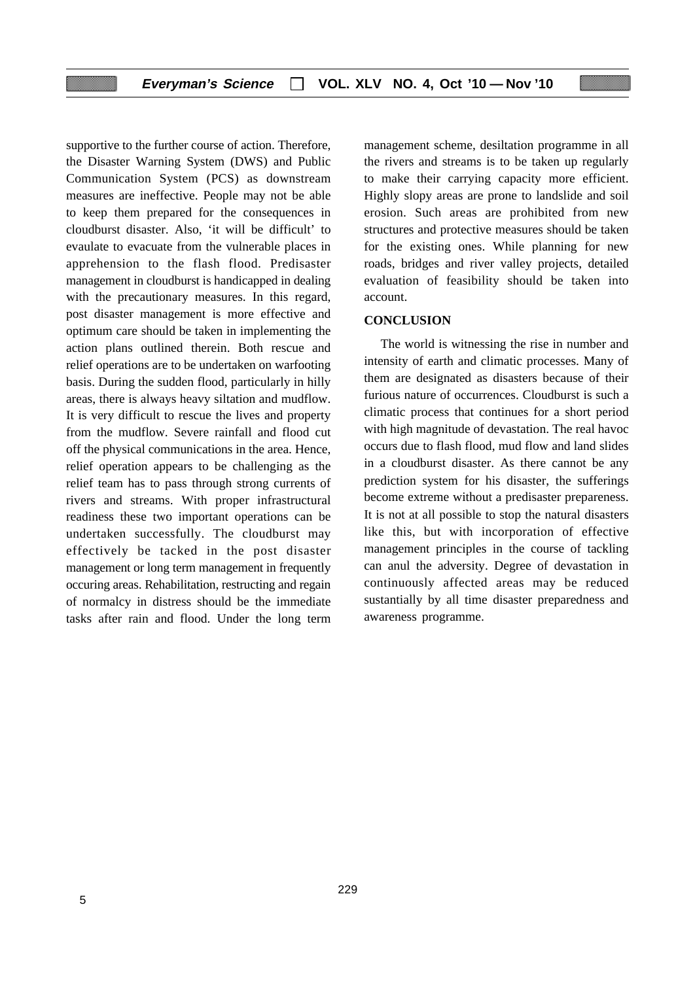supportive to the further course of action. Therefore, the Disaster Warning System (DWS) and Public Communication System (PCS) as downstream measures are ineffective. People may not be able to keep them prepared for the consequences in cloudburst disaster. Also, 'it will be difficult' to evaulate to evacuate from the vulnerable places in apprehension to the flash flood. Predisaster management in cloudburst is handicapped in dealing with the precautionary measures. In this regard, post disaster management is more effective and optimum care should be taken in implementing the action plans outlined therein. Both rescue and relief operations are to be undertaken on warfooting basis. During the sudden flood, particularly in hilly areas, there is always heavy siltation and mudflow. It is very difficult to rescue the lives and property from the mudflow. Severe rainfall and flood cut off the physical communications in the area. Hence, relief operation appears to be challenging as the relief team has to pass through strong currents of rivers and streams. With proper infrastructural readiness these two important operations can be undertaken successfully. The cloudburst may effectively be tacked in the post disaster management or long term management in frequently occuring areas. Rehabilitation, restructing and regain of normalcy in distress should be the immediate tasks after rain and flood. Under the long term

management scheme, desiltation programme in all the rivers and streams is to be taken up regularly to make their carrying capacity more efficient. Highly slopy areas are prone to landslide and soil erosion. Such areas are prohibited from new structures and protective measures should be taken for the existing ones. While planning for new roads, bridges and river valley projects, detailed evaluation of feasibility should be taken into account.

#### **CONCLUSION**

The world is witnessing the rise in number and intensity of earth and climatic processes. Many of them are designated as disasters because of their furious nature of occurrences. Cloudburst is such a climatic process that continues for a short period with high magnitude of devastation. The real havoc occurs due to flash flood, mud flow and land slides in a cloudburst disaster. As there cannot be any prediction system for his disaster, the sufferings become extreme without a predisaster prepareness. It is not at all possible to stop the natural disasters like this, but with incorporation of effective management principles in the course of tackling can anul the adversity. Degree of devastation in continuously affected areas may be reduced sustantially by all time disaster preparedness and awareness programme.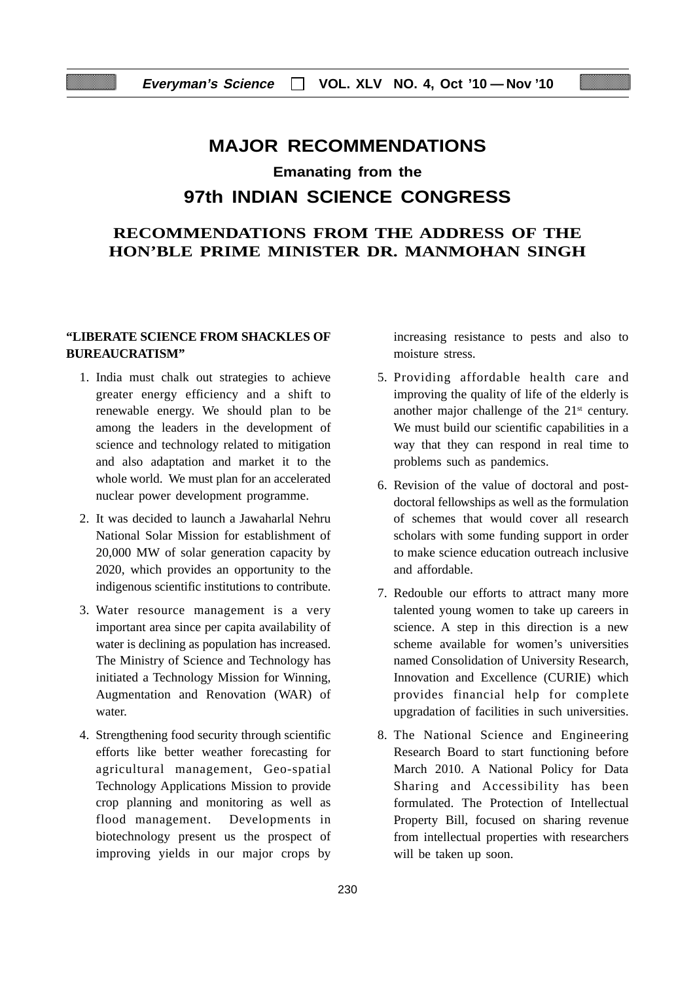# **MAJOR RECOMMENDATIONS Emanating from the 97th INDIAN SCIENCE CONGRESS**

## **RECOMMENDATIONS FROM THE ADDRESS OF THE HON'BLE PRIME MINISTER DR. MANMOHAN SINGH**

### **"LIBERATE SCIENCE FROM SHACKLES OF BUREAUCRATISM"**

- 1. India must chalk out strategies to achieve greater energy efficiency and a shift to renewable energy. We should plan to be among the leaders in the development of science and technology related to mitigation and also adaptation and market it to the whole world. We must plan for an accelerated nuclear power development programme.
- 2. It was decided to launch a Jawaharlal Nehru National Solar Mission for establishment of 20,000 MW of solar generation capacity by 2020, which provides an opportunity to the indigenous scientific institutions to contribute.
- 3. Water resource management is a very important area since per capita availability of water is declining as population has increased. The Ministry of Science and Technology has initiated a Technology Mission for Winning, Augmentation and Renovation (WAR) of water.
- 4. Strengthening food security through scientific efforts like better weather forecasting for agricultural management, Geo-spatial Technology Applications Mission to provide crop planning and monitoring as well as flood management. Developments in biotechnology present us the prospect of improving yields in our major crops by

increasing resistance to pests and also to moisture stress.

- 5. Providing affordable health care and improving the quality of life of the elderly is another major challenge of the  $21<sup>st</sup>$  century. We must build our scientific capabilities in a way that they can respond in real time to problems such as pandemics.
- 6. Revision of the value of doctoral and postdoctoral fellowships as well as the formulation of schemes that would cover all research scholars with some funding support in order to make science education outreach inclusive and affordable.
- 7. Redouble our efforts to attract many more talented young women to take up careers in science. A step in this direction is a new scheme available for women's universities named Consolidation of University Research, Innovation and Excellence (CURIE) which provides financial help for complete upgradation of facilities in such universities.
- 8. The National Science and Engineering Research Board to start functioning before March 2010. A National Policy for Data Sharing and Accessibility has been formulated. The Protection of Intellectual Property Bill, focused on sharing revenue from intellectual properties with researchers will be taken up soon.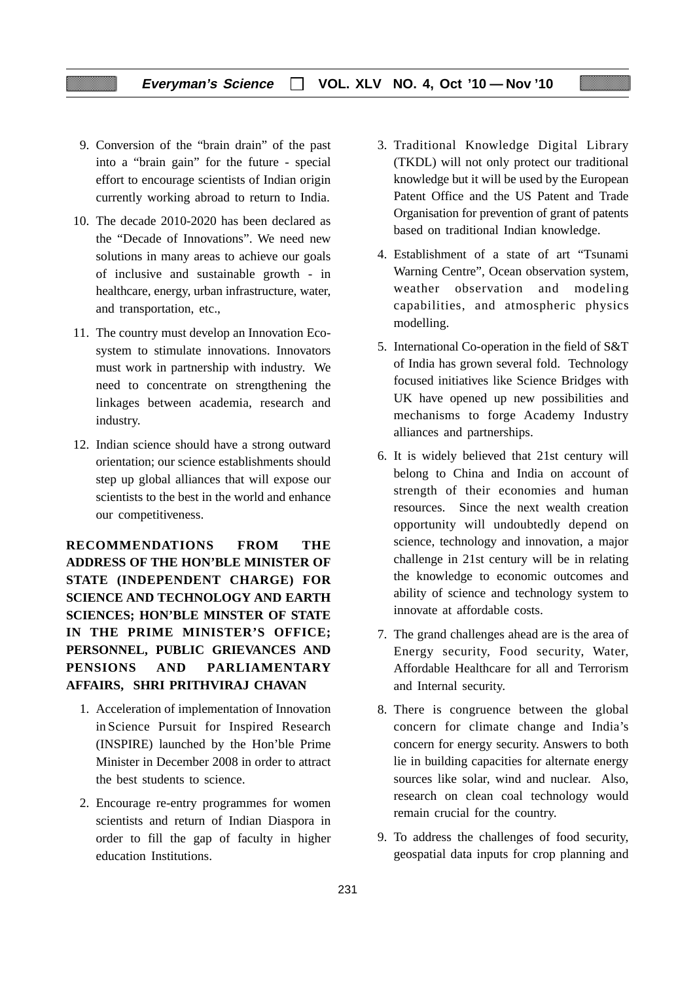- 9. Conversion of the "brain drain" of the past into a "brain gain" for the future - special effort to encourage scientists of Indian origin currently working abroad to return to India.
- 10. The decade 2010-2020 has been declared as the "Decade of Innovations". We need new solutions in many areas to achieve our goals of inclusive and sustainable growth - in healthcare, energy, urban infrastructure, water, and transportation, etc.,
- 11. The country must develop an Innovation Ecosystem to stimulate innovations. Innovators must work in partnership with industry. We need to concentrate on strengthening the linkages between academia, research and industry.
- 12. Indian science should have a strong outward orientation; our science establishments should step up global alliances that will expose our scientists to the best in the world and enhance our competitiveness.

**RECOMMENDATIONS FROM THE ADDRESS OF THE HON'BLE MINISTER OF STATE (INDEPENDENT CHARGE) FOR SCIENCE AND TECHNOLOGY AND EARTH SCIENCES; HON'BLE MINSTER OF STATE IN THE PRIME MINISTER'S OFFICE; PERSONNEL, PUBLIC GRIEVANCES AND PENSIONS AND PARLIAMENTARY AFFAIRS, SHRI PRITHVIRAJ CHAVAN**

- 1. Acceleration of implementation of Innovation in Science Pursuit for Inspired Research (INSPIRE) launched by the Hon'ble Prime Minister in December 2008 in order to attract the best students to science.
- 2. Encourage re-entry programmes for women scientists and return of Indian Diaspora in order to fill the gap of faculty in higher education Institutions.
- 3. Traditional Knowledge Digital Library (TKDL) will not only protect our traditional knowledge but it will be used by the European Patent Office and the US Patent and Trade Organisation for prevention of grant of patents based on traditional Indian knowledge.
- 4. Establishment of a state of art "Tsunami Warning Centre", Ocean observation system, weather observation and modeling capabilities, and atmospheric physics modelling.
- 5. International Co-operation in the field of S&T of India has grown several fold. Technology focused initiatives like Science Bridges with UK have opened up new possibilities and mechanisms to forge Academy Industry alliances and partnerships.
- 6. It is widely believed that 21st century will belong to China and India on account of strength of their economies and human resources. Since the next wealth creation opportunity will undoubtedly depend on science, technology and innovation, a major challenge in 21st century will be in relating the knowledge to economic outcomes and ability of science and technology system to innovate at affordable costs.
- 7. The grand challenges ahead are is the area of Energy security, Food security, Water, Affordable Healthcare for all and Terrorism and Internal security.
- 8. There is congruence between the global concern for climate change and India's concern for energy security. Answers to both lie in building capacities for alternate energy sources like solar, wind and nuclear. Also, research on clean coal technology would remain crucial for the country.
- 9. To address the challenges of food security, geospatial data inputs for crop planning and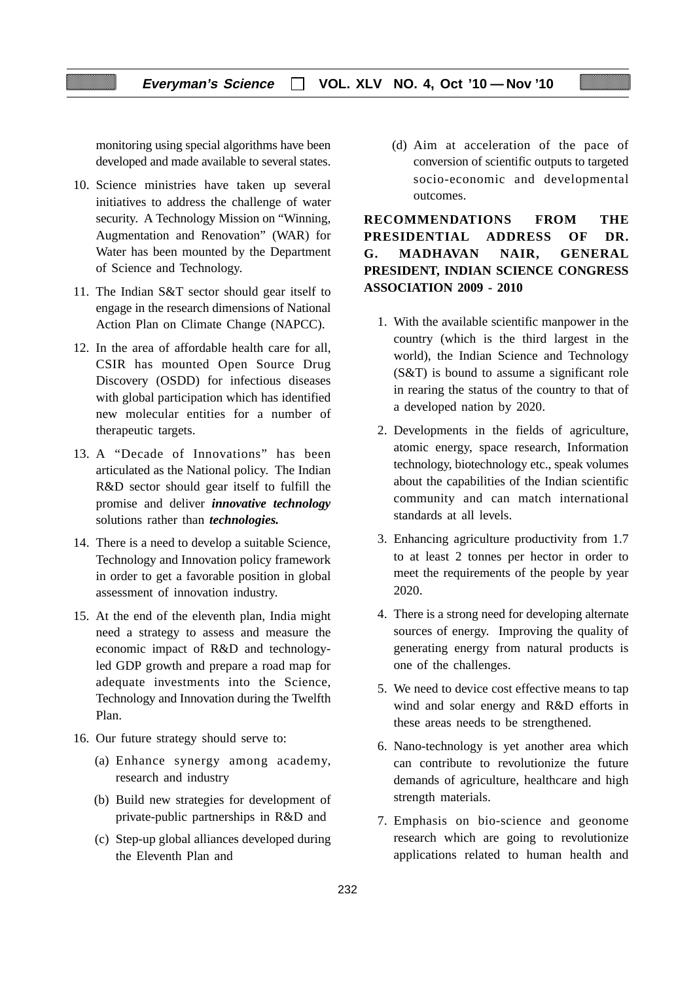monitoring using special algorithms have been developed and made available to several states.

- 10. Science ministries have taken up several initiatives to address the challenge of water security. A Technology Mission on "Winning, Augmentation and Renovation" (WAR) for Water has been mounted by the Department of Science and Technology.
- 11. The Indian S&T sector should gear itself to engage in the research dimensions of National Action Plan on Climate Change (NAPCC).
- 12. In the area of affordable health care for all, CSIR has mounted Open Source Drug Discovery (OSDD) for infectious diseases with global participation which has identified new molecular entities for a number of therapeutic targets.
- 13. A "Decade of Innovations" has been articulated as the National policy. The Indian R&D sector should gear itself to fulfill the promise and deliver *innovative technology* solutions rather than *technologies.*
- 14. There is a need to develop a suitable Science, Technology and Innovation policy framework in order to get a favorable position in global assessment of innovation industry.
- 15. At the end of the eleventh plan, India might need a strategy to assess and measure the economic impact of R&D and technologyled GDP growth and prepare a road map for adequate investments into the Science, Technology and Innovation during the Twelfth Plan.
- 16. Our future strategy should serve to:
	- (a) Enhance synergy among academy, research and industry
	- (b) Build new strategies for development of private-public partnerships in R&D and
	- (c) Step-up global alliances developed during the Eleventh Plan and

(d) Aim at acceleration of the pace of conversion of scientific outputs to targeted socio-economic and developmental outcomes.

**RECOMMENDATIONS FROM THE PRESIDENTIAL ADDRESS OF DR. G. MADHAVAN NAIR, GENERAL PRESIDENT, INDIAN SCIENCE CONGRESS ASSOCIATION 2009 - 2010**

- 1. With the available scientific manpower in the country (which is the third largest in the world), the Indian Science and Technology (S&T) is bound to assume a significant role in rearing the status of the country to that of a developed nation by 2020.
- 2. Developments in the fields of agriculture, atomic energy, space research, Information technology, biotechnology etc., speak volumes about the capabilities of the Indian scientific community and can match international standards at all levels.
- 3. Enhancing agriculture productivity from 1.7 to at least 2 tonnes per hector in order to meet the requirements of the people by year 2020.
- 4. There is a strong need for developing alternate sources of energy. Improving the quality of generating energy from natural products is one of the challenges.
- 5. We need to device cost effective means to tap wind and solar energy and R&D efforts in these areas needs to be strengthened.
- 6. Nano-technology is yet another area which can contribute to revolutionize the future demands of agriculture, healthcare and high strength materials.
- 7. Emphasis on bio-science and geonome research which are going to revolutionize applications related to human health and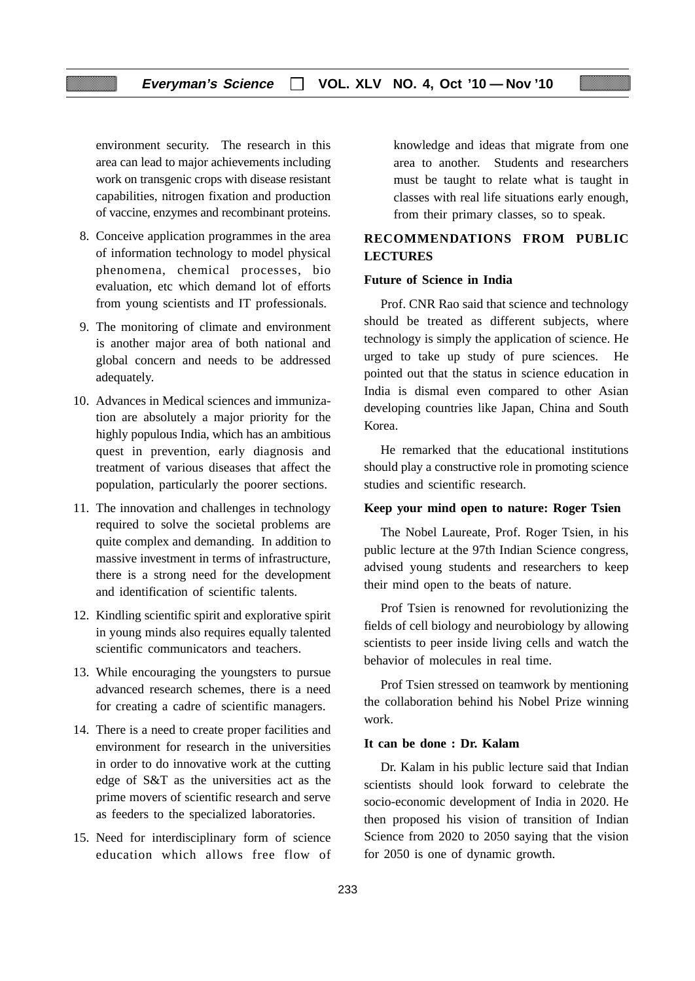environment security. The research in this area can lead to major achievements including work on transgenic crops with disease resistant capabilities, nitrogen fixation and production of vaccine, enzymes and recombinant proteins.

- 8. Conceive application programmes in the area of information technology to model physical phenomena, chemical processes, bio evaluation, etc which demand lot of efforts from young scientists and IT professionals.
- 9. The monitoring of climate and environment is another major area of both national and global concern and needs to be addressed adequately.
- 10. Advances in Medical sciences and immunization are absolutely a major priority for the highly populous India, which has an ambitious quest in prevention, early diagnosis and treatment of various diseases that affect the population, particularly the poorer sections.
- 11. The innovation and challenges in technology required to solve the societal problems are quite complex and demanding. In addition to massive investment in terms of infrastructure, there is a strong need for the development and identification of scientific talents.
- 12. Kindling scientific spirit and explorative spirit in young minds also requires equally talented scientific communicators and teachers.
- 13. While encouraging the youngsters to pursue advanced research schemes, there is a need for creating a cadre of scientific managers.
- 14. There is a need to create proper facilities and environment for research in the universities in order to do innovative work at the cutting edge of S&T as the universities act as the prime movers of scientific research and serve as feeders to the specialized laboratories.
- 15. Need for interdisciplinary form of science education which allows free flow of

knowledge and ideas that migrate from one area to another. Students and researchers must be taught to relate what is taught in classes with real life situations early enough, from their primary classes, so to speak.

## **RECOMMENDATIONS FROM PUBLIC LECTURES**

#### **Future of Science in India**

Prof. CNR Rao said that science and technology should be treated as different subjects, where technology is simply the application of science. He urged to take up study of pure sciences. He pointed out that the status in science education in India is dismal even compared to other Asian developing countries like Japan, China and South Korea.

He remarked that the educational institutions should play a constructive role in promoting science studies and scientific research.

#### **Keep your mind open to nature: Roger Tsien**

The Nobel Laureate, Prof. Roger Tsien, in his public lecture at the 97th Indian Science congress, advised young students and researchers to keep their mind open to the beats of nature.

Prof Tsien is renowned for revolutionizing the fields of cell biology and neurobiology by allowing scientists to peer inside living cells and watch the behavior of molecules in real time.

Prof Tsien stressed on teamwork by mentioning the collaboration behind his Nobel Prize winning work.

#### **It can be done : Dr. Kalam**

Dr. Kalam in his public lecture said that Indian scientists should look forward to celebrate the socio-economic development of India in 2020. He then proposed his vision of transition of Indian Science from 2020 to 2050 saying that the vision for 2050 is one of dynamic growth.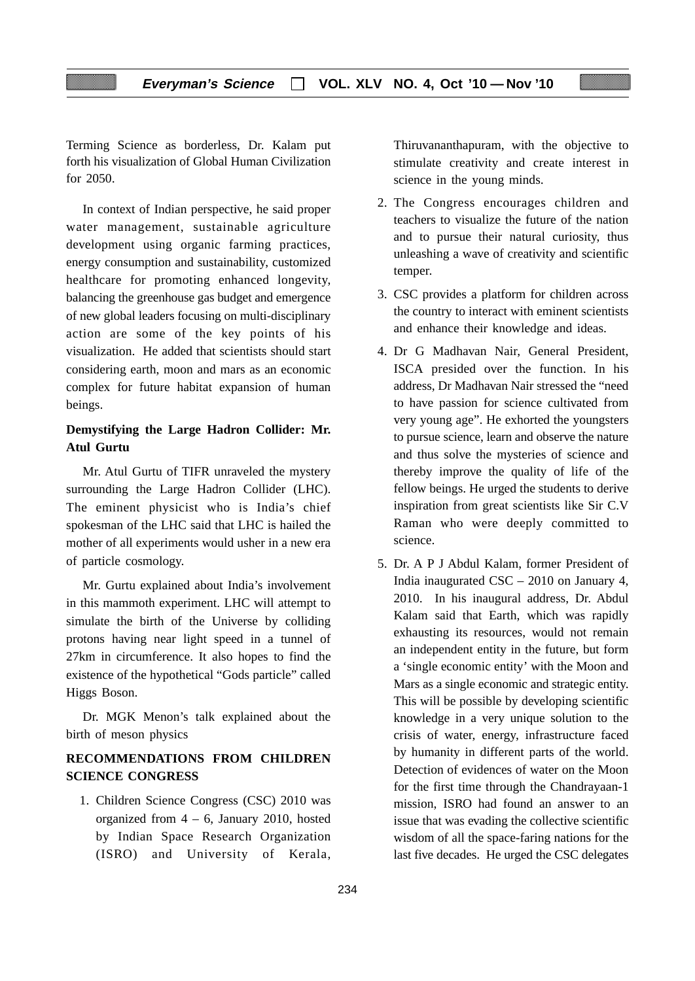Terming Science as borderless, Dr. Kalam put forth his visualization of Global Human Civilization for 2050.

In context of Indian perspective, he said proper water management, sustainable agriculture development using organic farming practices, energy consumption and sustainability, customized healthcare for promoting enhanced longevity, balancing the greenhouse gas budget and emergence of new global leaders focusing on multi-disciplinary action are some of the key points of his visualization. He added that scientists should start considering earth, moon and mars as an economic complex for future habitat expansion of human beings.

## **Demystifying the Large Hadron Collider: Mr. Atul Gurtu**

Mr. Atul Gurtu of TIFR unraveled the mystery surrounding the Large Hadron Collider (LHC). The eminent physicist who is India's chief spokesman of the LHC said that LHC is hailed the mother of all experiments would usher in a new era of particle cosmology.

Mr. Gurtu explained about India's involvement in this mammoth experiment. LHC will attempt to simulate the birth of the Universe by colliding protons having near light speed in a tunnel of 27km in circumference. It also hopes to find the existence of the hypothetical "Gods particle" called Higgs Boson.

Dr. MGK Menon's talk explained about the birth of meson physics

## **RECOMMENDATIONS FROM CHILDREN SCIENCE CONGRESS**

1. Children Science Congress (CSC) 2010 was organized from 4 – 6, January 2010, hosted by Indian Space Research Organization (ISRO) and University of Kerala,

Thiruvananthapuram, with the objective to stimulate creativity and create interest in science in the young minds.

- 2. The Congress encourages children and teachers to visualize the future of the nation and to pursue their natural curiosity, thus unleashing a wave of creativity and scientific temper.
- 3. CSC provides a platform for children across the country to interact with eminent scientists and enhance their knowledge and ideas.
- 4. Dr G Madhavan Nair, General President, ISCA presided over the function. In his address, Dr Madhavan Nair stressed the "need to have passion for science cultivated from very young age". He exhorted the youngsters to pursue science, learn and observe the nature and thus solve the mysteries of science and thereby improve the quality of life of the fellow beings. He urged the students to derive inspiration from great scientists like Sir C.V Raman who were deeply committed to science.
- 5. Dr. A P J Abdul Kalam, former President of India inaugurated CSC – 2010 on January 4, 2010. In his inaugural address, Dr. Abdul Kalam said that Earth, which was rapidly exhausting its resources, would not remain an independent entity in the future, but form a 'single economic entity' with the Moon and Mars as a single economic and strategic entity. This will be possible by developing scientific knowledge in a very unique solution to the crisis of water, energy, infrastructure faced by humanity in different parts of the world. Detection of evidences of water on the Moon for the first time through the Chandrayaan-1 mission, ISRO had found an answer to an issue that was evading the collective scientific wisdom of all the space-faring nations for the last five decades. He urged the CSC delegates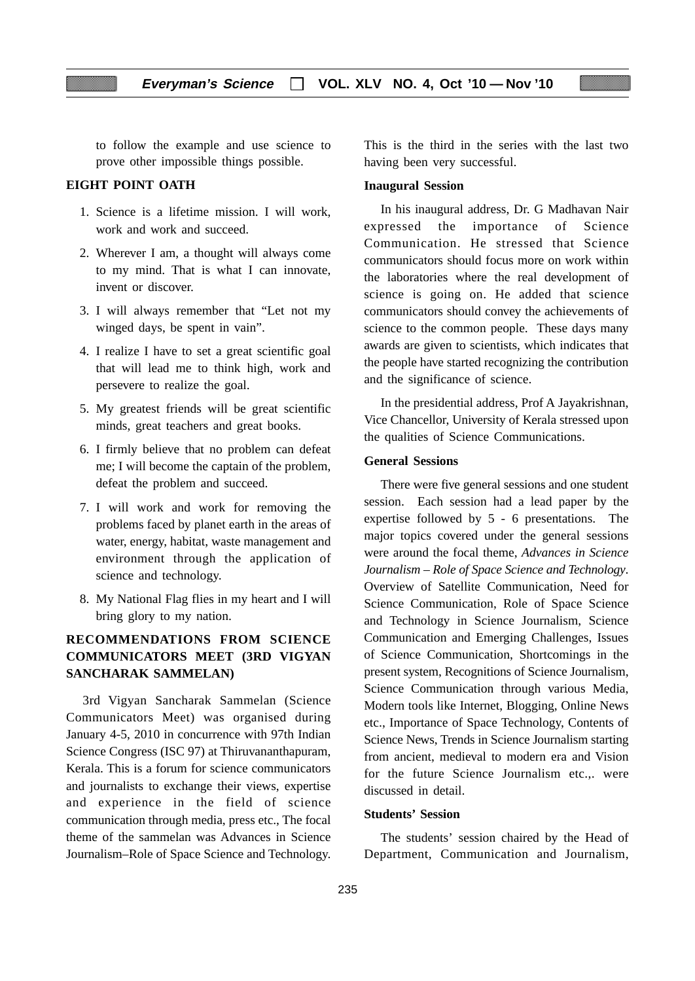to follow the example and use science to prove other impossible things possible.

## **EIGHT POINT OATH**

- 1. Science is a lifetime mission. I will work, work and work and succeed.
- 2. Wherever I am, a thought will always come to my mind. That is what I can innovate, invent or discover.
- 3. I will always remember that "Let not my winged days, be spent in vain".
- 4. I realize I have to set a great scientific goal that will lead me to think high, work and persevere to realize the goal.
- 5. My greatest friends will be great scientific minds, great teachers and great books.
- 6. I firmly believe that no problem can defeat me; I will become the captain of the problem, defeat the problem and succeed.
- 7. I will work and work for removing the problems faced by planet earth in the areas of water, energy, habitat, waste management and environment through the application of science and technology.
- 8. My National Flag flies in my heart and I will bring glory to my nation.

## **RECOMMENDATIONS FROM SCIENCE COMMUNICATORS MEET (3RD VIGYAN SANCHARAK SAMMELAN)**

3rd Vigyan Sancharak Sammelan (Science Communicators Meet) was organised during January 4-5, 2010 in concurrence with 97th Indian Science Congress (ISC 97) at Thiruvananthapuram, Kerala. This is a forum for science communicators and journalists to exchange their views, expertise and experience in the field of science communication through media, press etc., The focal theme of the sammelan was Advances in Science Journalism–Role of Space Science and Technology.

This is the third in the series with the last two having been very successful.

#### **Inaugural Session**

In his inaugural address, Dr. G Madhavan Nair expressed the importance of Science Communication. He stressed that Science communicators should focus more on work within the laboratories where the real development of science is going on. He added that science communicators should convey the achievements of science to the common people. These days many awards are given to scientists, which indicates that the people have started recognizing the contribution and the significance of science.

In the presidential address, Prof A Jayakrishnan, Vice Chancellor, University of Kerala stressed upon the qualities of Science Communications.

#### **General Sessions**

There were five general sessions and one student session. Each session had a lead paper by the expertise followed by 5 - 6 presentations. The major topics covered under the general sessions were around the focal theme, *Advances in Science Journalism – Role of Space Science and Technology*. Overview of Satellite Communication, Need for Science Communication, Role of Space Science and Technology in Science Journalism, Science Communication and Emerging Challenges, Issues of Science Communication, Shortcomings in the present system, Recognitions of Science Journalism, Science Communication through various Media, Modern tools like Internet, Blogging, Online News etc., Importance of Space Technology, Contents of Science News, Trends in Science Journalism starting from ancient, medieval to modern era and Vision for the future Science Journalism etc.,. were discussed in detail.

#### **Students' Session**

The students' session chaired by the Head of Department, Communication and Journalism,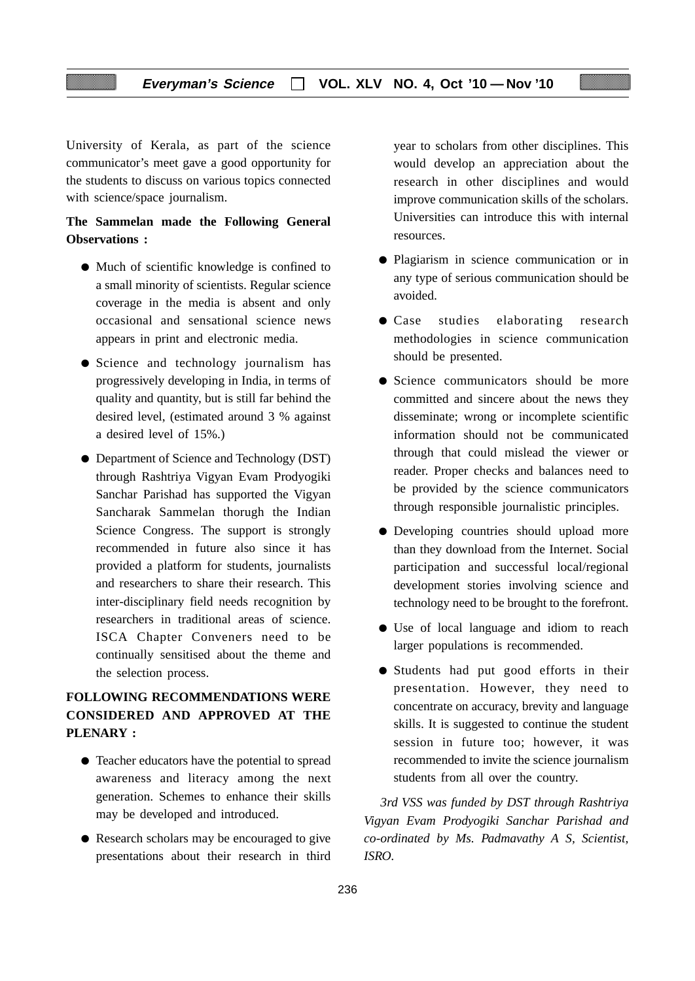University of Kerala, as part of the science communicator's meet gave a good opportunity for the students to discuss on various topics connected with science/space journalism.

## **The Sammelan made the Following General Observations :**

- Much of scientific knowledge is confined to a small minority of scientists. Regular science coverage in the media is absent and only occasional and sensational science news appears in print and electronic media.
- Science and technology journalism has progressively developing in India, in terms of quality and quantity, but is still far behind the desired level, (estimated around 3 % against a desired level of 15%.)
- Department of Science and Technology (DST) through Rashtriya Vigyan Evam Prodyogiki Sanchar Parishad has supported the Vigyan Sancharak Sammelan thorugh the Indian Science Congress. The support is strongly recommended in future also since it has provided a platform for students, journalists and researchers to share their research. This inter-disciplinary field needs recognition by researchers in traditional areas of science. ISCA Chapter Conveners need to be continually sensitised about the theme and the selection process.

## **FOLLOWING RECOMMENDATIONS WERE CONSIDERED AND APPROVED AT THE PLENARY :**

- Teacher educators have the potential to spread awareness and literacy among the next generation. Schemes to enhance their skills may be developed and introduced.
- Research scholars may be encouraged to give presentations about their research in third

year to scholars from other disciplines. This would develop an appreciation about the research in other disciplines and would improve communication skills of the scholars. Universities can introduce this with internal resources.

- Plagiarism in science communication or in any type of serious communication should be avoided.
- Case studies elaborating research methodologies in science communication should be presented.
- Science communicators should be more committed and sincere about the news they disseminate; wrong or incomplete scientific information should not be communicated through that could mislead the viewer or reader. Proper checks and balances need to be provided by the science communicators through responsible journalistic principles.
- Developing countries should upload more than they download from the Internet. Social participation and successful local/regional development stories involving science and technology need to be brought to the forefront.
- Use of local language and idiom to reach larger populations is recommended.
- Students had put good efforts in their presentation. However, they need to concentrate on accuracy, brevity and language skills. It is suggested to continue the student session in future too; however, it was recommended to invite the science journalism students from all over the country.

*3rd VSS was funded by DST through Rashtriya Vigyan Evam Prodyogiki Sanchar Parishad and co-ordinated by Ms. Padmavathy A S, Scientist, ISRO.*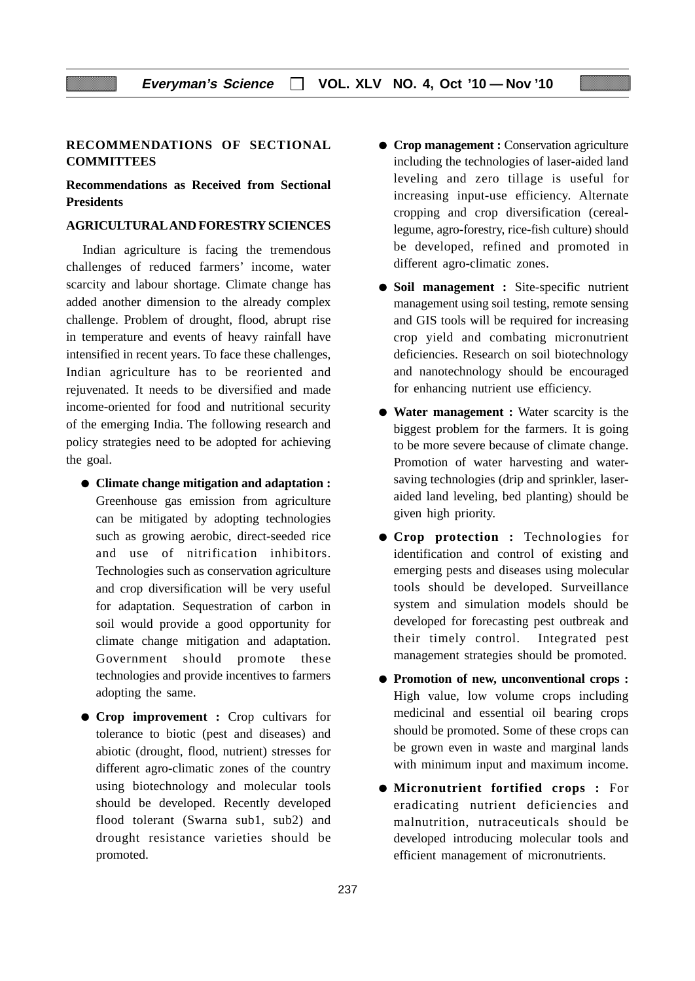## **RECOMMENDATIONS OF SECTIONAL COMMITTEES**

**Recommendations as Received from Sectional Presidents**

#### **AGRICULTURAL AND FORESTRY SCIENCES**

Indian agriculture is facing the tremendous challenges of reduced farmers' income, water scarcity and labour shortage. Climate change has added another dimension to the already complex challenge. Problem of drought, flood, abrupt rise in temperature and events of heavy rainfall have intensified in recent years. To face these challenges, Indian agriculture has to be reoriented and rejuvenated. It needs to be diversified and made income-oriented for food and nutritional security of the emerging India. The following research and policy strategies need to be adopted for achieving the goal.

- **Climate change mitigation and adaptation :** Greenhouse gas emission from agriculture can be mitigated by adopting technologies such as growing aerobic, direct-seeded rice and use of nitrification inhibitors. Technologies such as conservation agriculture and crop diversification will be very useful for adaptation. Sequestration of carbon in soil would provide a good opportunity for climate change mitigation and adaptation. Government should promote these technologies and provide incentives to farmers adopting the same.
- **Crop improvement :** Crop cultivars for tolerance to biotic (pest and diseases) and abiotic (drought, flood, nutrient) stresses for different agro-climatic zones of the country using biotechnology and molecular tools should be developed. Recently developed flood tolerant (Swarna sub1, sub2) and drought resistance varieties should be promoted.
- **Crop management :** Conservation agriculture including the technologies of laser-aided land leveling and zero tillage is useful for increasing input-use efficiency. Alternate cropping and crop diversification (cereallegume, agro-forestry, rice-fish culture) should be developed, refined and promoted in different agro-climatic zones.
- **Soil management :** Site-specific nutrient management using soil testing, remote sensing and GIS tools will be required for increasing crop yield and combating micronutrient deficiencies. Research on soil biotechnology and nanotechnology should be encouraged for enhancing nutrient use efficiency.
- **Water management :** Water scarcity is the biggest problem for the farmers. It is going to be more severe because of climate change. Promotion of water harvesting and watersaving technologies (drip and sprinkler, laseraided land leveling, bed planting) should be given high priority.
- **Crop protection :** Technologies for identification and control of existing and emerging pests and diseases using molecular tools should be developed. Surveillance system and simulation models should be developed for forecasting pest outbreak and their timely control. Integrated pest management strategies should be promoted.
- **Promotion of new, unconventional crops :** High value, low volume crops including medicinal and essential oil bearing crops should be promoted. Some of these crops can be grown even in waste and marginal lands with minimum input and maximum income.
- **Micronutrient fortified crops :** For eradicating nutrient deficiencies and malnutrition, nutraceuticals should be developed introducing molecular tools and efficient management of micronutrients.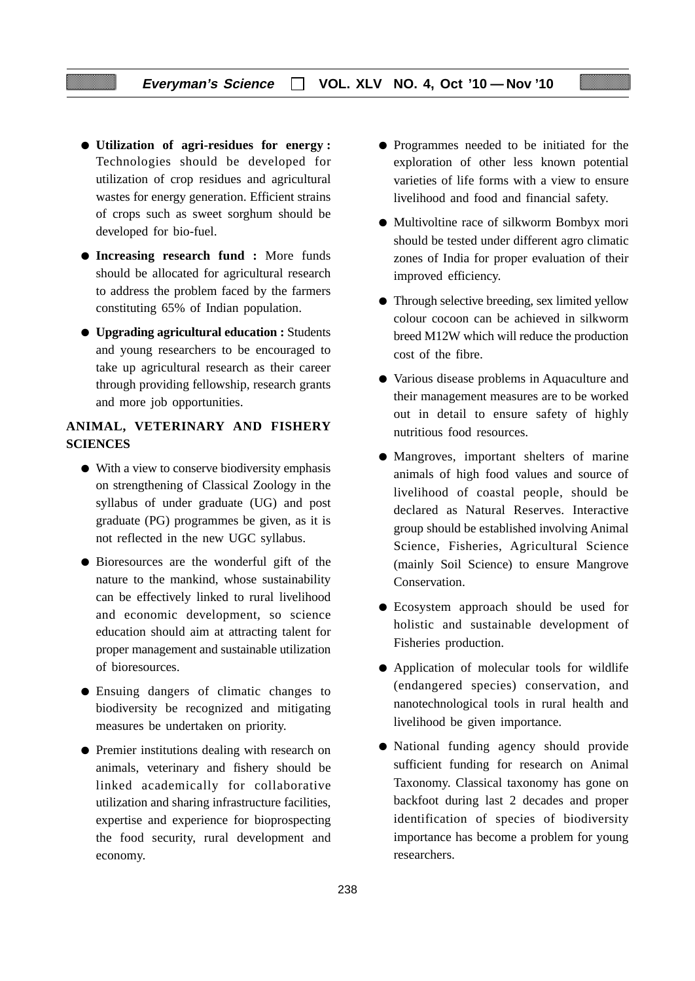- **Utilization of agri-residues for energy :** Technologies should be developed for utilization of crop residues and agricultural wastes for energy generation. Efficient strains of crops such as sweet sorghum should be developed for bio-fuel.
- **Increasing research fund :** More funds should be allocated for agricultural research to address the problem faced by the farmers constituting 65% of Indian population.
- **Upgrading agricultural education :** Students and young researchers to be encouraged to take up agricultural research as their career through providing fellowship, research grants and more job opportunities.

## **ANIMAL, VETERINARY AND FISHERY SCIENCES**

- With a view to conserve biodiversity emphasis on strengthening of Classical Zoology in the syllabus of under graduate (UG) and post graduate (PG) programmes be given, as it is not reflected in the new UGC syllabus.
- Bioresources are the wonderful gift of the nature to the mankind, whose sustainability can be effectively linked to rural livelihood and economic development, so science education should aim at attracting talent for proper management and sustainable utilization of bioresources.
- Ensuing dangers of climatic changes to biodiversity be recognized and mitigating measures be undertaken on priority.
- Premier institutions dealing with research on animals, veterinary and fishery should be linked academically for collaborative utilization and sharing infrastructure facilities, expertise and experience for bioprospecting the food security, rural development and economy.
- Programmes needed to be initiated for the exploration of other less known potential varieties of life forms with a view to ensure livelihood and food and financial safety.
- Multivoltine race of silkworm Bombyx mori should be tested under different agro climatic zones of India for proper evaluation of their improved efficiency.
- Through selective breeding, sex limited yellow colour cocoon can be achieved in silkworm breed M12W which will reduce the production cost of the fibre.
- Various disease problems in Aquaculture and their management measures are to be worked out in detail to ensure safety of highly nutritious food resources.
- Mangroves, important shelters of marine animals of high food values and source of livelihood of coastal people, should be declared as Natural Reserves. Interactive group should be established involving Animal Science, Fisheries, Agricultural Science (mainly Soil Science) to ensure Mangrove Conservation.
- Ecosystem approach should be used for holistic and sustainable development of Fisheries production.
- Application of molecular tools for wildlife (endangered species) conservation, and nanotechnological tools in rural health and livelihood be given importance.
- National funding agency should provide sufficient funding for research on Animal Taxonomy. Classical taxonomy has gone on backfoot during last 2 decades and proper identification of species of biodiversity importance has become a problem for young researchers.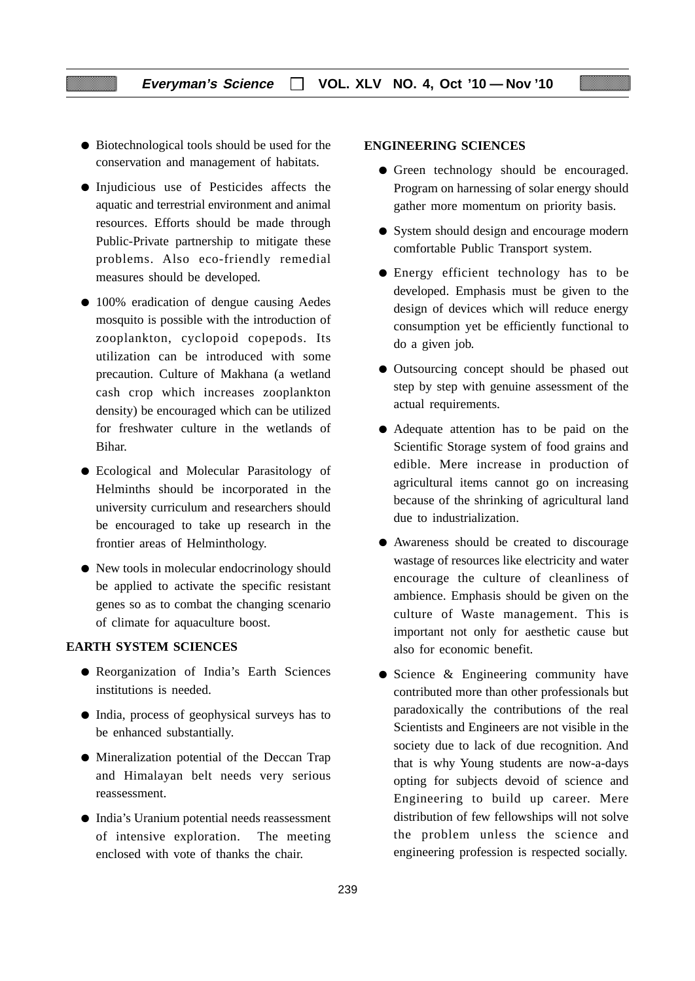- Biotechnological tools should be used for the conservation and management of habitats.
- Injudicious use of Pesticides affects the aquatic and terrestrial environment and animal resources. Efforts should be made through Public-Private partnership to mitigate these problems. Also eco-friendly remedial measures should be developed.
- 100% eradication of dengue causing Aedes mosquito is possible with the introduction of zooplankton, cyclopoid copepods. Its utilization can be introduced with some precaution. Culture of Makhana (a wetland cash crop which increases zooplankton density) be encouraged which can be utilized for freshwater culture in the wetlands of Bihar.
- Ecological and Molecular Parasitology of Helminths should be incorporated in the university curriculum and researchers should be encouraged to take up research in the frontier areas of Helminthology.
- New tools in molecular endocrinology should be applied to activate the specific resistant genes so as to combat the changing scenario of climate for aquaculture boost.

## **EARTH SYSTEM SCIENCES**

- Reorganization of India's Earth Sciences institutions is needed.
- India, process of geophysical surveys has to be enhanced substantially.
- Mineralization potential of the Deccan Trap and Himalayan belt needs very serious reassessment.
- India's Uranium potential needs reassessment of intensive exploration. The meeting enclosed with vote of thanks the chair.

### **ENGINEERING SCIENCES**

- Green technology should be encouraged. Program on harnessing of solar energy should gather more momentum on priority basis.
- System should design and encourage modern comfortable Public Transport system.
- Energy efficient technology has to be developed. Emphasis must be given to the design of devices which will reduce energy consumption yet be efficiently functional to do a given job.
- Outsourcing concept should be phased out step by step with genuine assessment of the actual requirements.
- Adequate attention has to be paid on the Scientific Storage system of food grains and edible. Mere increase in production of agricultural items cannot go on increasing because of the shrinking of agricultural land due to industrialization.
- Awareness should be created to discourage wastage of resources like electricity and water encourage the culture of cleanliness of ambience. Emphasis should be given on the culture of Waste management. This is important not only for aesthetic cause but also for economic benefit.
- Science & Engineering community have contributed more than other professionals but paradoxically the contributions of the real Scientists and Engineers are not visible in the society due to lack of due recognition. And that is why Young students are now-a-days opting for subjects devoid of science and Engineering to build up career. Mere distribution of few fellowships will not solve the problem unless the science and engineering profession is respected socially.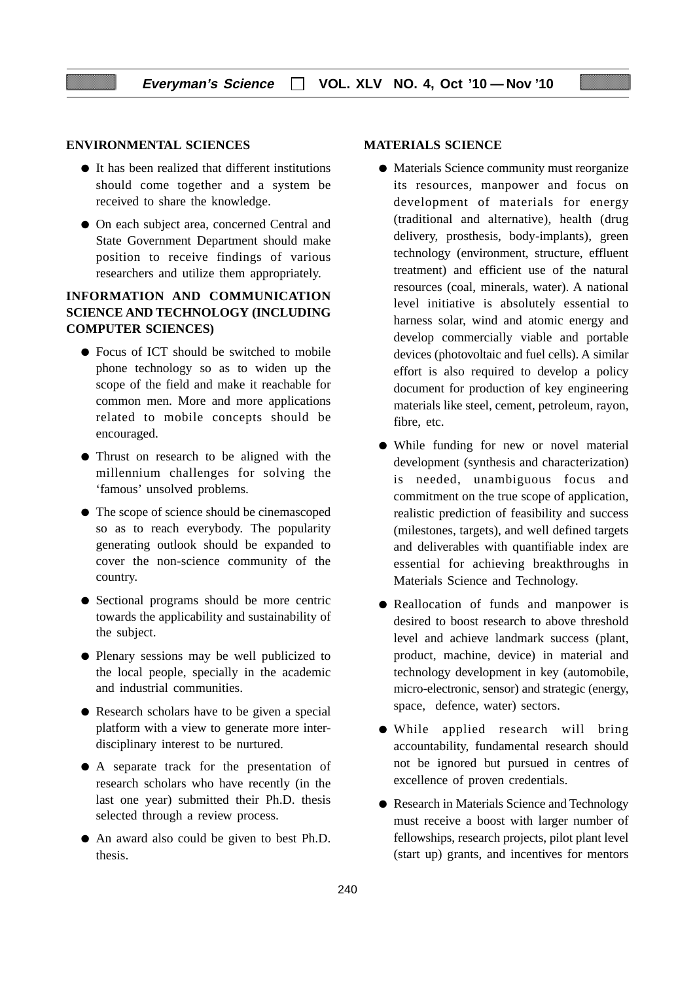#### **ENVIRONMENTAL SCIENCES**

- It has been realized that different institutions should come together and a system be received to share the knowledge.
- On each subject area, concerned Central and State Government Department should make position to receive findings of various researchers and utilize them appropriately.

## **INFORMATION AND COMMUNICATION SCIENCE AND TECHNOLOGY (INCLUDING COMPUTER SCIENCES)**

- Focus of ICT should be switched to mobile phone technology so as to widen up the scope of the field and make it reachable for common men. More and more applications related to mobile concepts should be encouraged.
- Thrust on research to be aligned with the millennium challenges for solving the 'famous' unsolved problems.
- The scope of science should be cinemascoped so as to reach everybody. The popularity generating outlook should be expanded to cover the non-science community of the country.
- Sectional programs should be more centric towards the applicability and sustainability of the subject.
- Plenary sessions may be well publicized to the local people, specially in the academic and industrial communities.
- Research scholars have to be given a special platform with a view to generate more interdisciplinary interest to be nurtured.
- A separate track for the presentation of research scholars who have recently (in the last one year) submitted their Ph.D. thesis selected through a review process.
- An award also could be given to best Ph.D. thesis.

#### **MATERIALS SCIENCE**

- Materials Science community must reorganize its resources, manpower and focus on development of materials for energy (traditional and alternative), health (drug delivery, prosthesis, body-implants), green technology (environment, structure, effluent treatment) and efficient use of the natural resources (coal, minerals, water). A national level initiative is absolutely essential to harness solar, wind and atomic energy and develop commercially viable and portable devices (photovoltaic and fuel cells). A similar effort is also required to develop a policy document for production of key engineering materials like steel, cement, petroleum, rayon, fibre, etc.
- While funding for new or novel material development (synthesis and characterization) is needed, unambiguous focus and commitment on the true scope of application, realistic prediction of feasibility and success (milestones, targets), and well defined targets and deliverables with quantifiable index are essential for achieving breakthroughs in Materials Science and Technology.
- Reallocation of funds and manpower is desired to boost research to above threshold level and achieve landmark success (plant, product, machine, device) in material and technology development in key (automobile, micro-electronic, sensor) and strategic (energy, space, defence, water) sectors.
- While applied research will bring accountability, fundamental research should not be ignored but pursued in centres of excellence of proven credentials.
- Research in Materials Science and Technology must receive a boost with larger number of fellowships, research projects, pilot plant level (start up) grants, and incentives for mentors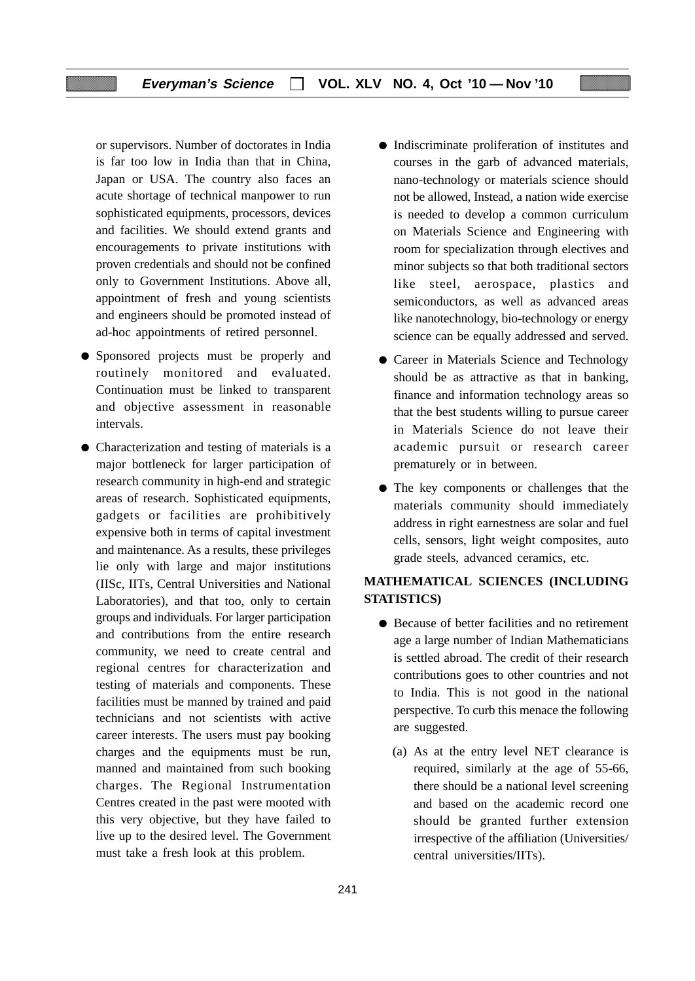or supervisors. Number of doctorates in India is far too low in India than that in China, Japan or USA. The country also faces an acute shortage of technical manpower to run sophisticated equipments, processors, devices and facilities. We should extend grants and encouragements to private institutions with proven credentials and should not be confined only to Government Institutions. Above all, appointment of fresh and young scientists and engineers should be promoted instead of ad-hoc appointments of retired personnel.

- Sponsored projects must be properly and routinely monitored and evaluated. Continuation must be linked to transparent and objective assessment in reasonable intervals.
- Characterization and testing of materials is a major bottleneck for larger participation of research community in high-end and strategic areas of research. Sophisticated equipments, gadgets or facilities are prohibitively expensive both in terms of capital investment and maintenance. As a results, these privileges lie only with large and major institutions (IISc, IITs, Central Universities and National Laboratories), and that too, only to certain groups and individuals. For larger participation and contributions from the entire research community, we need to create central and regional centres for characterization and testing of materials and components. These facilities must be manned by trained and paid technicians and not scientists with active career interests. The users must pay booking charges and the equipments must be run, manned and maintained from such booking charges. The Regional Instrumentation Centres created in the past were mooted with this very objective, but they have failed to live up to the desired level. The Government must take a fresh look at this problem.
- Indiscriminate proliferation of institutes and courses in the garb of advanced materials, nano-technology or materials science should not be allowed, Instead, a nation wide exercise is needed to develop a common curriculum on Materials Science and Engineering with room for specialization through electives and minor subjects so that both traditional sectors like steel, aerospace, plastics and semiconductors, as well as advanced areas like nanotechnology, bio-technology or energy science can be equally addressed and served.
- Career in Materials Science and Technology should be as attractive as that in banking, finance and information technology areas so that the best students willing to pursue career in Materials Science do not leave their academic pursuit or research career prematurely or in between.
- The key components or challenges that the materials community should immediately address in right earnestness are solar and fuel cells, sensors, light weight composites, auto grade steels, advanced ceramics, etc.

## **MATHEMATICAL SCIENCES (INCLUDING STATISTICS)**

- Because of better facilities and no retirement age a large number of Indian Mathematicians is settled abroad. The credit of their research contributions goes to other countries and not to India. This is not good in the national perspective. To curb this menace the following are suggested.
	- (a) As at the entry level NET clearance is required, similarly at the age of 55-66, there should be a national level screening and based on the academic record one should be granted further extension irrespective of the affiliation (Universities/ central universities/IITs).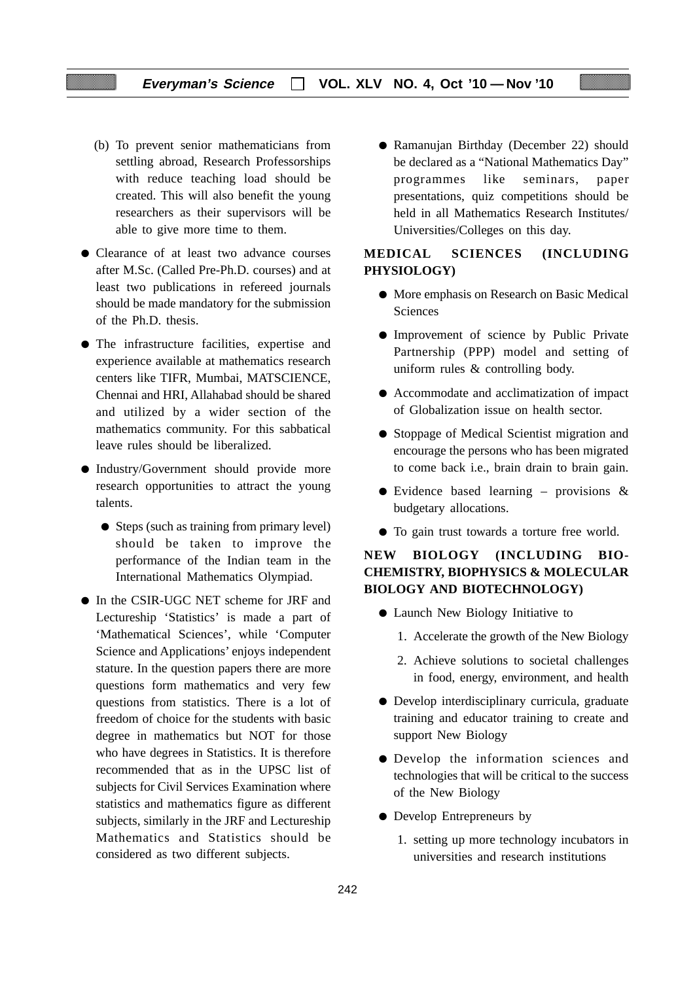- (b) To prevent senior mathematicians from settling abroad, Research Professorships with reduce teaching load should be created. This will also benefit the young researchers as their supervisors will be able to give more time to them.
- Clearance of at least two advance courses after M.Sc. (Called Pre-Ph.D. courses) and at least two publications in refereed journals should be made mandatory for the submission of the Ph.D. thesis.
- The infrastructure facilities, expertise and experience available at mathematics research centers like TIFR, Mumbai, MATSCIENCE, Chennai and HRI, Allahabad should be shared and utilized by a wider section of the mathematics community. For this sabbatical leave rules should be liberalized.
- Industry/Government should provide more research opportunities to attract the young talents.
	- Steps (such as training from primary level) should be taken to improve the performance of the Indian team in the International Mathematics Olympiad.
- In the CSIR-UGC NET scheme for JRF and Lectureship 'Statistics' is made a part of 'Mathematical Sciences', while 'Computer Science and Applications' enjoys independent stature. In the question papers there are more questions form mathematics and very few questions from statistics. There is a lot of freedom of choice for the students with basic degree in mathematics but NOT for those who have degrees in Statistics. It is therefore recommended that as in the UPSC list of subjects for Civil Services Examination where statistics and mathematics figure as different subjects, similarly in the JRF and Lectureship Mathematics and Statistics should be considered as two different subjects.

● Ramanujan Birthday (December 22) should be declared as a "National Mathematics Day" programmes like seminars, paper presentations, quiz competitions should be held in all Mathematics Research Institutes/ Universities/Colleges on this day.

## **MEDICAL SCIENCES (INCLUDING PHYSIOLOGY)**

- More emphasis on Research on Basic Medical **Sciences**
- Improvement of science by Public Private Partnership (PPP) model and setting of uniform rules & controlling body.
- Accommodate and acclimatization of impact of Globalization issue on health sector.
- Stoppage of Medical Scientist migration and encourage the persons who has been migrated to come back i.e., brain drain to brain gain.
- Evidence based learning provisions  $\&$ budgetary allocations.
- To gain trust towards a torture free world.

## **NEW BIOLOGY (INCLUDING BIO-CHEMISTRY, BIOPHYSICS & MOLECULAR BIOLOGY AND BIOTECHNOLOGY)**

- Launch New Biology Initiative to
	- 1. Accelerate the growth of the New Biology
	- 2. Achieve solutions to societal challenges in food, energy, environment, and health
- Develop interdisciplinary curricula, graduate training and educator training to create and support New Biology
- Develop the information sciences and technologies that will be critical to the success of the New Biology
- Develop Entrepreneurs by
	- 1. setting up more technology incubators in universities and research institutions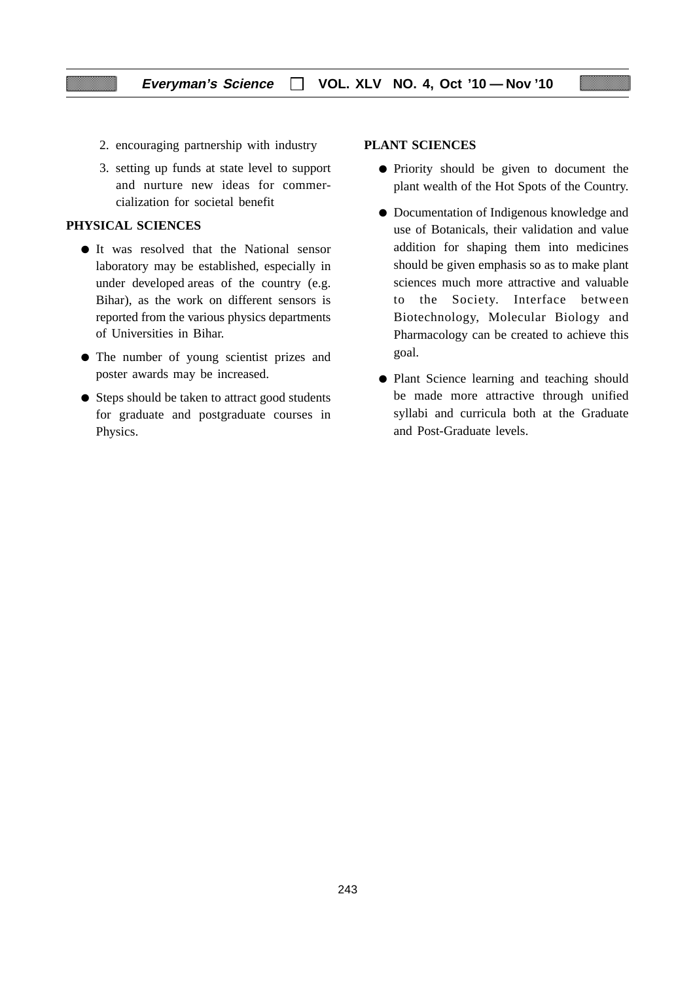- 2. encouraging partnership with industry
- 3. setting up funds at state level to support and nurture new ideas for commercialization for societal benefit

## **PHYSICAL SCIENCES**

- It was resolved that the National sensor laboratory may be established, especially in under developed areas of the country (e.g. Bihar), as the work on different sensors is reported from the various physics departments of Universities in Bihar.
- The number of young scientist prizes and poster awards may be increased.
- Steps should be taken to attract good students for graduate and postgraduate courses in Physics.

#### **PLANT SCIENCES**

- Priority should be given to document the plant wealth of the Hot Spots of the Country.
- Documentation of Indigenous knowledge and use of Botanicals, their validation and value addition for shaping them into medicines should be given emphasis so as to make plant sciences much more attractive and valuable to the Society. Interface between Biotechnology, Molecular Biology and Pharmacology can be created to achieve this goal.
- Plant Science learning and teaching should be made more attractive through unified syllabi and curricula both at the Graduate and Post-Graduate levels.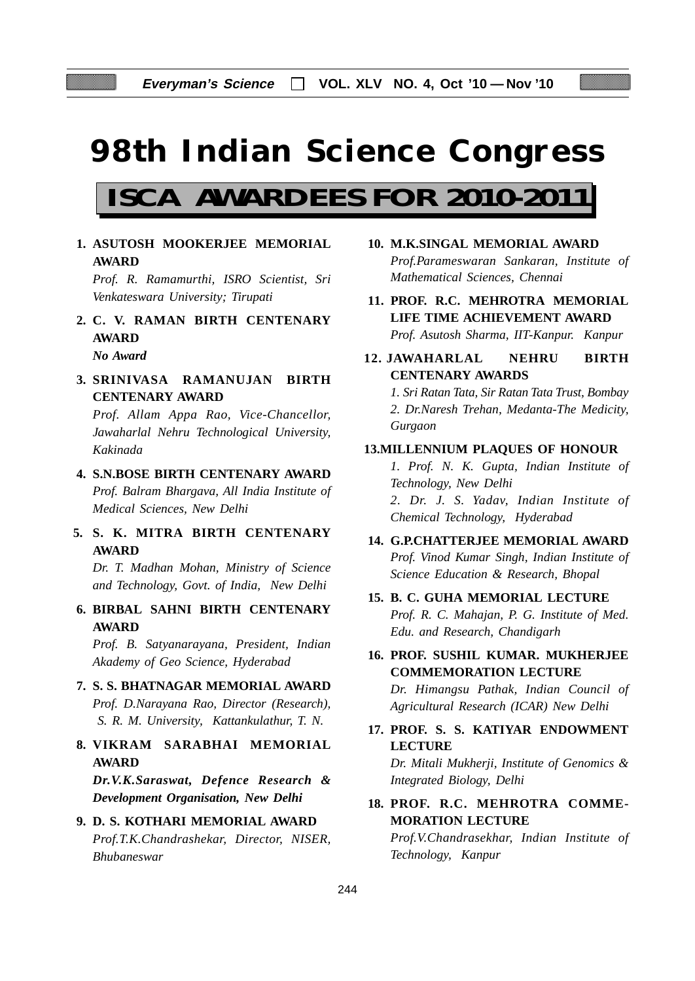# **98th Indian Science Congress**

# **ISCA AWARDEES FOR 2010-2011**

**1. ASUTOSH MOOKERJEE MEMORIAL AWARD**

*Prof. R. Ramamurthi, ISRO Scientist, Sri Venkateswara University; Tirupati*

- **2. C. V. RAMAN BIRTH CENTENARY AWARD** *No Award*
- **3. SRINIVASA RAMANUJAN BIRTH CENTENARY AWARD**

*Prof. Allam Appa Rao, Vice-Chancellor, Jawaharlal Nehru Technological University, Kakinada*

- **4. S.N.BOSE BIRTH CENTENARY AWARD** *Prof. Balram Bhargava, All India Institute of Medical Sciences, New Delhi*
- **5. S. K. MITRA BIRTH CENTENARY AWARD**

*Dr. T. Madhan Mohan, Ministry of Science and Technology, Govt. of India, New Delhi*

**6. BIRBAL SAHNI BIRTH CENTENARY AWARD**

*Prof. B. Satyanarayana, President, Indian Akademy of Geo Science, Hyderabad*

- **7. S. S. BHATNAGAR MEMORIAL AWARD** *Prof. D.Narayana Rao, Director (Research), S. R. M. University, Kattankulathur, T. N.*
- **8. VIKRAM SARABHAI MEMORIAL AWARD**

*Dr.V.K.Saraswat, Defence Research & Development Organisation, New Delhi*

## **9. D. S. KOTHARI MEMORIAL AWARD** *Prof.T.K.Chandrashekar, Director, NISER, Bhubaneswar*

- **10. M.K.SINGAL MEMORIAL AWARD** *Prof.Parameswaran Sankaran, Institute of Mathematical Sciences, Chennai*
- **11. PROF. R.C. MEHROTRA MEMORIAL LIFE TIME ACHIEVEMENT AWARD** *Prof. Asutosh Sharma, IIT-Kanpur. Kanpur*
- **12. JAWAHARLAL NEHRU BIRTH CENTENARY AWARDS**

*1. Sri Ratan Tata, Sir Ratan Tata Trust, Bombay 2. Dr.Naresh Trehan, Medanta-The Medicity, Gurgaon*

## **13.MILLENNIUM PLAQUES OF HONOUR**

*1. Prof. N. K. Gupta, Indian Institute of Technology, New Delhi 2. Dr. J. S. Yadav, Indian Institute of Chemical Technology, Hyderabad*

- **14. G.P.CHATTERJEE MEMORIAL AWARD** *Prof. Vinod Kumar Singh, Indian Institute of Science Education & Research, Bhopal*
- **15. B. C. GUHA MEMORIAL LECTURE** *Prof. R. C. Mahajan, P. G. Institute of Med. Edu. and Research, Chandigarh*
- **16. PROF. SUSHIL KUMAR. MUKHERJEE COMMEMORATION LECTURE**

*Dr. Himangsu Pathak, Indian Council of Agricultural Research (ICAR) New Delhi*

**17. PROF. S. S. KATIYAR ENDOWMENT LECTURE**

*Dr. Mitali Mukherji, Institute of Genomics & Integrated Biology, Delhi*

**18. PROF. R.C. MEHROTRA COMME-MORATION LECTURE**

*Prof.V.Chandrasekhar, Indian Institute of Technology, Kanpur*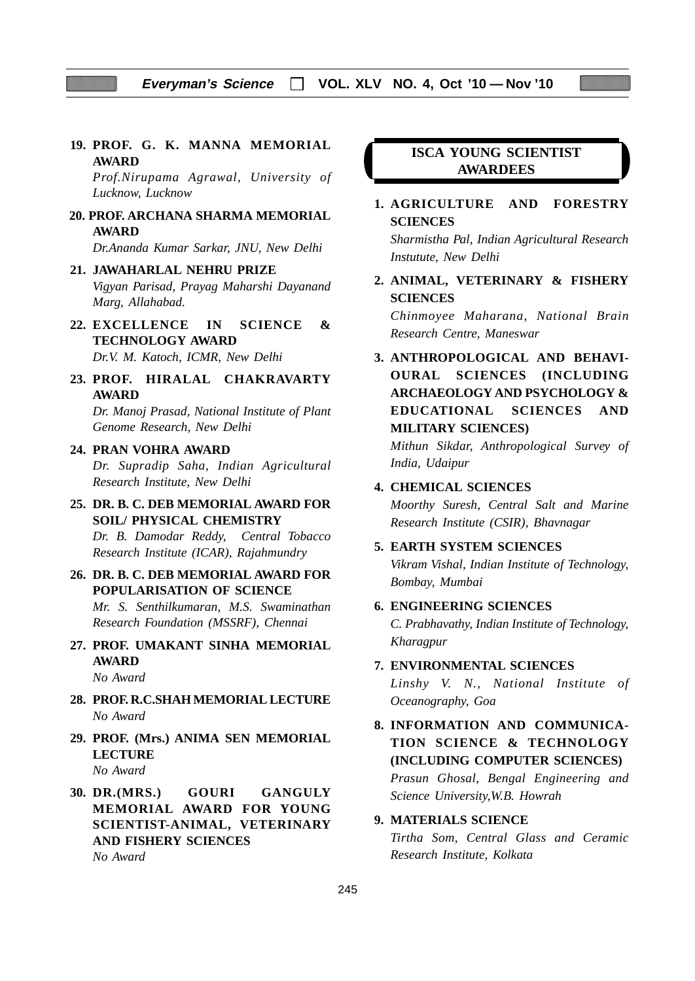**19. PROF. G. K. MANNA MEMORIAL AWARD**

*Prof.Nirupama Agrawal, University of Lucknow, Lucknow*

 **20. PROF. ARCHANA SHARMA MEMORIAL AWARD**

*Dr.Ananda Kumar Sarkar, JNU, New Delhi*

**21. JAWAHARLAL NEHRU PRIZE**

*Vigyan Parisad, Prayag Maharshi Dayanand Marg, Allahabad.*

- **22. EXCELLENCE IN SCIENCE & TECHNOLOGY AWARD** *Dr.V. M. Katoch, ICMR, New Delhi*
- **23. PROF. HIRALAL CHAKRAVARTY AWARD**

*Dr. Manoj Prasad, National Institute of Plant Genome Research, New Delhi*

- **24. PRAN VOHRA AWARD** *Dr. Supradip Saha, Indian Agricultural Research Institute, New Delhi*
- **25. DR. B. C. DEB MEMORIAL AWARD FOR SOIL/ PHYSICAL CHEMISTRY** *Dr. B. Damodar Reddy, Central Tobacco Research Institute (ICAR), Rajahmundry*
- **26. DR. B. C. DEB MEMORIAL AWARD FOR POPULARISATION OF SCIENCE** *Mr. S. Senthilkumaran, M.S. Swaminathan Research Foundation (MSSRF), Chennai*
- **27. PROF. UMAKANT SINHA MEMORIAL AWARD**

*No Award*

- **28. PROF. R.C.SHAH MEMORIAL LECTURE** *No Award*
- **29. PROF. (Mrs.) ANIMA SEN MEMORIAL LECTURE** *No Award*
- **30. DR.(MRS.) GOURI GANGULY MEMORIAL AWARD FOR YOUNG SCIENTIST-ANIMAL, VETERINARY AND FISHERY SCIENCES** *No Award*

## **ISCA YOUNG SCIENTIST AWARDEES**

## **1. AGRICULTURE AND FORESTRY SCIENCES**

*Sharmistha Pal, Indian Agricultural Research Instutute, New Delhi*

**2. ANIMAL, VETERINARY & FISHERY SCIENCES**

*Chinmoyee Maharana, National Brain Research Centre, Maneswar*

**3. ANTHROPOLOGICAL AND BEHAVI-OURAL SCIENCES (INCLUDING ARCHAEOLOGY AND PSYCHOLOGY & EDUCATIONAL SCIENCES AND MILITARY SCIENCES)**

*Mithun Sikdar, Anthropological Survey of India, Udaipur*

## **4. CHEMICAL SCIENCES**

*Moorthy Suresh, Central Salt and Marine Research Institute (CSIR), Bhavnagar*

## **5. EARTH SYSTEM SCIENCES**

*Vikram Vishal, Indian Institute of Technology, Bombay, Mumbai*

#### **6. ENGINEERING SCIENCES**

*C. Prabhavathy, Indian Institute of Technology, Kharagpur*

## **7. ENVIRONMENTAL SCIENCES**

*Linshy V. N., National Institute of Oceanography, Goa*

**8. INFORMATION AND COMMUNICA-TION SCIENCE & TECHNOLOGY (INCLUDING COMPUTER SCIENCES)**

*Prasun Ghosal, Bengal Engineering and Science University,W.B. Howrah*

#### **9. MATERIALS SCIENCE**

*Tirtha Som, Central Glass and Ceramic Research Institute, Kolkata*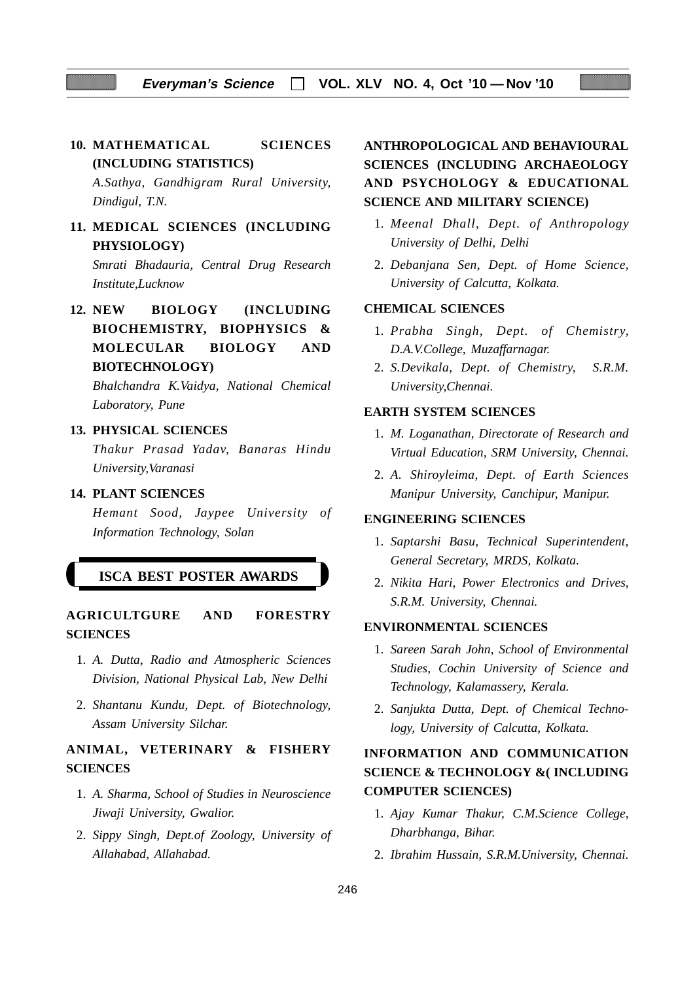## **10. MATHEMATICAL SCIENCES (INCLUDING STATISTICS)**

*A.Sathya, Gandhigram Rural University, Dindigul, T.N.*

## **11. MEDICAL SCIENCES (INCLUDING PHYSIOLOGY)**

*Smrati Bhadauria, Central Drug Research Institute,Lucknow*

**12. NEW BIOLOGY (INCLUDING BIOCHEMISTRY, BIOPHYSICS & MOLECULAR BIOLOGY AND BIOTECHNOLOGY)**

*Bhalchandra K.Vaidya, National Chemical Laboratory, Pune*

## **13. PHYSICAL SCIENCES**

*Thakur Prasad Yadav, Banaras Hindu University,Varanasi*

#### **14. PLANT SCIENCES**

*Hemant Sood, Jaypee University of Information Technology, Solan*

#### **ISCA BEST POSTER AWARDS**

**AGRICULTGURE AND FORESTRY SCIENCES**

- 1. *A. Dutta, Radio and Atmospheric Sciences Division, National Physical Lab, New Delhi*
- 2. *Shantanu Kundu, Dept. of Biotechnology, Assam University Silchar.*

## **ANIMAL, VETERINARY & FISHERY SCIENCES**

- 1. *A. Sharma, School of Studies in Neuroscience Jiwaji University, Gwalior.*
- 2. *Sippy Singh, Dept.of Zoology, University of Allahabad, Allahabad.*

## **ANTHROPOLOGICAL AND BEHAVIOURAL SCIENCES (INCLUDING ARCHAEOLOGY AND PSYCHOLOGY & EDUCATIONAL SCIENCE AND MILITARY SCIENCE)**

- 1. *Meenal Dhall, Dept. of Anthropology University of Delhi, Delhi*
- 2. *Debanjana Sen, Dept. of Home Science, University of Calcutta, Kolkata.*

## **CHEMICAL SCIENCES**

- 1. *Prabha Singh, Dept. of Chemistry, D.A.V.College, Muzaffarnagar.*
- 2. *S.Devikala, Dept. of Chemistry, S.R.M. University,Chennai.*

## **EARTH SYSTEM SCIENCES**

- 1. *M. Loganathan, Directorate of Research and Virtual Education, SRM University, Chennai.*
- 2. *A. Shiroyleima, Dept. of Earth Sciences Manipur University, Canchipur, Manipur.*

#### **ENGINEERING SCIENCES**

- 1. *Saptarshi Basu, Technical Superintendent, General Secretary, MRDS, Kolkata.*
- 2. *Nikita Hari, Power Electronics and Drives, S.R.M. University, Chennai.*

#### **ENVIRONMENTAL SCIENCES**

- 1. *Sareen Sarah John*, *School of Environmental Studies, Cochin University of Science and Technology, Kalamassery, Kerala.*
- 2. *Sanjukta Dutta*, *Dept. of Chemical Technology, University of Calcutta, Kolkata.*

## **INFORMATION AND COMMUNICATION SCIENCE & TECHNOLOGY &( INCLUDING COMPUTER SCIENCES)**

- 1. *Ajay Kumar Thakur, C.M.Science College, Dharbhanga, Bihar.*
- 2. *Ibrahim Hussain, S.R.M.University, Chennai.*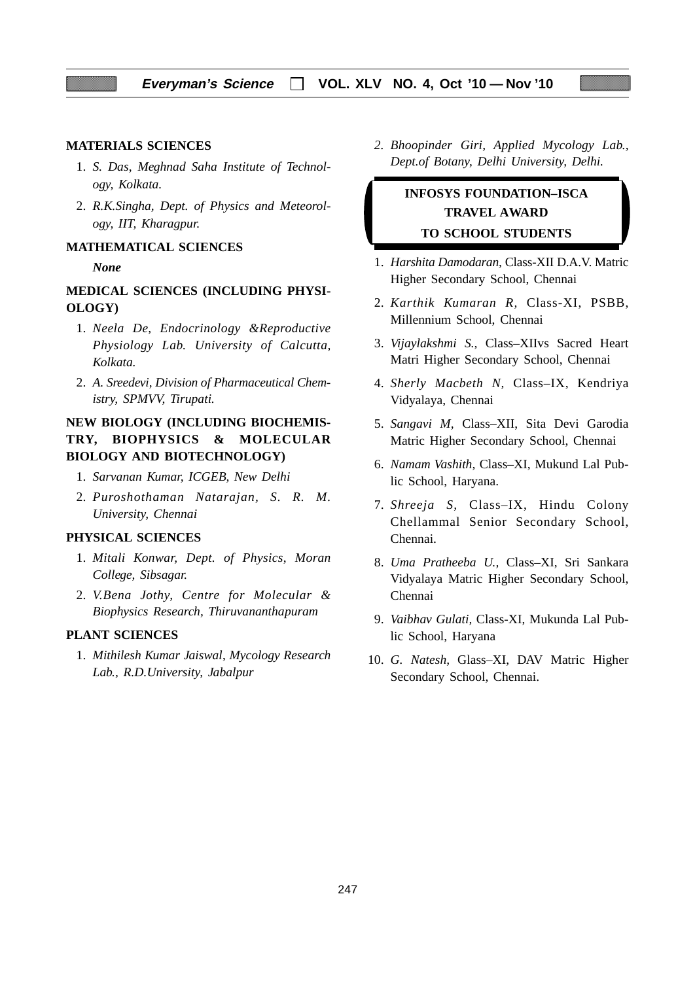#### **MATERIALS SCIENCES**

- 1. *S. Das*, *Meghnad Saha Institute of Technology, Kolkata.*
- 2. *R.K.Singha, Dept. of Physics and Meteorology, IIT, Kharagpur.*

#### **MATHEMATICAL SCIENCES**

#### *None*

## **MEDICAL SCIENCES (INCLUDING PHYSI-OLOGY)**

- 1. *Neela De, Endocrinology &Reproductive Physiology Lab. University of Calcutta, Kolkata.*
- 2. *A. Sreedevi, Division of Pharmaceutical Chemistry, SPMVV, Tirupati.*

## **NEW BIOLOGY (INCLUDING BIOCHEMIS-TRY, BIOPHYSICS & MOLECULAR BIOLOGY AND BIOTECHNOLOGY)**

- 1. *Sarvanan Kumar, ICGEB, New Delhi*
- 2. *Puroshothaman Natarajan, S. R. M. University, Chennai*

## **PHYSICAL SCIENCES**

- 1. *Mitali Konwar, Dept. of Physics*, *Moran College, Sibsagar.*
- 2. *V.Bena Jothy, Centre for Molecular & Biophysics Research, Thiruvananthapuram*

## **PLANT SCIENCES**

1. *Mithilesh Kumar Jaiswal*, *Mycology Research Lab., R.D.University, Jabalpur*

*2. Bhoopinder Giri, Applied Mycology Lab., Dept.of Botany, Delhi University, Delhi.*

## **INFOSYS FOUNDATION–ISCA TRAVEL AWARD TO SCHOOL STUDENTS**

- 1. *Harshita Damodaran,* Class-XII D.A.V. Matric Higher Secondary School, Chennai
- 2. *Karthik Kumaran R,* Class-XI, PSBB, Millennium School, Chennai
- 3. *Vijaylakshmi S.,* Class–XIIvs Sacred Heart Matri Higher Secondary School, Chennai
- 4. *Sherly Macbeth N,* Class–IX, Kendriya Vidyalaya, Chennai
- 5. *Sangavi M,* Class–XII, Sita Devi Garodia Matric Higher Secondary School, Chennai
- 6. *Namam Vashith,* Class–XI, Mukund Lal Public School, Haryana.
- 7. *Shreeja S,* Class–IX, Hindu Colony Chellammal Senior Secondary School, Chennai.
- 8. *Uma Pratheeba U.,* Class–XI, Sri Sankara Vidyalaya Matric Higher Secondary School, Chennai
- 9. *Vaibhav Gulati,* Class-XI, Mukunda Lal Public School, Haryana
- 10. *G. Natesh,* Glass–XI, DAV Matric Higher Secondary School, Chennai.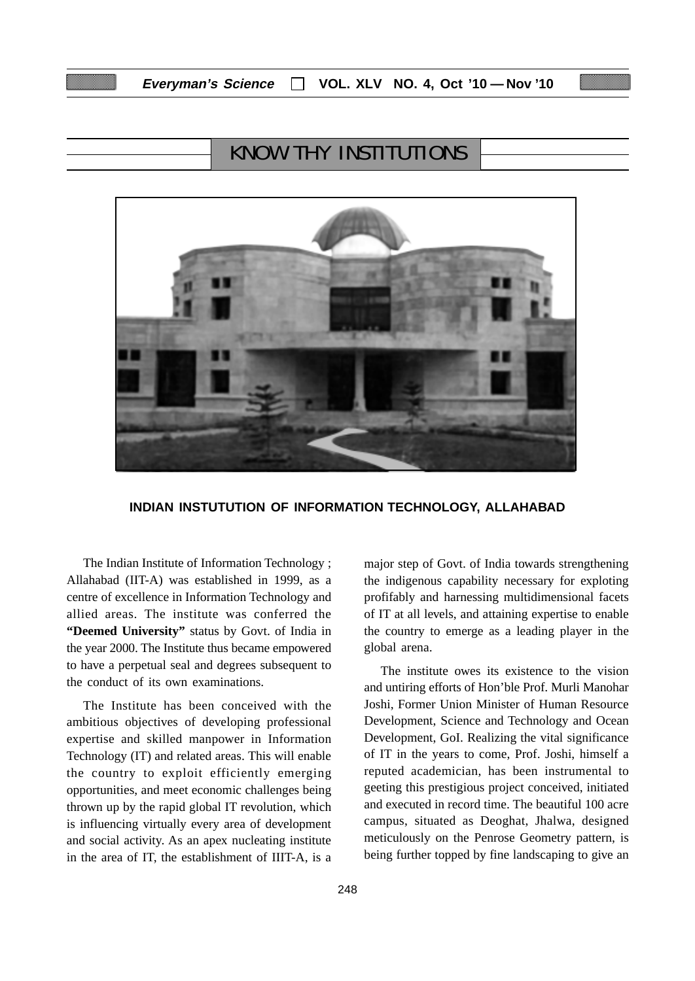## KNOW THY INSTITUTIONS



#### **INDIAN INSTUTUTION OF INFORMATION TECHNOLOGY, ALLAHABAD**

The Indian Institute of Information Technology ; Allahabad (IIT-A) was established in 1999, as a centre of excellence in Information Technology and allied areas. The institute was conferred the **"Deemed University"** status by Govt. of India in the year 2000. The Institute thus became empowered to have a perpetual seal and degrees subsequent to the conduct of its own examinations.

The Institute has been conceived with the ambitious objectives of developing professional expertise and skilled manpower in Information Technology (IT) and related areas. This will enable the country to exploit efficiently emerging opportunities, and meet economic challenges being thrown up by the rapid global IT revolution, which is influencing virtually every area of development and social activity. As an apex nucleating institute in the area of IT, the establishment of IIIT-A, is a major step of Govt. of India towards strengthening the indigenous capability necessary for exploting profifably and harnessing multidimensional facets of IT at all levels, and attaining expertise to enable the country to emerge as a leading player in the global arena.

The institute owes its existence to the vision and untiring efforts of Hon'ble Prof. Murli Manohar Joshi, Former Union Minister of Human Resource Development, Science and Technology and Ocean Development, GoI. Realizing the vital significance of IT in the years to come, Prof. Joshi, himself a reputed academician, has been instrumental to geeting this prestigious project conceived, initiated and executed in record time. The beautiful 100 acre campus, situated as Deoghat, Jhalwa, designed meticulously on the Penrose Geometry pattern, is being further topped by fine landscaping to give an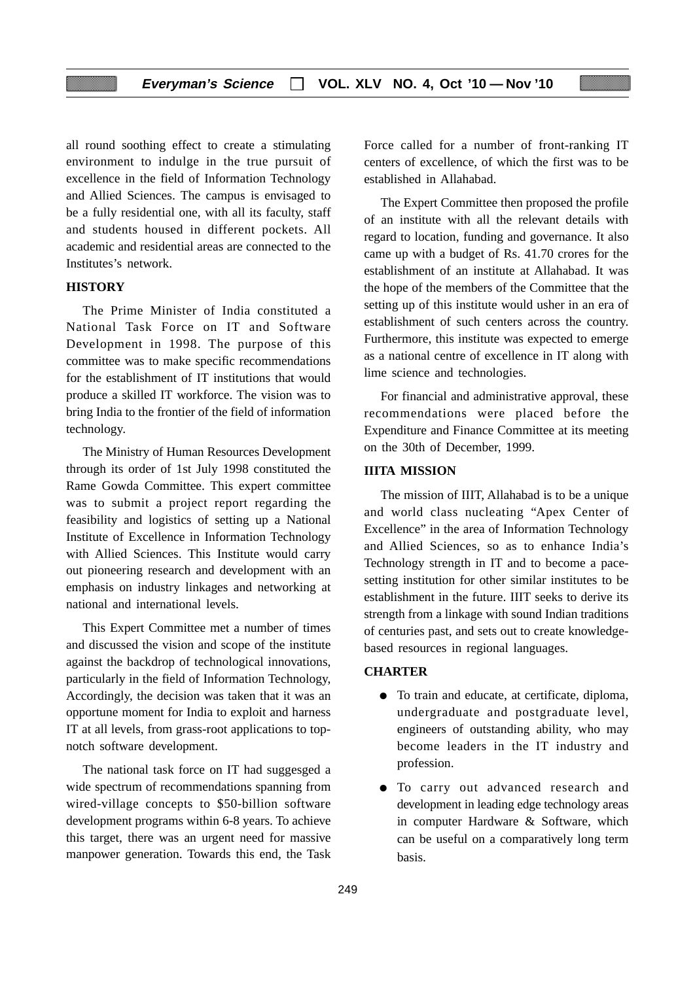all round soothing effect to create a stimulating environment to indulge in the true pursuit of excellence in the field of Information Technology and Allied Sciences. The campus is envisaged to be a fully residential one, with all its faculty, staff and students housed in different pockets. All academic and residential areas are connected to the Institutes's network.

## **HISTORY**

The Prime Minister of India constituted a National Task Force on IT and Software Development in 1998. The purpose of this committee was to make specific recommendations for the establishment of IT institutions that would produce a skilled IT workforce. The vision was to bring India to the frontier of the field of information technology.

The Ministry of Human Resources Development through its order of 1st July 1998 constituted the Rame Gowda Committee. This expert committee was to submit a project report regarding the feasibility and logistics of setting up a National Institute of Excellence in Information Technology with Allied Sciences. This Institute would carry out pioneering research and development with an emphasis on industry linkages and networking at national and international levels.

This Expert Committee met a number of times and discussed the vision and scope of the institute against the backdrop of technological innovations, particularly in the field of Information Technology, Accordingly, the decision was taken that it was an opportune moment for India to exploit and harness IT at all levels, from grass-root applications to topnotch software development.

The national task force on IT had suggesged a wide spectrum of recommendations spanning from wired-village concepts to \$50-billion software development programs within 6-8 years. To achieve this target, there was an urgent need for massive manpower generation. Towards this end, the Task

Force called for a number of front-ranking IT centers of excellence, of which the first was to be established in Allahabad.

The Expert Committee then proposed the profile of an institute with all the relevant details with regard to location, funding and governance. It also came up with a budget of Rs. 41.70 crores for the establishment of an institute at Allahabad. It was the hope of the members of the Committee that the setting up of this institute would usher in an era of establishment of such centers across the country. Furthermore, this institute was expected to emerge as a national centre of excellence in IT along with lime science and technologies.

For financial and administrative approval, these recommendations were placed before the Expenditure and Finance Committee at its meeting on the 30th of December, 1999.

## **IIITA MISSION**

The mission of IIIT, Allahabad is to be a unique and world class nucleating "Apex Center of Excellence" in the area of Information Technology and Allied Sciences, so as to enhance India's Technology strength in IT and to become a pacesetting institution for other similar institutes to be establishment in the future. IIIT seeks to derive its strength from a linkage with sound Indian traditions of centuries past, and sets out to create knowledgebased resources in regional languages.

#### **CHARTER**

- To train and educate, at certificate, diploma, undergraduate and postgraduate level, engineers of outstanding ability, who may become leaders in the IT industry and profession.
- To carry out advanced research and development in leading edge technology areas in computer Hardware & Software, which can be useful on a comparatively long term basis.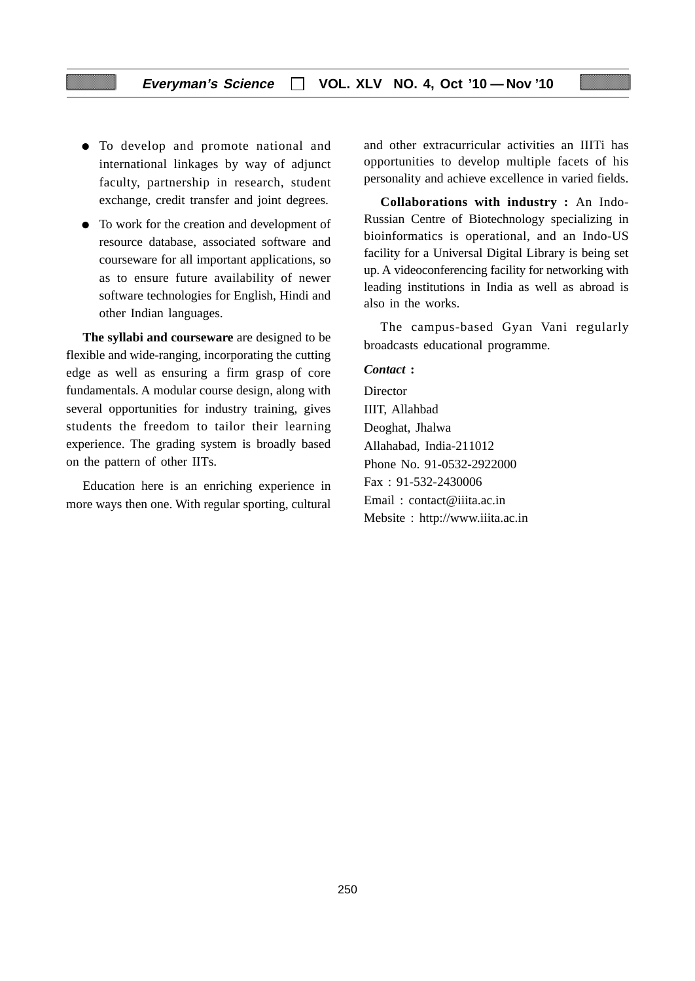- To develop and promote national and international linkages by way of adjunct faculty, partnership in research, student exchange, credit transfer and joint degrees.
- To work for the creation and development of resource database, associated software and courseware for all important applications, so as to ensure future availability of newer software technologies for English, Hindi and other Indian languages.

**The syllabi and courseware** are designed to be flexible and wide-ranging, incorporating the cutting edge as well as ensuring a firm grasp of core fundamentals. A modular course design, along with several opportunities for industry training, gives students the freedom to tailor their learning experience. The grading system is broadly based on the pattern of other IITs.

Education here is an enriching experience in more ways then one. With regular sporting, cultural

and other extracurricular activities an IIITi has opportunities to develop multiple facets of his personality and achieve excellence in varied fields.

**Collaborations with industry :** An Indo-Russian Centre of Biotechnology specializing in bioinformatics is operational, and an Indo-US facility for a Universal Digital Library is being set up. A videoconferencing facility for networking with leading institutions in India as well as abroad is also in the works.

The campus-based Gyan Vani regularly broadcasts educational programme.

#### *Contact* **:**

**Director** IIIT, Allahbad Deoghat, Jhalwa Allahabad, India-211012 Phone No. 91-0532-2922000 Fax : 91-532-2430006 Email : contact@iiita.ac.in Mebsite : http://www.iiita.ac.in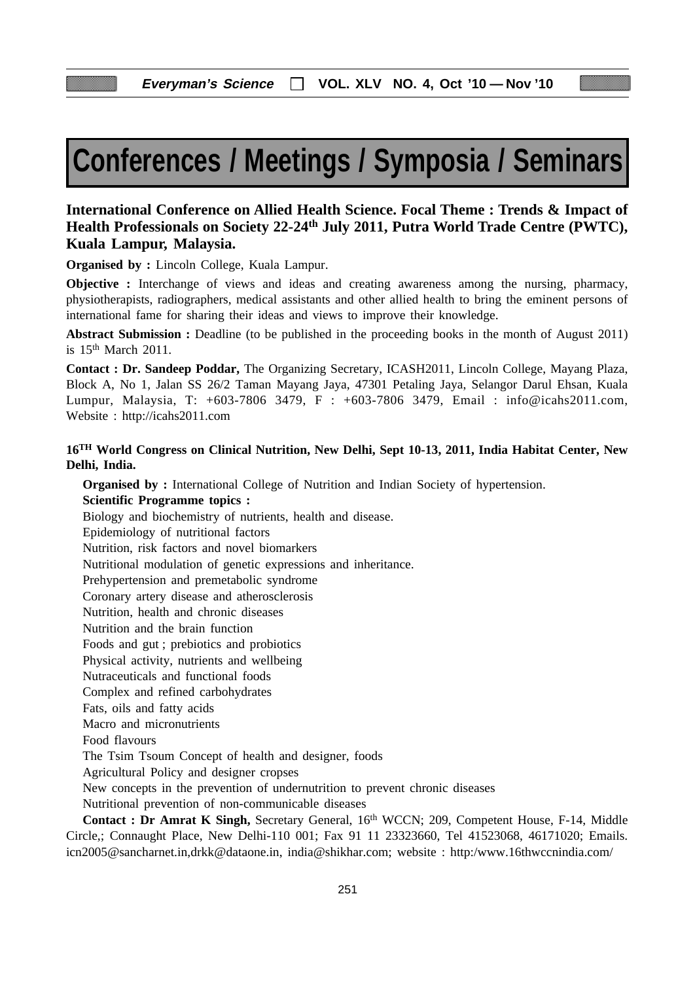# **Conferences / Meetings / Symposia / Seminars**

## **International Conference on Allied Health Science. Focal Theme : Trends & Impact of Health Professionals on Society 22-24th July 2011, Putra World Trade Centre (PWTC), Kuala Lampur, Malaysia.**

**Organised by :** Lincoln College, Kuala Lampur.

**Objective :** Interchange of views and ideas and creating awareness among the nursing, pharmacy, physiotherapists, radiographers, medical assistants and other allied health to bring the eminent persons of international fame for sharing their ideas and views to improve their knowledge.

**Abstract Submission :** Deadline (to be published in the proceeding books in the month of August 2011) is  $15<sup>th</sup>$  March 2011.

**Contact : Dr. Sandeep Poddar,** The Organizing Secretary, ICASH2011, Lincoln College, Mayang Plaza, Block A, No 1, Jalan SS 26/2 Taman Mayang Jaya, 47301 Petaling Jaya, Selangor Darul Ehsan, Kuala Lumpur, Malaysia, T: +603-7806 3479, F : +603-7806 3479, Email : info@icahs2011.com, Website : http://icahs2011.com

## **16TH World Congress on Clinical Nutrition, New Delhi, Sept 10-13, 2011, India Habitat Center, New Delhi, India.**

**Organised by :** International College of Nutrition and Indian Society of hypertension. **Scientific Programme topics :** Biology and biochemistry of nutrients, health and disease. Epidemiology of nutritional factors Nutrition, risk factors and novel biomarkers Nutritional modulation of genetic expressions and inheritance. Prehypertension and premetabolic syndrome Coronary artery disease and atherosclerosis Nutrition, health and chronic diseases Nutrition and the brain function Foods and gut ; prebiotics and probiotics Physical activity, nutrients and wellbeing Nutraceuticals and functional foods Complex and refined carbohydrates Fats, oils and fatty acids Macro and micronutrients Food flavours The Tsim Tsoum Concept of health and designer, foods Agricultural Policy and designer cropses New concepts in the prevention of undernutrition to prevent chronic diseases Nutritional prevention of non-communicable diseases **Contact : Dr Amrat K Singh,** Secretary General, 16th WCCN; 209, Competent House, F-14, Middle Circle,; Connaught Place, New Delhi-110 001; Fax 91 11 23323660, Tel 41523068, 46171020; Emails. icn2005@sancharnet.in,drkk@dataone.in, india@shikhar.com; website : http:/www.16thwccnindia.com/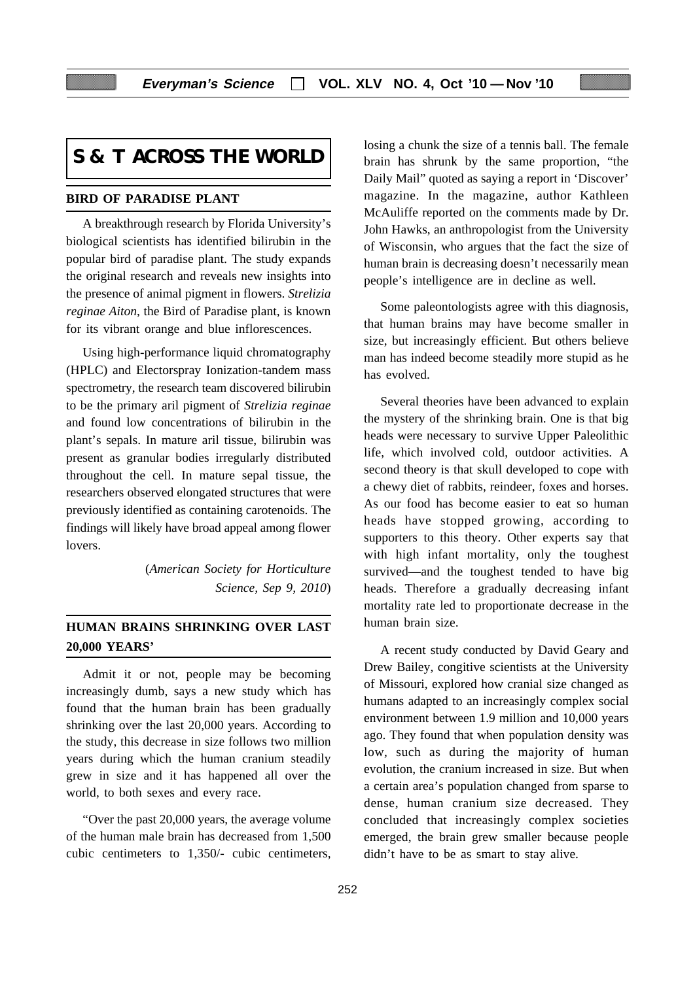## **S & T ACROSS THE WORLD**

## **BIRD OF PARADISE PLANT**

A breakthrough research by Florida University's biological scientists has identified bilirubin in the popular bird of paradise plant. The study expands the original research and reveals new insights into the presence of animal pigment in flowers. *Strelizia reginae Aiton*, the Bird of Paradise plant, is known for its vibrant orange and blue inflorescences.

Using high-performance liquid chromatography (HPLC) and Electorspray Ionization-tandem mass spectrometry, the research team discovered bilirubin to be the primary aril pigment of *Strelizia reginae* and found low concentrations of bilirubin in the plant's sepals. In mature aril tissue, bilirubin was present as granular bodies irregularly distributed throughout the cell. In mature sepal tissue, the researchers observed elongated structures that were previously identified as containing carotenoids. The findings will likely have broad appeal among flower lovers.

> (*American Society for Horticulture Science, Sep 9, 2010*)

## **HUMAN BRAINS SHRINKING OVER LAST 20,000 YEARS'**

Admit it or not, people may be becoming increasingly dumb, says a new study which has found that the human brain has been gradually shrinking over the last 20,000 years. According to the study, this decrease in size follows two million years during which the human cranium steadily grew in size and it has happened all over the world, to both sexes and every race.

"Over the past 20,000 years, the average volume of the human male brain has decreased from 1,500 cubic centimeters to 1,350/- cubic centimeters, losing a chunk the size of a tennis ball. The female brain has shrunk by the same proportion, "the Daily Mail" quoted as saying a report in 'Discover' magazine. In the magazine, author Kathleen McAuliffe reported on the comments made by Dr. John Hawks, an anthropologist from the University of Wisconsin, who argues that the fact the size of human brain is decreasing doesn't necessarily mean people's intelligence are in decline as well.

Some paleontologists agree with this diagnosis, that human brains may have become smaller in size, but increasingly efficient. But others believe man has indeed become steadily more stupid as he has evolved.

Several theories have been advanced to explain the mystery of the shrinking brain. One is that big heads were necessary to survive Upper Paleolithic life, which involved cold, outdoor activities. A second theory is that skull developed to cope with a chewy diet of rabbits, reindeer, foxes and horses. As our food has become easier to eat so human heads have stopped growing, according to supporters to this theory. Other experts say that with high infant mortality, only the toughest survived—and the toughest tended to have big heads. Therefore a gradually decreasing infant mortality rate led to proportionate decrease in the human brain size.

A recent study conducted by David Geary and Drew Bailey, congitive scientists at the University of Missouri, explored how cranial size changed as humans adapted to an increasingly complex social environment between 1.9 million and 10,000 years ago. They found that when population density was low, such as during the majority of human evolution, the cranium increased in size. But when a certain area's population changed from sparse to dense, human cranium size decreased. They concluded that increasingly complex societies emerged, the brain grew smaller because people didn't have to be as smart to stay alive.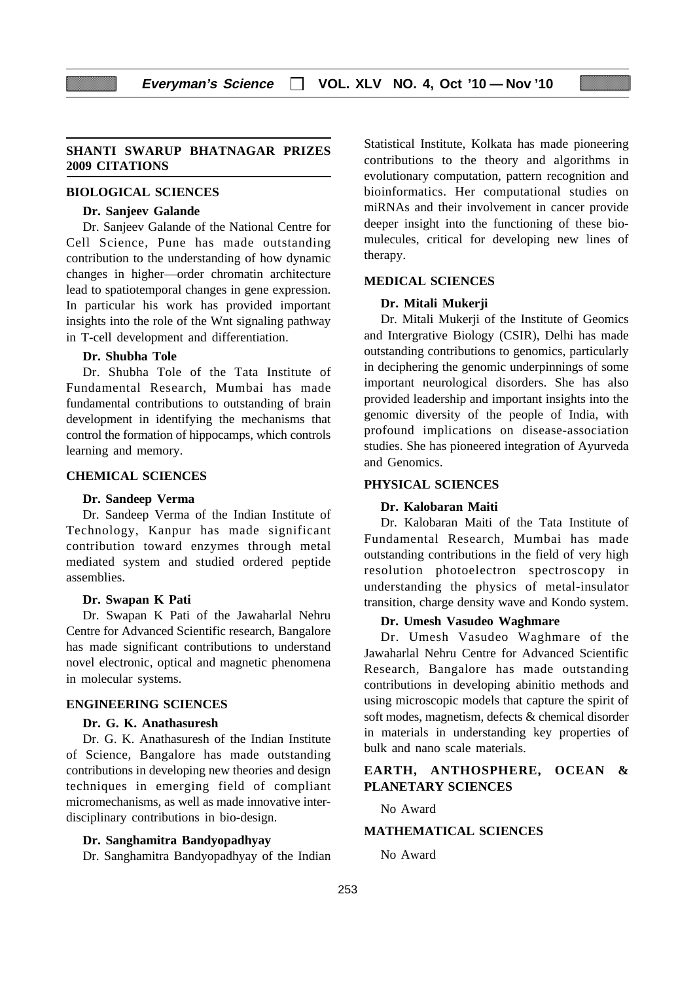#### **SHANTI SWARUP BHATNAGAR PRIZES 2009 CITATIONS**

#### **BIOLOGICAL SCIENCES**

## **Dr. Sanjeev Galande**

Dr. Sanjeev Galande of the National Centre for Cell Science, Pune has made outstanding contribution to the understanding of how dynamic changes in higher—order chromatin architecture lead to spatiotemporal changes in gene expression. In particular his work has provided important insights into the role of the Wnt signaling pathway in T-cell development and differentiation.

#### **Dr. Shubha Tole**

Dr. Shubha Tole of the Tata Institute of Fundamental Research, Mumbai has made fundamental contributions to outstanding of brain development in identifying the mechanisms that control the formation of hippocamps, which controls learning and memory.

#### **CHEMICAL SCIENCES**

#### **Dr. Sandeep Verma**

Dr. Sandeep Verma of the Indian Institute of Technology, Kanpur has made significant contribution toward enzymes through metal mediated system and studied ordered peptide assemblies.

#### **Dr. Swapan K Pati**

Dr. Swapan K Pati of the Jawaharlal Nehru Centre for Advanced Scientific research, Bangalore has made significant contributions to understand novel electronic, optical and magnetic phenomena in molecular systems.

#### **ENGINEERING SCIENCES**

#### **Dr. G. K. Anathasuresh**

Dr. G. K. Anathasuresh of the Indian Institute of Science, Bangalore has made outstanding contributions in developing new theories and design techniques in emerging field of compliant micromechanisms, as well as made innovative interdisciplinary contributions in bio-design.

#### **Dr. Sanghamitra Bandyopadhyay**

Dr. Sanghamitra Bandyopadhyay of the Indian

Statistical Institute, Kolkata has made pioneering contributions to the theory and algorithms in evolutionary computation, pattern recognition and bioinformatics. Her computational studies on miRNAs and their involvement in cancer provide deeper insight into the functioning of these biomulecules, critical for developing new lines of therapy.

#### **MEDICAL SCIENCES**

#### **Dr. Mitali Mukerji**

Dr. Mitali Mukerji of the Institute of Geomics and Intergrative Biology (CSIR), Delhi has made outstanding contributions to genomics, particularly in deciphering the genomic underpinnings of some important neurological disorders. She has also provided leadership and important insights into the genomic diversity of the people of India, with profound implications on disease-association studies. She has pioneered integration of Ayurveda and Genomics.

### **PHYSICAL SCIENCES**

#### **Dr. Kalobaran Maiti**

Dr. Kalobaran Maiti of the Tata Institute of Fundamental Research, Mumbai has made outstanding contributions in the field of very high resolution photoelectron spectroscopy in understanding the physics of metal-insulator transition, charge density wave and Kondo system.

#### **Dr. Umesh Vasudeo Waghmare**

Dr. Umesh Vasudeo Waghmare of the Jawaharlal Nehru Centre for Advanced Scientific Research, Bangalore has made outstanding contributions in developing abinitio methods and using microscopic models that capture the spirit of soft modes, magnetism, defects & chemical disorder in materials in understanding key properties of bulk and nano scale materials.

## **EARTH, ANTHOSPHERE, OCEAN & PLANETARY SCIENCES**

No Award

#### **MATHEMATICAL SCIENCES**

No Award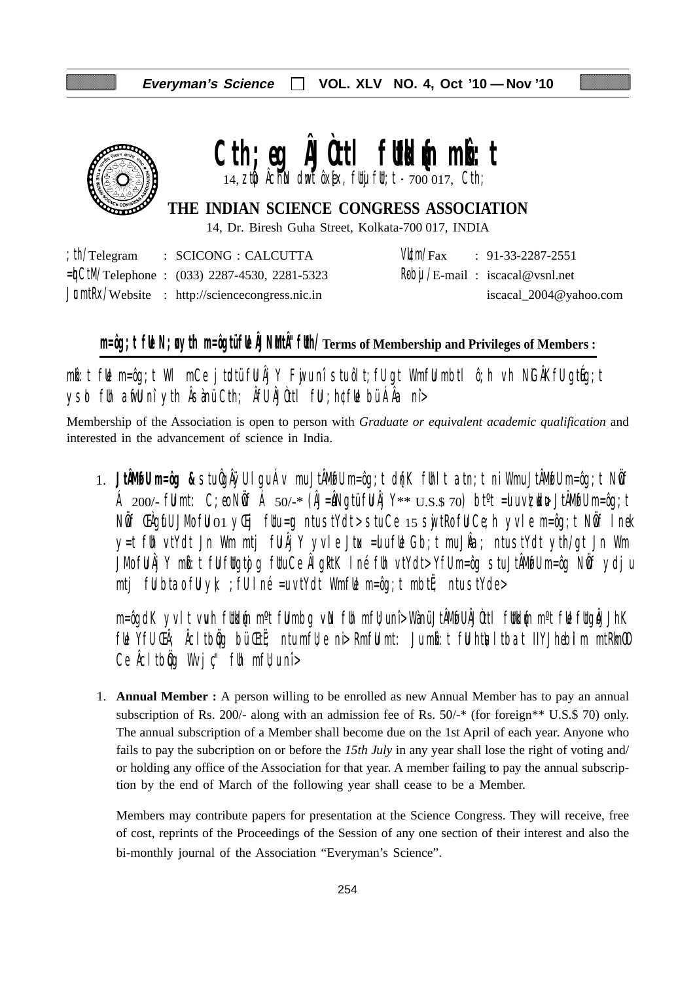

# Cth;eg **AJOttl futkl**{m mbott

14,  $z$ t $\phi$  Âchin dmt ôx[ex, futuj fut; t -  $700017$ , Cth;

## **THE INDIAN SCIENCE CONGRESS ASSOCIATION**

14, Dr. Biresh Guha Street, Kolkata-700 017, INDIA

|  | $\therefore$ th/Telegram $\therefore$ SCICONG $\therefore$ CALCUTTA |  | $V/Lm/Fax$ : 91-33-2287-2551                                                         |
|--|---------------------------------------------------------------------|--|--------------------------------------------------------------------------------------|
|  | $=\n\frac{1}{2}$ CtM/Telephone : (033) 2287-4530, 2281-5323         |  | $\mathsf{R}\mathsf{b}\mathsf{b}\mathsf{u}/\mathsf{E}\text{-mail}$ : iscacal@vsnl.net |
|  | $J\mathbb{C}$ mtRx/Website : http://sciencecongress.nic.in          |  | iscacal_2004@yahoo.com                                                               |

# **m=ôg;t fUe N;uø ytih m=ôgtü fUe ÂJNuMtÂ"fUth/Terms of Membership and Privileges of Members :**

 $m$ b:t fue m=ôg;t WI mCe jtudtü fu Âj Y Fuju nî stu ôlt;fu gt Wmfu mbtl ô;h vh NiGÂKfu gtueg;t ysd fih arfli nî yth Âsànü Cth; Âfli ÂJùttl fii ; h¢fli bü ÁÂa nî>

Membership of the Association is open to person with *Graduate or equivalent academic qualification* and interested in the advancement of science in India.

1. **JtÂMøfU m=ôg &** stu ÔgÂÿU lgu Áv mu JtÂMøfU m=ôg;t d{nK fUhlt atn;t ni Wmu JtÂMøfU m=ôg;t NwÖf Á 200/- fümt: C;eo Nöf Á 50/-\* (ÂJ=åNgtü fü Âj Y\*\*  $U.S.S.$  70) bt<sup>o</sup>t =ulu v $\nabla$ udu+ JtÂMofu m=ôg;t Nif ŒAgifU JMo fiJ 01 yŒij fUtu=¤ ntu stYdt> stu Ce 15 swjtRo fiJ Ce;h yvle m=ôg;t Nif I nek y=t füh vtYdt Jn Wm mtj fü $\hat{A}$ jY yvle Jtux =ulu fül Gb;t mu J $\hat{A}a$ ; ntu stYdt yth/gt Jn Wm JMo fü Âj Y mbi:t fü füqtojq füu Ce ÂlgktK I né füh vtYdt> Yfü m=ôg stu JtÂMofü m=ôg Nöf ydju mtj fülbta $\delta$  fülyk; ; fülné =u vtYdt WmfWe m=ôg;t mbtË; ntu stYde>

m=ôgdK yvlt vwh füldin m°t fülmbg vin füh mfü;unî> Wànü JtÂMofü ÂJÒttl füldin m°t füe fügiÅJhK ful Yfu Ch; Acltbog bü Ctut; ntu mfu; ni> Rmfu mt: Ju mb:t fu htusltbat IIYJhebilm mtRlmOO Ce  $\hat{A}$ cltb $\hat{q}$ g Wvj $\hat{c}$ " f $\hat{b}$ h mf $\hat{b}$ u nî >

1. **Annual Member :** A person willing to be enrolled as new Annual Member has to pay an annual subscription of Rs. 200/- along with an admission fee of Rs. 50/-\* (for foreign\*\* U.S.\$ 70) only. The annual subscription of a Member shall become due on the 1st April of each year. Anyone who fails to pay the subcription on or before the *15th July* in any year shall lose the right of voting and/ or holding any office of the Association for that year. A member failing to pay the annual subscription by the end of March of the following year shall cease to be a Member.

Members may contribute papers for presentation at the Science Congress. They will receive, free of cost, reprints of the Proceedings of the Session of any one section of their interest and also the bi-monthly journal of the Association "Everyman's Science".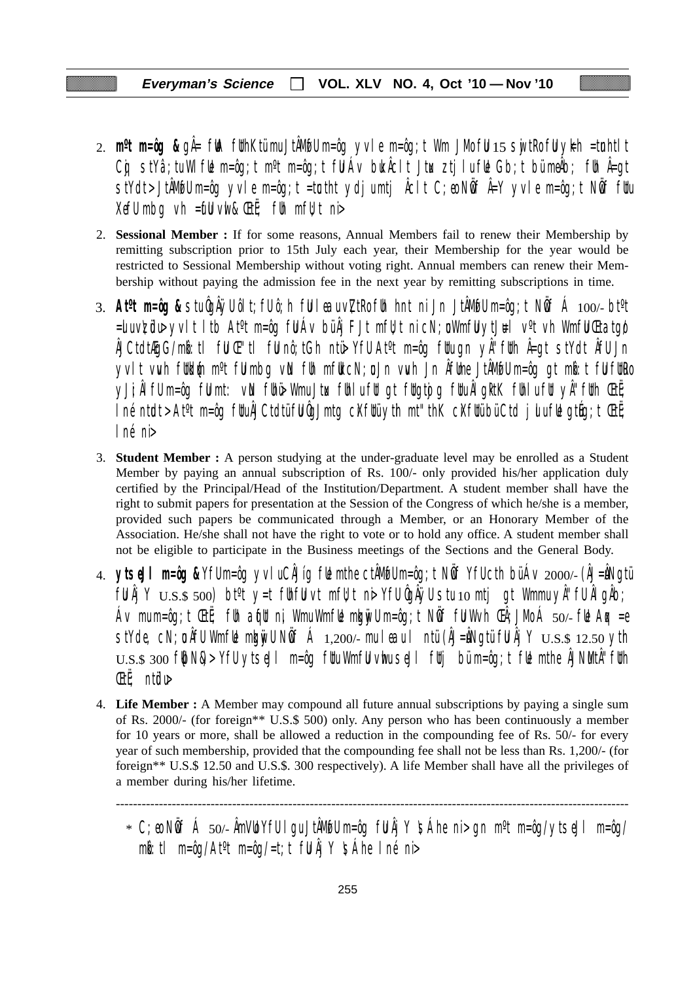- 2. **m<sup>o</sup>t m=ôg &** gÅ= fWA fUthKtümu JtÅMwfU m=ôg yvle m=ôg;t Wm JMo fU 15 swjtRo fU yk=h =tunhtlt Cg stYâ;tu WlfUe m=ôg;t m<sup>o</sup>t m=ôg;t fU Áv buk Âclt Jtux ztjlu fUe Gb;t bü meÂb; fUn Â=gt stYdt>JtÂM@Um=ôg yvle m=ôg;t =tœtht ydjumtj Åclt C;eo NÖf Å=Y yvle m=ôg;t NÖf fUu XefU mbg vh =  $\mathbf{f}$ U vwl &  $\mathbf{E}$ t $\ddot{\mathbf{f}}$ ; fUh mfU; t ni
- 2. **Sessional Member :** If for some reasons, Annual Members fail to renew their Membership by remitting subscription prior to 15th July each year, their Membership for the year would be restricted to Sessional Membership without voting right. Annual members can renew their Membership without paying the admission fee in the next year by remitting subscriptions in time.
- 3. **Atºt m=ôg &** stu ÔgÂÿU ôlt;fU ô;h fuU leau v\ZtRo fUh hnt ni Jn JtÂMøfU m=ôg;t NwÖf Á 100/- btºt  $=$ ulu v $\tt z$ üdu yvlt ltb At<sup>o</sup>t m=ôg fül Áv bü Âj FJt mfltt ni cN;u Wmfü ytJ $\texttt{H}$ l v<sup>o</sup>t vh Wmfü Ctatgø ÂJCtdtÆgG/mkô:tl fuU Œ"tl fuU nô;tGh ntü> YfU Atºt m=ôg fUtu gn yÂ"fUth Â=gt stYdt ÂfU Jn yvlt vwh futkum m<sup>o</sup>t fulmbg vin fuh mfut cN;u Jn vwh Jn Âfume JtÂMofu m=ôg gt mbit ful futro yJi;ÂlfU m=ôg fümt: vN fühü> Wmu Jtux fühlu füt gt fütgtojg fütu ÂlgktK fühlu füt yÂ"füth ŒtË;  $\ln$ é ntudt > At<sup>o</sup>t m=ôg futu $\hat{A}$ JCtdtü fu $\hat{Q}$ Jmtg c $X$ futü yth mt"thK c $X$ futü bü Ctd julu fue gtúg;t Œtë; lné ni>
- 3. **Student Member :** A person studying at the under-graduate level may be enrolled as a Student Member by paying an annual subscription of Rs. 100/- only provided his/her application duly certified by the Principal/Head of the Institution/Department. A student member shall have the right to submit papers for presentation at the Session of the Congress of which he/she is a member, provided such papers be communicated through a Member, or an Honorary Member of the Association. He/she shall not have the right to vote or to hold any office. A student member shall not be eligible to participate in the Business meetings of the Sections and the General Body.
- 4. **ytseJl m=ôg &** YfU m=ôg yvlu CÂJíg fUe mthe ctÂMøfU m=ôg;t NwÖf YfU cth bü Áv 2000/- (ÂJ=uÂNgtü  $f \llbracket \mathbf{U} \rrbracket$   $\llbracket \mathbf{Y} \rrbracket$   $\cup$   $\llbracket \mathbf{S} \rrbracket$   $\llbracket \mathbf{S} \rrbracket$  bt<sup>o</sup>t  $\lor$   $\llbracket \mathbf{U} \rrbracket$   $\llbracket \mathbf{U} \rrbracket$   $\llbracket \mathbf{U} \rrbracket$   $\llbracket \mathbf{U} \rrbracket$   $\llbracket \mathbf{U} \rrbracket$   $\llbracket \mathbf{U} \rrbracket$   $\llbracket \mathbf{U} \rrbracket$   $\llbracket \mathbf{U} \rrbracket$ Áv mu m=ôg;t ŒtË; fUh aqfut ni, Wmu WmfLe mkgnivU m=ôg;t NÖff fU Wvh ŒÂ;JMo Á 50/- fLe Aqx =e stYde, cN;  $\mathfrak a$  ÂfU WmfUe mku vull N $\mathfrak b$ f Á 1,200/- mu leau l ntü (ÂJ=ÂNgtü fU Âj Y  $\mathop{\rm U.S.}\nolimits$  12.50 yth  $U.S.S.$  300 f $|bN\&>$  YfU ytseJI m=ôg fUtu WmfU vhu seJI fUtj bü m=ôg;t fUe mthe ÅJNMtÅ''fUth ŒtË; ntüdu>
- 4. **Life Member :** A Member may compound all future annual subscriptions by paying a single sum of Rs. 2000/- (for foreign\*\* U.S.\$ 500) only. Any person who has been continuously a member for 10 years or more, shall be allowed a reduction in the compounding fee of Rs. 50/- for every year of such membership, provided that the compounding fee shall not be less than Rs. 1,200/- (for foreign\*\* U.S.\$ 12.50 and U.S.\$. 300 respectively). A life Member shall have all the privileges of a member during his/her lifetime.

-----------------------------------------------------------------------------------------------------------------------

 $*$  C;eo NÖf Á 50/- ÂmVLO YfU I gu JtÂMufU m=ôg fU Âj Y  $\mathfrak{S}$ Áhe ni > gn m $\mathfrak{m}$ =ôg/ytseJl m=ôg/  $m\ddot{\bm{\delta}}$ :tl m=ôg/At<sup>o</sup>t m=ôg/=t;t fül Âj Y \sáhe Iné ni>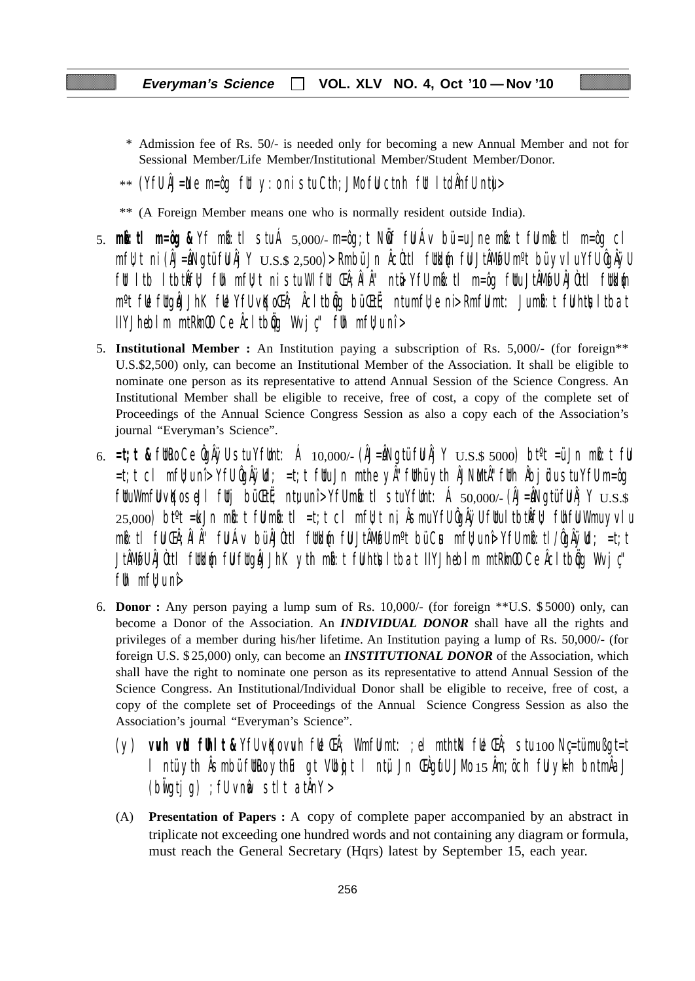- \* Admission fee of Rs. 50/- is needed only for becoming a new Annual Member and not for Sessional Member/Life Member/Institutional Member/Student Member/Donor.
- $**$  (YfU ÅJ=Ne m=ôg fUt y:o ni stu Cth;JMo fU ctnh fUt ItdÄhfU ntu $>$
- \*\* (A Foreign Member means one who is normally resident outside India).
- 5. **mkô:tl m=ôg &** Yf mkô:tl stu Á 5,000/- m=ôg;t NwÖf fuU Áv bü =u Jne mkô:t fuU mkô:tl m=ôg cl  $mf$ u;t ni (ÂJ=ÂNgtü fu Âj Y  $_{\rm U.S.S.}$   $_{\rm 2,500}$ )> Rmbü Jn Âcùttl futkum fu JtÂMofu m°t bü yvlu Yfu ÔgÂÿu fut ltb ltbtkÎfu); fuh mfujt ni stu Wlfut Chi; ÂlÂ'' ntë Yfu mbi:tl m=ôg futu JtÂMøfu ÂJÒttl futklýn m<sup>o</sup>t fl**e** fltgåJJhK fle YfU v**K**oCh; ÅcItbig bü Ctt; ntu mfl; e ni> RmfU mt: Ju mbi:t fU htlsltbat  $I$ IYJhebilm mtRm $\omega$  Ce  $\hat{A}$ cltb $\hat{q}$ q Wvj $\psi$ " fuh mf $\psi$ u nî >
- 5. **Institutional Member :** An Institution paying a subscription of Rs. 5,000/- (for foreign\*\* U.S.\$2,500) only, can become an Institutional Member of the Association. It shall be eligible to nominate one person as its representative to attend Annual Session of the Science Congress. An Institutional Member shall be eligible to receive, free of cost, a copy of the complete set of Proceedings of the Annual Science Congress Session as also a copy each of the Association's journal "Everyman's Science".
- 6.  $=t$ ;**t &** futro Ce ÔgÂÿU stu YfUmt: Á 10,000/- (ÂJ=ÂNgtü fu Âj Y  $U.S.$ \$ 5000) bt<sup>o</sup>t =ü Jn mbi: t fu =t;t cl mfU;u nî> YfU ÔgÂÿUd; =t;t fUtu Jn mthe yÂ"fUthü ytih ÂJNuMtÂ"fUth Âbjüdu stu YfU m=ôg  $f$ UuWmfU vKo seJl futj bü $F$ uti; ntu unî> YfU mb: tl stu YfUmt: Á 50,000/- (ÂJ=ÂNgtü fu $\lambda$ j Y  $_{\rm U.S.}$ s  $25,000$ ) bt $\textdegree t$  =ku Jn mbot fulmbot liet;t cl mfl $t$ t ni, Âsmu YfU ÔgÂÿU fltu ltbtkÎfl $t$  flhfu Wmu yvlu mb:tl fu ŒÂ;ÂlÂ'' fu Áv bü ÂJÒttl futbl{n fu JtÂMofu m°t bü Cus mfu;u nê Yfu mb:tl/ÔgÂÿUd; =t;t JtÂM@U ÂJÒttl füldén fül füqåJJhK yth mb:t fühtisltbat IIYJhebilm mtRimOO Ce Âcltbög Wvjç" f $\mathfrak h$  mf $\mathfrak l$  uni $\mathfrak d$
- 6. **Donor :** Any person paying a lump sum of Rs. 10,000/- (for foreign \*\*U.S. \$ 5000) only, can become a Donor of the Association. An *INDIVIDUAL DONOR* shall have all the rights and privileges of a member during his/her lifetime. An Institution paying a lump of Rs. 50,000/- (for foreign U.S. \$ 25,000) only, can become an *INSTITUTIONAL DONOR* of the Association, which shall have the right to nominate one person as its representative to attend Annual Session of the Science Congress. An Institutional/Individual Donor shall be eligible to receive, free of cost, a copy of the complete set of Proceedings of the Annual Science Congress Session as also the Association's journal "Everyman's Science".
	- (y) **vuvh vuN fUhlt &** YfU vqKo vuvh fUe ŒÂ; WmfuU mt: ;el mthtkN fUe ŒÂ; stu 100 Nç=tü mu ßgt=t l ntü yth Âsmbü futro ythuF gt Vubojt l ntü Jn Chaufu JMo 15 Âm; öch ful ykh bntmÂaJ  $(b$ wigtig) ; fu vnm $b$  stlt at $\hat{A}$ n $Y$ >
	- (A) **Presentation of Papers :** A copy of complete paper accompanied by an abstract in triplicate not exceeding one hundred words and not containing any diagram or formula, must reach the General Secretary (Hqrs) latest by September 15, each year.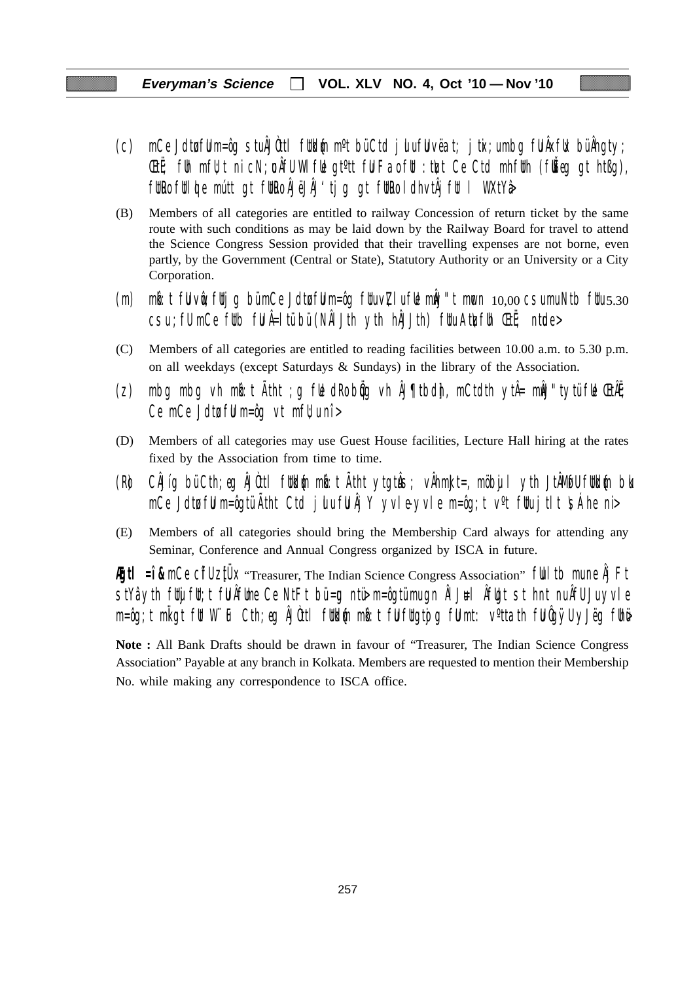- (c) mCe Jdtufuu m=ôg stu ÂJÒttl futkum m<sup>o</sup>t bü Ctd julu fuu vëat; jtix;u mbg fu Âxfuk bü Âhgty; **EtË**; fuh mfU; t ni cN; un AfU WI full gt<sup>o</sup>tt ful Fao full: the trust Ce Ctd mhfuth (fu $\check{E}$ eg gt htßg), fütro fülde mútt gt fütro ÁJëJÄJ'tjg gt fütro ldhvtÅjfül l WXtYå
- (B) Members of all categories are entitled to railway Concession of return ticket by the same route with such conditions as may be laid down by the Railway Board for travel to attend the Science Congress Session provided that their travelling expenses are not borne, even partly, by the Government (Central or State), Statutory Authority or an University or a City Corporation.
- (m) mb: t fu vue; futjg bü mCe Jdtu fu m=ôg fuu v $Z$ lu fue můJ"t mucn  $10,00$  csu mu Ntb fuu 5.30 csu ; fu mCe futb fu Â=ltü bü (NÂLJth yth hÂJJth) fuu Atu $\zeta$ fuh ŒtË; ntude>
- (C) Members of all categories are entitled to reading facilities between 10.00 a.m. to 5.30 p.m. on all weekdays (except Saturdays & Sundays) in the library of the Association.
- (z) mbg mbg vh m $\mathfrak{b}:$ t Atht ;g f $\mathfrak{b}$  dRo b $\mathfrak{g}$ g vh ÅJ¶tbd $\mathfrak{h}$ , mCtdth ytÅ= m $\mathfrak{h}$ J"tytü f $\mathfrak{b}$  ŒtÃE; Ce mCe Jdtu ful m=ôg vt mfl $\nu$ u nî >
- (D) Members of all categories may use Guest House facilities, Lecture Hall hiring at the rates fixed by the Association from time to time.
- (R) CÂJíg bü Cth;eg ÂJÒttl füld{n mb:t Ätht ytgtuŝ; vÅhmkJt=, möbujl yth JtÂMøfU füld{n blo mCe Jdtu fuu m=ôgtü Ãtht Ctd julu fu Âj Y yvle-yvle m=ôg;t v<sup>o</sup>t fuu jtlt  $\sinh$ e ni>
- (E) Members of all categories should bring the Membership Card always for attending any Seminar, Conference and Annual Congress organized by ISCA in future.

**Egtl = î &** mCe CifU ztUX "Treasurer, The Indian Science Congress Association" full tb mune Âj Ft  $\frac{1}{10}$ stYâ yth fuijfut;t fu Âfume Ce NtFt bü=ug ntü $\frac{1}{10}$  m=ôgtü mu gn ÂlJ $\frac{1}{10}$ l  $\frac{1}{10}$ t st hnt nu ÂfU Ju yvle m=ôg;t mligt fit W¨iF Cth;eg ÂJûttl fitkl{n mb}t fijfligtojg fijmt: v°ttath fijûgÿU yJëg fihë

**Note :** All Bank Drafts should be drawn in favour of "Treasurer, The Indian Science Congress Association" Payable at any branch in Kolkata. Members are requested to mention their Membership No. while making any correspondence to ISCA office.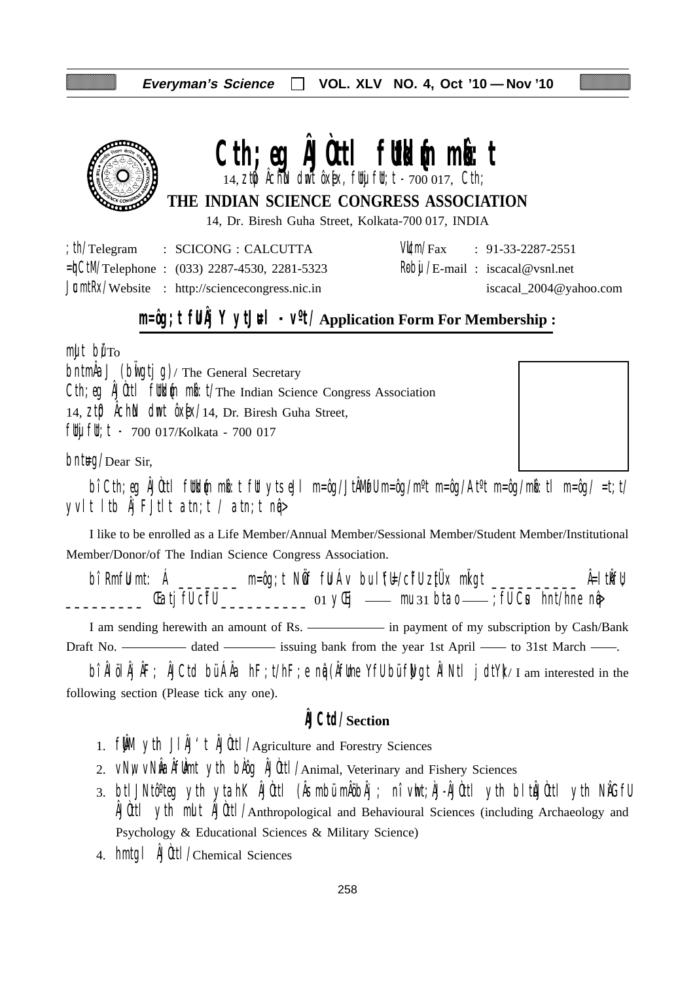

# Cth; eq **ÄJOttl futbless minhanger**

 $14$ ,  $2$ t $\emptyset$  Âchin dmt ôx[x, flty flt; t - 700 017, Cth;

**THE INDIAN SCIENCE CONGRESS ASSOCIATION**

14, Dr. Biresh Guha Street, Kolkata-700 017, INDIA

| th/Telegram | : SCICONG : CALCUTTA                                    |  | $VU/m/Fax$ : 91-33-2287-2551                 |
|-------------|---------------------------------------------------------|--|----------------------------------------------|
|             | $=\n\frac{1}{2}$ Telephone : (033) 2287-4530, 2281-5323 |  | $\frac{1}{2}$ Reby /E-mail: iscacal@vsnl.net |
|             | $JcmłRx/Website$ : http://sciencecongress.nic.in        |  | iscacal_2004@yahoo.com                       |

## **m=ôg;t fUÂj Y ytJ#l** -  $V^{\circ}$ t/Application Form For Membership :

 $m$ ult bu $T<sub>O</sub>$ 

 $\Delta J$  (build ig)/ The General Secretary Cth; eg ÂJÙttl futblin milit/The Indian Science Congress Association 14,  $Zt\mathbf{D}$   $\hat{\theta}$ ch $\hat{\theta}$  dmt  $\hat{\theta}$ x $\hat{\theta}$ x $/14$ , Dr. Biresh Guha Street, fluj flu; t - 700 017/Kolkata - 700 017

 $b$ nt $\text{HQ}/\text{Dear Sir}$ 

bî Cth;eg ÂJÒttl füldin mið:t füt ytseJl m=ôg/JtÂMøfU m=ôg/m<sup>o</sup>t m=ôg/At<sup>o</sup>t m=ôg/mið:tl m=ôg/ =t;t/ yvlt ltb  $\hat{A}$ j FJtlt atn;t / atn;t n $\hat{q}$ 

I like to be enrolled as a Life Member/Annual Member/Sessional Member/Student Member/Institutional Member/Donor/of The Indian Science Congress Association.

bî RmfU mt: Á \_\_\_\_\_\_\_ m=ôg;t NÖf fU Áv bu lYEl/cifU zitÜx miligt \_\_\_\_\_\_\_\_\_\_ Â=ltikfU; \_\_\_\_\_\_\_\_\_ ŒatjfU cîfU \_\_\_\_\_\_\_\_\_\_ 01 yŒij —— mu 31 btao —— ;fU Cus hnt/hne nqâ>

I am sending herewith an amount of Rs. ——————— in payment of my subscription by Cash/Bank Draft No. —————— dated — issuing bank from the year 1st April — to 31st March — .

bî ÂlölÂjÂF; ÂJCtd bü ÂÂa hF;t/hF;e ng (ÂfUme YfU bü fWgt ÂlNtl jdtY)/I am interested in the following section (Please tick any one).

## **ÂJCtd/Section**

- 1.  $f \mathbf{M}$  yth  $J \mathbf{M}'$ t  $\mathbf{M}$ Utl/Agriculture and Forestry Sciences
- 2. VNW VNWAÂfUmt yth bAog ÂJOttl/Animal, Veterinary and Fishery Sciences
- 3. btlJNtô°teg yth ytahK ÂJÒttl (Âsmbü mÂöbÂj ; nî vht;ÀJ-ÂJÒttl yth bltÂJÒttl yth NÂGfU ÂJÒttl ytih mult ÂJÒttl/Anthropological and Behavioural Sciences (including Archaeology and Psychology & Educational Sciences & Military Science)
- 4. hmtgl ÂJÒttl/Chemical Sciences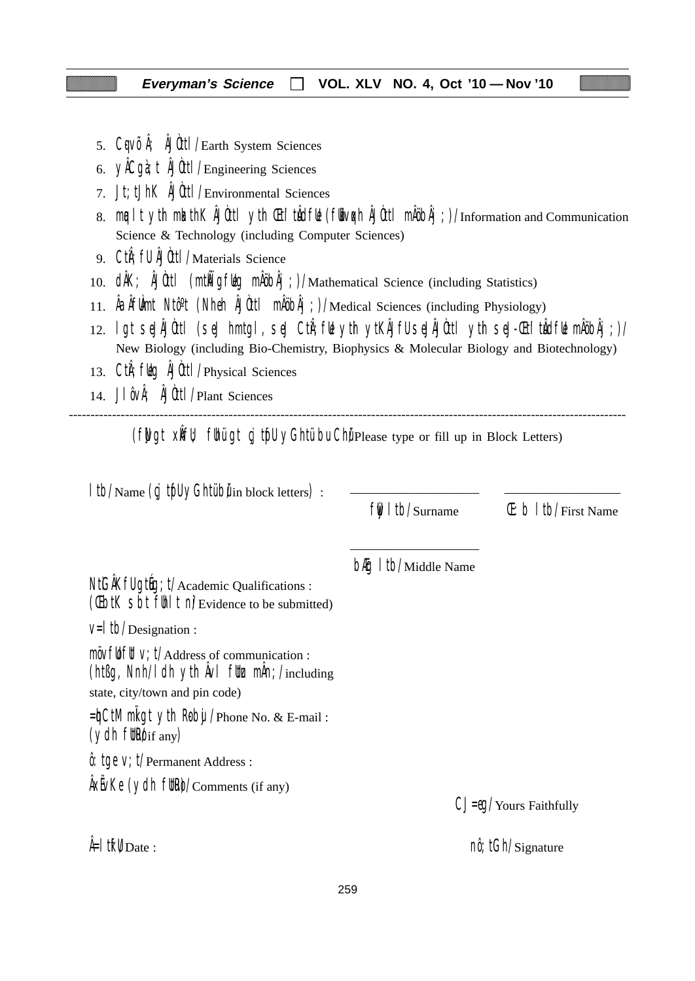- 5. CqVÕÅ; ÅJÙttl/Earth System Sciences
- 6. yÂCgà;t ÂJÒttl/Engineering Sciences
- 7. Jt;tJhK ÂJÒttl/Environmental Sciences
- 8. mualt yth mkathK ÂJÙttl yth Chi'tuÂdful (fubvoch ÂJÙttl mÅöbÂj;)/Information and Communication Science & Technology (including Computer Sciences)
- 9. CtiÂ;fU ÂJÒttl/Materials Science
- 10. dÂK; ÂJÙttl (mtÑigfug mÂöbÂj;)/Mathematical Science (including Statistics)
- 11. ÂaÂfUÀmt Ntôºt (Nheh ÂJÒttl mÂöbÂj;)/Medical Sciences (including Physiology)
- 12. lgt seJÂJÒttl (seJ hmtgl, seJ CtiÂ;fUe ytih ytKÂJfU seJÂJÒttl ytih seJ-Œti'tuÂdfUe mÂöbÂj;)/ New Biology (including Bio-Chemistry, Biophysics & Molecular Biology and Biotechnology)
- 13. Cth; fulg AJUttl / Physical Sciences
- 14. J $\int \hat{\theta} \vee \hat{\theta}$ ;  $\hat{\theta}$ Uutt $\int$ Plant Sciences

--------------------------------------------------------------------------------------------------------------------------------- (fwgt xift); fuhui gt cj tuful yGhtu bu Chu Please type or fill up in Block Letters)

| Itb/Name (cj tfll yGhtübilin block letters) :                                                                                                                                         |                              |                                           |
|---------------------------------------------------------------------------------------------------------------------------------------------------------------------------------------|------------------------------|-------------------------------------------|
|                                                                                                                                                                                       | fli Itb/Surname              | $(E: b   t )/$ First Name                 |
| NtGAKfU gtug; t/Academic Qualifications :<br>(Cibil Sbi fill I ni/Evidence to be submitted)                                                                                           | <b>blig</b> I tb/Middle Name |                                           |
| $V=$   tb/Designation :                                                                                                                                                               |                              |                                           |
| $m\ddot{o}vf\ddot{o}f\ddot{f}f$ V; $t/A$ ddress of communication :<br>(ht $\beta$ g, Nnh/I dh yth $\hat{A}$ vI flt $\chi$ m $\hat{A}$ n; /including<br>state, city/town and pin code) |                              |                                           |
| =hCtM ml gt yth Roby / Phone No. & E-mail:<br>$(ydh$ fltheust $f$ any)                                                                                                                |                              |                                           |
| $\hat{\theta}$ : tge V; t/Permanent Address :                                                                                                                                         |                              |                                           |
| $\frac{1}{x}$ AxEvKe (ydh fltRe)/Comments (if any)                                                                                                                                    |                              | $CJ = \theta Q / \text{Yours}$ Faithfully |
| $\frac{\hat{A}}{1}$ if $\hat{V}_{\text{Date}}$ :                                                                                                                                      |                              | $n\hat{\theta}$ ; tGh/Signature           |